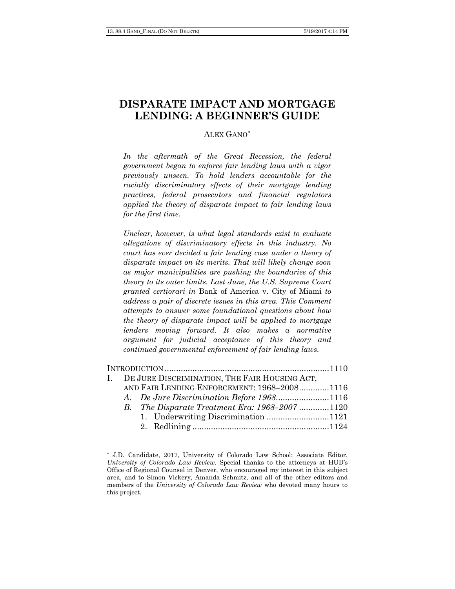# **DISPARATE IMPACT AND MORTGAGE LENDING: A BEGINNER'S GUIDE**

# ALEX GANO[\\*](#page-0-0)

*In the aftermath of the Great Recession, the federal government began to enforce fair lending laws with a vigor previously unseen. To hold lenders accountable for the racially discriminatory effects of their mortgage lending practices, federal prosecutors and financial regulators applied the theory of disparate impact to fair lending laws for the first time.*

*Unclear, however, is what legal standards exist to evaluate allegations of discriminatory effects in this industry. No court has ever decided a fair lending case under a theory of disparate impact on its merits. That will likely change soon as major municipalities are pushing the boundaries of this theory to its outer limits. Last June, the U.S. Supreme Court granted certiorari in* Bank of America v. City of Miami *to address a pair of discrete issues in this area. This Comment attempts to answer some foundational questions about how the theory of disparate impact will be applied to mortgage lenders moving forward. It also makes a normative argument for judicial acceptance of this theory and continued governmental enforcement of fair lending laws.*

|  | I. DE JURE DISCRIMINATION, THE FAIR HOUSING ACT, |  |
|--|--------------------------------------------------|--|
|  | AND FAIR LENDING ENFORCEMENT: 1968-20081116      |  |
|  | A. De Jure Discrimination Before 19681116        |  |
|  | B. The Disparate Treatment Era: 1968–2007 1120   |  |
|  |                                                  |  |
|  |                                                  |  |
|  |                                                  |  |

<span id="page-0-0"></span><sup>\*</sup> J.D. Candidate, 2017, University of Colorado Law School; Associate Editor, *University of Colorado Law Review*. Special thanks to the attorneys at HUD's Office of Regional Counsel in Denver, who encouraged my interest in this subject area, and to Simon Vickery, Amanda Schmitz, and all of the other editors and members of the *University of Colorado Law Review* who devoted many hours to this project.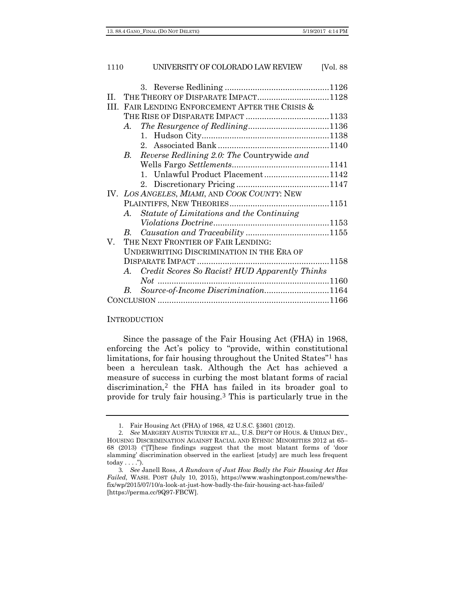| H. |                                                   | THE THEORY OF DISPARATE IMPACT1128            |  |  |  |
|----|---------------------------------------------------|-----------------------------------------------|--|--|--|
|    | III. FAIR LENDING ENFORCEMENT AFTER THE CRISIS &  |                                               |  |  |  |
|    |                                                   |                                               |  |  |  |
|    | A.                                                |                                               |  |  |  |
|    |                                                   |                                               |  |  |  |
|    |                                                   |                                               |  |  |  |
|    |                                                   | B. Reverse Redlining 2.0: The Countrywide and |  |  |  |
|    |                                                   |                                               |  |  |  |
|    |                                                   | 1. Unlawful Product Placement1142             |  |  |  |
|    |                                                   |                                               |  |  |  |
|    | IV. LOS ANGELES, MIAMI, AND COOK COUNTY: NEW      |                                               |  |  |  |
|    |                                                   |                                               |  |  |  |
|    | $A_{\cdot}$                                       | Statute of Limitations and the Continuing     |  |  |  |
|    |                                                   | $\label{thm:1} Violations\ Doctrine\nonumber$ |  |  |  |
|    | $B_{\cdot}$                                       |                                               |  |  |  |
| V. | THE NEXT FRONTIER OF FAIR LENDING:                |                                               |  |  |  |
|    | UNDERWRITING DISCRIMINATION IN THE ERA OF         |                                               |  |  |  |
|    |                                                   |                                               |  |  |  |
|    | A. Credit Scores So Racist? HUD Apparently Thinks |                                               |  |  |  |
|    |                                                   | $Not$                                         |  |  |  |
|    | $B_{\cdot}$                                       | Source-of-Income Discrimination1164           |  |  |  |
|    |                                                   |                                               |  |  |  |

#### **INTRODUCTION**

Since the passage of the Fair Housing Act (FHA) in 1968, enforcing the Act's policy to "provide, within constitutional limitations, for fair housing throughout the United States"[1](#page-1-0) has been a herculean task. Although the Act has achieved a measure of success in curbing the most blatant forms of racial discrimination,[2](#page-1-1) the FHA has failed in its broader goal to provide for truly fair housing.[3](#page-1-2) This is particularly true in the

<sup>1</sup>. Fair Housing Act (FHA) of 1968, 42 U.S.C. §3601 (2012).

<span id="page-1-1"></span><span id="page-1-0"></span><sup>2</sup>*. See* MARGERY AUSTIN TURNER ET AL., U.S. DEP'T OF HOUS. & URBAN DEV., HOUSING DISCRIMINATION AGAINST RACIAL AND ETHNIC MINORITIES 2012 at 65– 68 (2013) ("[T]hese findings suggest that the most blatant forms of 'door slamming' discrimination observed in the earliest [study] are much less frequent  $today \ldots$ ").

<span id="page-1-2"></span><sup>3</sup>*. See* Janell Ross, *A Rundown of Just How Badly the Fair Housing Act Has Failed*, WASH. POST (July 10, 2015), https://www.washingtonpost.com/news/thefix/wp/2015/07/10/a-look-at-just-how-badly-the-fair-housing-act-has-failed/ [https://perma.cc/9Q97-FBCW].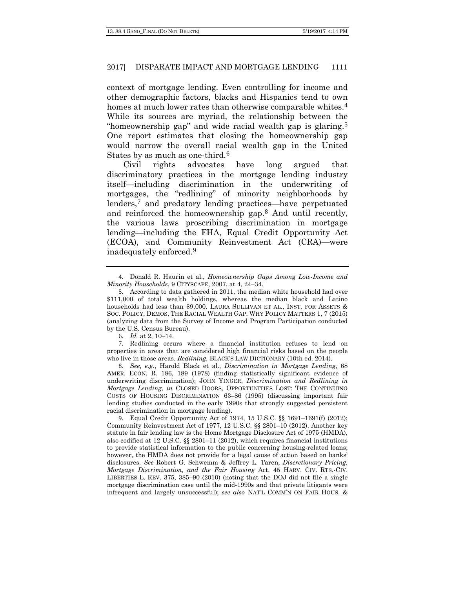context of mortgage lending. Even controlling for income and other demographic factors, blacks and Hispanics tend to own homes at much lower rates than otherwise comparable whites.<sup>[4](#page-2-0)</sup> While its sources are myriad, the relationship between the "homeownership gap" and wide racial wealth gap is glaring.[5](#page-2-1) One report estimates that closing the homeownership gap would narrow the overall racial wealth gap in the United States by as much as one-third.[6](#page-2-2)

Civil rights advocates have long argued that discriminatory practices in the mortgage lending industry itself—including discrimination in the underwriting of mortgages, the "redlining" of minority neighborhoods by lenders,[7](#page-2-3) and predatory lending practices—have perpetuated and reinforced the homeownership gap.[8](#page-2-4) And until recently, the various laws proscribing discrimination in mortgage lending—including the FHA, Equal Credit Opportunity Act (ECOA), and Community Reinvestment Act (CRA)—were inadequately enforced.[9](#page-2-5)

6*. Id.* at 2, 10–14.

<span id="page-2-3"></span><span id="page-2-2"></span>7. Redlining occurs where a financial institution refuses to lend on properties in areas that are considered high financial risks based on the people who live in those areas. *Redlining,* BLACK'S LAW DICTIONARY (10th ed. 2014).

<span id="page-2-4"></span>8*. See, e.g.*, Harold Black et al., *Discrimination in Mortgage Lending*, 68 AMER. ECON. R. 186, 189 (1978) (finding statistically significant evidence of underwriting discrimination); JOHN YINGER, *Discrimination and Redlining in Mortgage Lending*, *in* CLOSED DOORS, OPPORTUNITIES LOST: THE CONTINUING COSTS OF HOUSING DISCRIMINATION 63–86 (1995) (discussing important fair lending studies conducted in the early 1990s that strongly suggested persistent racial discrimination in mortgage lending).

<span id="page-2-5"></span>9. Equal Credit Opportunity Act of 1974, 15 U.S.C. §§ 1691–1691(f) (2012); Community Reinvestment Act of 1977, 12 U.S.C. §§ 2801–10 (2012). Another key statute in fair lending law is the Home Mortgage Disclosure Act of 1975 (HMDA), also codified at 12 U.S.C. §§ 2801–11 (2012), which requires financial institutions to provide statistical information to the public concerning housing-related loans; however, the HMDA does not provide for a legal cause of action based on banks' disclosures. *See* Robert G. Schwemm & Jeffrey L. Taren, *Discretionary Pricing, Mortgage Discrimination, and the Fair Housing* Act, 45 HARV. CIV. RTS.-CIV. LIBERTIES L. REV. 375, 385–90 (2010) (noting that the DOJ did not file a single mortgage discrimination case until the mid-1990s and that private litigants were infrequent and largely unsuccessful); *see also* NAT'L COMM'N ON FAIR HOUS. &

<span id="page-2-0"></span><sup>4</sup>. Donald R. Haurin et al., *Homeownership Gaps Among Low-Income and Minority Households*, 9 CITYSCAPE, 2007, at 4, 24–34.

<span id="page-2-1"></span><sup>5</sup>. According to data gathered in 2011, the median white household had over \$111,000 of total wealth holdings, whereas the median black and Latino households had less than \$9,000. LAURA SULLIVAN ET AL., INST. FOR ASSETS & SOC. POLICY, DEMOS, THE RACIAL WEALTH GAP: WHY POLICY MATTERS 1, 7 (2015) (analyzing data from the Survey of Income and Program Participation conducted by the U.S. Census Bureau).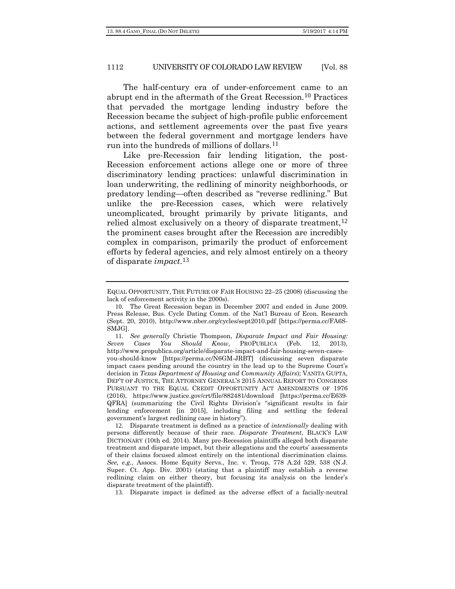The half-century era of under-enforcement came to an abrupt end in the aftermath of the Great Recession.[10](#page-3-0) Practices that pervaded the mortgage lending industry before the Recession became the subject of high-profile public enforcement actions, and settlement agreements over the past five years between the federal government and mortgage lenders have run into the hundreds of millions of dollars.[11](#page-3-1)

Like pre-Recession fair lending litigation, the post-Recession enforcement actions allege one or more of three discriminatory lending practices: unlawful discrimination in loan underwriting, the redlining of minority neighborhoods, or predatory lending—often described as "reverse redlining." But unlike the pre-Recession cases, which were relatively uncomplicated, brought primarily by private litigants, and relied almost exclusively on a theory of disparate treatment,<sup>[12](#page-3-2)</sup> the prominent cases brought after the Recession are incredibly complex in comparison, primarily the product of enforcement efforts by federal agencies, and rely almost entirely on a theory of disparate *impact*.[13](#page-3-3)

EQUAL OPPORTUNITY, THE FUTURE OF FAIR HOUSING 22–25 (2008) (discussing the lack of enforcement activity in the 2000s).

<span id="page-3-0"></span><sup>10</sup>. The Great Recession began in December 2007 and ended in June 2009. Press Release, Bus. Cycle Dating Comm. of the Nat'l Bureau of Econ. Research (Sept. 20, 2010), http://www.nber.org/cycles/sept2010.pdf [https://perma.cc/FA6S-SMJG].

<span id="page-3-1"></span><sup>11</sup>*. See generally* Christie Thompson, *Disparate Impact and Fair Housing: Seven Cases You Should Know*, PROPUBLICA (Feb. 12, 2013), http://www.propublica.org/article/disparate-impact-and-fair-housing-seven-casesyou-should-know [https://perma.cc/N6GM-JRBT] (discussing seven disparate impact cases pending around the country in the lead up to the Supreme Court's decision in *Texas Department of Housing and Community Affairs*); VANITA GUPTA, DEP'T OF JUSTICE, THE ATTORNEY GENERAL'S 2015 ANNUAL REPORT TO CONGRESS PURSUANT TO THE EQUAL CREDIT OPPORTUNITY ACT AMENDMENTS OF 1976 (2016), https://www.justice.gov/crt/file/882481/download [https://perma.cc/E639- QFRA] (summarizing the Civil Rights Division's "significant results in fair lending enforcement [in 2015], including filing and settling the federal government's largest redlining case in history").

<span id="page-3-2"></span><sup>12</sup>. Disparate treatment is defined as a practice of *intentionally* dealing with persons differently because of their race. *Disparate Treatment*, BLACK'S LAW DICTIONARY (10th ed. 2014). Many pre-Recession plaintiffs alleged both disparate treatment and disparate impact, but their allegations and the courts' assessments of their claims focused almost entirely on the intentional discrimination claims. *See, e.g.*, Assocs. Home Equity Servs., Inc. v. Troup, 778 A.2d 529, 538 (N.J. Super. Ct. App. Div. 2001) (stating that a plaintiff may establish a reverse redlining claim on either theory, but focusing its analysis on the lender's disparate treatment of the plaintiff).

<span id="page-3-3"></span><sup>13</sup>. Disparate impact is defined as the adverse effect of a facially-neutral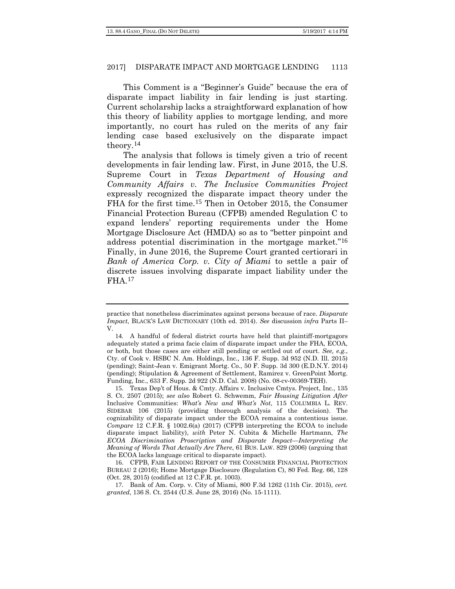This Comment is a "Beginner's Guide" because the era of disparate impact liability in fair lending is just starting. Current scholarship lacks a straightforward explanation of how this theory of liability applies to mortgage lending, and more importantly, no court has ruled on the merits of any fair lending case based exclusively on the disparate impact theory.[14](#page-4-0)

The analysis that follows is timely given a trio of recent developments in fair lending law. First, in June 2015, the U.S. Supreme Court in *Texas Department of Housing and Community Affairs v. The Inclusive Communities Project* expressly recognized the disparate impact theory under the FHA for the first time.[15](#page-4-1) Then in October 2015, the Consumer Financial Protection Bureau (CFPB) amended Regulation C to expand lenders' reporting requirements under the Home Mortgage Disclosure Act (HMDA) so as to "better pinpoint and address potential discrimination in the mortgage market."[16](#page-4-2) Finally, in June 2016, the Supreme Court granted certiorari in *Bank of America Corp. v. City of Miami* to settle a pair of discrete issues involving disparate impact liability under the FHA.[17](#page-4-3)

practice that nonetheless discriminates against persons because of race. *Disparate Impact*, BLACK'S LAW DICTIONARY (10th ed. 2014). *See* discussion *infra* Parts II– V.

<span id="page-4-0"></span><sup>14</sup>. A handful of federal district courts have held that plaintiff-mortgagors adequately stated a prima facie claim of disparate impact under the FHA, ECOA, or both, but those cases are either still pending or settled out of court. *See, e.g.*, Cty. of Cook v. HSBC N. Am. Holdings, Inc., 136 F. Supp. 3d 952 (N.D. Ill. 2015) (pending); Saint-Jean v. Emigrant Mortg. Co., 50 F. Supp. 3d 300 (E.D.N.Y. 2014) (pending); Stipulation & Agreement of Settlement, Ramirez v. GreenPoint Mortg. Funding, Inc., 633 F. Supp. 2d 922 (N.D. Cal. 2008) (No. 08-cv-00369-TEH).

<span id="page-4-1"></span><sup>15</sup>. Texas Dep't of Hous. & Cmty. Affairs v. Inclusive Cmtys. Project, Inc., 135 S. Ct. 2507 (2015); *see also* Robert G. Schwemm, *Fair Housing Litigation After*  Inclusive Communities: *What's New and What's Not*, 115 COLUMBIA L. REV. SIDEBAR 106 (2015) (providing thorough analysis of the decision). The cognizability of disparate impact under the ECOA remains a contentious issue. *Compare* 12 C.F.R. § 1002.6(a) (2017) (CFPB interpreting the ECOA to include disparate impact liability), *with* Peter N. Cubita & Michelle Hartmann, *The ECOA Discrimination Proscription and Disparate Impact—Interpreting the Meaning of Words That Actually Are There*, 61 BUS. LAW. 829 (2006) (arguing that the ECOA lacks language critical to disparate impact).

<span id="page-4-2"></span><sup>16</sup>. CFPB, FAIR LENDING REPORT OF THE CONSUMER FINANCIAL PROTECTION BUREAU 2 (2016); Home Mortgage Disclosure (Regulation C), 80 Fed. Reg. 66, 128 (Oct. 28, 2015) (codified at 12 C.F.R. pt. 1003).

<span id="page-4-3"></span><sup>17</sup>. Bank of Am. Corp. v. City of Miami, 800 F.3d 1262 (11th Cir. 2015), *cert. granted*, 136 S. Ct. 2544 (U.S. June 28, 2016) (No. 15-1111).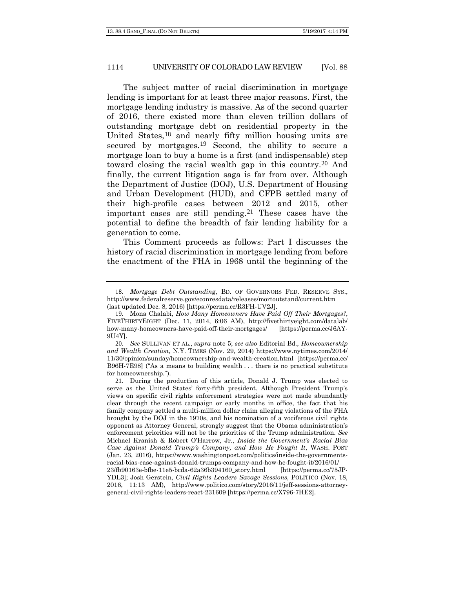The subject matter of racial discrimination in mortgage lending is important for at least three major reasons. First, the mortgage lending industry is massive. As of the second quarter of 2016, there existed more than eleven trillion dollars of outstanding mortgage debt on residential property in the United States,[18](#page-5-0) and nearly fifty million housing units are secured by mortgages.[19](#page-5-1) Second, the ability to secure a mortgage loan to buy a home is a first (and indispensable) step toward closing the racial wealth gap in this country.[20](#page-5-2) And finally, the current litigation saga is far from over. Although the Department of Justice (DOJ), U.S. Department of Housing and Urban Development (HUD), and CFPB settled many of their high-profile cases between 2012 and 2015, other important cases are still pending.<sup>[21](#page-5-3)</sup> These cases have the potential to define the breadth of fair lending liability for a generation to come.

This Comment proceeds as follows: Part I discusses the history of racial discrimination in mortgage lending from before the enactment of the FHA in 1968 until the beginning of the

<span id="page-5-0"></span><sup>18</sup>*. Mortgage Debt Outstanding*, BD. OF GOVERNORS FED. RESERVE SYS., http://www.federalreserve.gov/econresdata/releases/mortoutstand/current.htm (last updated Dec. 8, 2016) [https://perma.cc/R3FH-UV2J].

<span id="page-5-1"></span><sup>19</sup>. Mona Chalabi, *How Many Homeowners Have Paid Off Their Mortgages?*, FIVETHIRTYEIGHT (Dec. 11, 2014, 6:06 AM), http://fivethirtyeight.com/datalab/ how-many-homeowners-have-paid-off-their-mortgages/ [https://perma.cc/J6AY-9U4Y].

<span id="page-5-2"></span><sup>20</sup>*. See* SULLIVAN ET AL., *supra* note 5; *see also* Editorial Bd., *Homeownership and Wealth Creation*, N.Y. TIMES (Nov. 29, 2014) https://www.nytimes.com/2014/ 11/30/opinion/sunday/homeownership-and-wealth-creation.html [https://perma.cc/ B96H-7E98] ("As a means to building wealth . . . there is no practical substitute for homeownership.").

<span id="page-5-3"></span><sup>21</sup>. During the production of this article, Donald J. Trump was elected to serve as the United States' forty-fifth president. Although President Trump's views on specific civil rights enforcement strategies were not made abundantly clear through the recent campaign or early months in office, the fact that his family company settled a multi-million dollar claim alleging violations of the FHA brought by the DOJ in the 1970s, and his nomination of a vociferous civil rights opponent as Attorney General, strongly suggest that the Obama administration's enforcement priorities will not be the priorities of the Trump administration. *See*  Michael Kranish & Robert O'Harrow, Jr., *Inside the Government's Racial Bias Case Against Donald Trump's Company, and How He Fought It*, WASH. POST (Jan. 23, 2016), https://www.washingtonpost.com/politics/inside-the-governmentsracial-bias-case-against-donald-trumps-company-and-how-he-fought-it/2016/01/ 23/fb90163e-bfbe-11e5-bcda-62a36b394160\_story.html [https://perma.cc/75JP-YDL3]; Josh Gerstein, *Civil Rights Leaders Savage Sessions*, POLITICO (Nov. 18, 2016, 11:13 AM), http://www.politico.com/story/2016/11/jeff-sessions-attorneygeneral-civil-rights-leaders-react-231609 [https://perma.cc/X796-7HE2].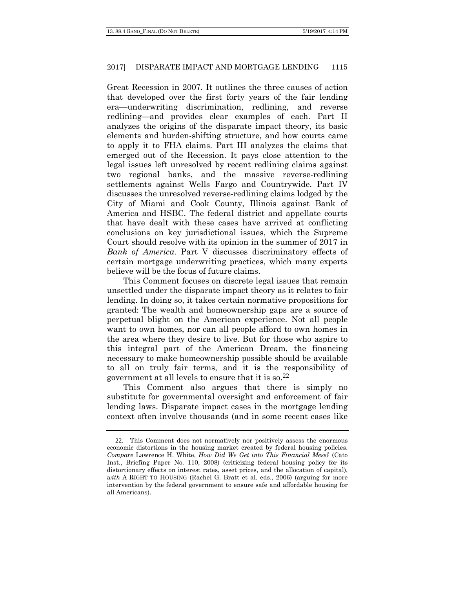Great Recession in 2007. It outlines the three causes of action that developed over the first forty years of the fair lending era—underwriting discrimination, redlining, and reverse redlining—and provides clear examples of each. Part II analyzes the origins of the disparate impact theory, its basic elements and burden-shifting structure, and how courts came to apply it to FHA claims. Part III analyzes the claims that emerged out of the Recession. It pays close attention to the legal issues left unresolved by recent redlining claims against two regional banks, and the massive reverse-redlining settlements against Wells Fargo and Countrywide. Part IV discusses the unresolved reverse-redlining claims lodged by the City of Miami and Cook County, Illinois against Bank of America and HSBC. The federal district and appellate courts that have dealt with these cases have arrived at conflicting conclusions on key jurisdictional issues, which the Supreme Court should resolve with its opinion in the summer of 2017 in *Bank of America*. Part V discusses discriminatory effects of certain mortgage underwriting practices, which many experts believe will be the focus of future claims.

This Comment focuses on discrete legal issues that remain unsettled under the disparate impact theory as it relates to fair lending. In doing so, it takes certain normative propositions for granted: The wealth and homeownership gaps are a source of perpetual blight on the American experience. Not all people want to own homes, nor can all people afford to own homes in the area where they desire to live. But for those who aspire to this integral part of the American Dream, the financing necessary to make homeownership possible should be available to all on truly fair terms, and it is the responsibility of government at all levels to ensure that it is so.[22](#page-6-0)

This Comment also argues that there is simply no substitute for governmental oversight and enforcement of fair lending laws. Disparate impact cases in the mortgage lending context often involve thousands (and in some recent cases like

<span id="page-6-0"></span><sup>22</sup>. This Comment does not normatively nor positively assess the enormous economic distortions in the housing market created by federal housing policies. *Compare* Lawrence H. White, *How Did We Get into This Financial Mess?* (Cato Inst., Briefing Paper No. 110, 2008) (criticizing federal housing policy for its distortionary effects on interest rates, asset prices, and the allocation of capital), *with* A RIGHT TO HOUSING (Rachel G. Bratt et al. eds., 2006) (arguing for more intervention by the federal government to ensure safe and affordable housing for all Americans).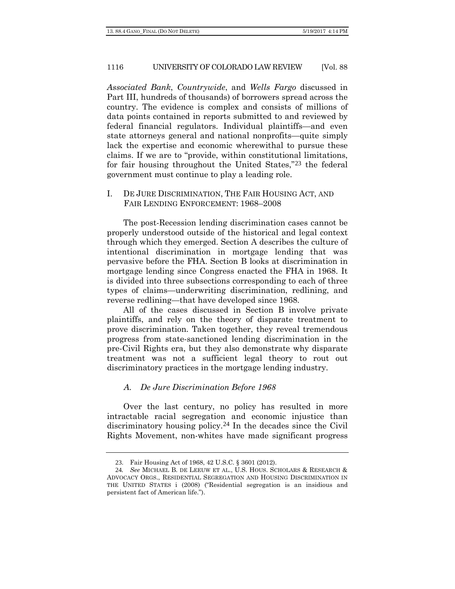*Associated Bank*, *Countrywide*, and *Wells Fargo* discussed in Part III, hundreds of thousands) of borrowers spread across the country. The evidence is complex and consists of millions of data points contained in reports submitted to and reviewed by federal financial regulators. Individual plaintiffs—and even state attorneys general and national nonprofits—quite simply lack the expertise and economic wherewithal to pursue these claims. If we are to "provide, within constitutional limitations, for fair housing throughout the United States,"[23](#page-7-0) the federal government must continue to play a leading role.

I. DE JURE DISCRIMINATION, THE FAIR HOUSING ACT, AND FAIR LENDING ENFORCEMENT: 1968–2008

The post-Recession lending discrimination cases cannot be properly understood outside of the historical and legal context through which they emerged. Section A describes the culture of intentional discrimination in mortgage lending that was pervasive before the FHA. Section B looks at discrimination in mortgage lending since Congress enacted the FHA in 1968. It is divided into three subsections corresponding to each of three types of claims—underwriting discrimination, redlining, and reverse redlining—that have developed since 1968.

All of the cases discussed in Section B involve private plaintiffs, and rely on the theory of disparate treatment to prove discrimination. Taken together, they reveal tremendous progress from state-sanctioned lending discrimination in the pre-Civil Rights era, but they also demonstrate why disparate treatment was not a sufficient legal theory to rout out discriminatory practices in the mortgage lending industry.

### *A. De Jure Discrimination Before 1968*

Over the last century, no policy has resulted in more intractable racial segregation and economic injustice than discriminatory housing policy.[24](#page-7-1) In the decades since the Civil Rights Movement, non-whites have made significant progress

<sup>23</sup>. Fair Housing Act of 1968, 42 U.S.C. § 3601 (2012).

<span id="page-7-1"></span><span id="page-7-0"></span><sup>24</sup>*. See* MICHAEL B. DE LEEUW ET AL., U.S. HOUS. SCHOLARS & RESEARCH & ADVOCACY ORGS., RESIDENTIAL SEGREGATION AND HOUSING DISCRIMINATION IN THE UNITED STATES i (2008) ("Residential segregation is an insidious and persistent fact of American life.").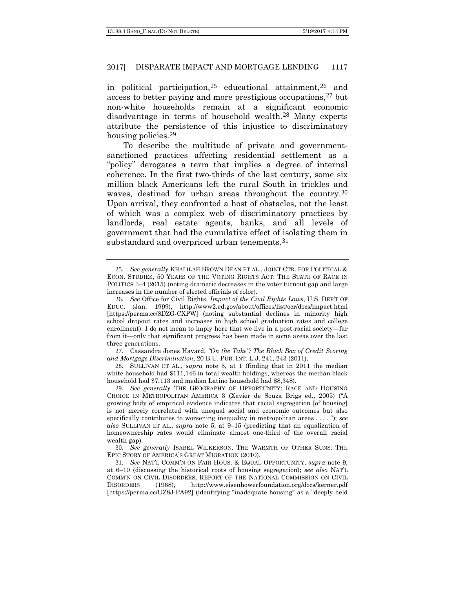in political participation,  $25$  educational attainment,  $26$  and access to better paying and more prestigious occupations,<sup>[27](#page-8-2)</sup> but non-white households remain at a significant economic disadvantage in terms of household wealth.[28](#page-8-3) Many experts attribute the persistence of this injustice to discriminatory housing policies.<sup>[29](#page-8-4)</sup>

To describe the multitude of private and governmentsanctioned practices affecting residential settlement as a "policy" derogates a term that implies a degree of internal coherence. In the first two-thirds of the last century, some six million black Americans left the rural South in trickles and waves, destined for urban areas throughout the country.<sup>[30](#page-8-5)</sup> Upon arrival, they confronted a host of obstacles, not the least of which was a complex web of discriminatory practices by landlords, real estate agents, banks, and all levels of government that had the cumulative effect of isolating them in substandard and overpriced urban tenements.<sup>[31](#page-8-6)</sup>

<span id="page-8-0"></span><sup>25</sup>*. See generally* KHALILAH BROWN DEAN ET AL., JOINT CTR. FOR POLITICAL & ECON. STUDIES, 50 YEARS OF THE VOTING RIGHTS ACT: THE STATE OF RACE IN POLITICS 3–4 (2015) (noting dramatic decreases in the voter turnout gap and large increases in the number of elected officials of color).

<span id="page-8-1"></span><sup>26</sup>*. See* Office for Civil Rights, *Impact of the Civil Rights Laws*, U.S. DEP'T OF EDUC. (Jan. 1999), http://www2.ed.gov/about/offices/list/ocr/docs/impact.html [https://perma.cc/8DZG-CXPW] (noting substantial declines in minority high school dropout rates and increases in high school graduation rates and college enrollment). I do not mean to imply here that we live in a post-racial society—far from it—only that significant progress has been made in some areas over the last three generations.

<span id="page-8-2"></span><sup>27</sup>. Cassandra Jones Havard, *"On the Take": The Black Box of Credit Scoring and Mortgage Discrimination*, 20 B.U. PUB. INT. L.J. 241, 243 (2011).

<span id="page-8-3"></span><sup>28</sup>. SULLIVAN ET AL., *supra* note 5, at 1 (finding that in 2011 the median white household had \$111,146 in total wealth holdings, whereas the median black household had \$7,113 and median Latino household had \$8,348).

<span id="page-8-4"></span><sup>29</sup>*. See generally* THE GEOGRAPHY OF OPPORTUNITY: RACE AND HOUSING CHOICE IN METROPOLITAN AMERICA 3 (Xavier de Souza Brigs ed., 2005) ("A growing body of empirical evidence indicates that racial segregation [of housing] is not merely correlated with unequal social and economic outcomes but also specifically contributes to worsening inequality in metropolitan areas . . . . "); *see also* SULLIVAN ET AL., *supra* note 5, at 9–15 (predicting that an equalization of homeownership rates would eliminate almost one-third of the overall racial wealth gap).

<span id="page-8-5"></span><sup>30</sup>. *See generally* ISABEL WILKERSON, THE WARMTH OF OTHER SUNS: THE EPIC STORY OF AMERICA'S GREAT MIGRATION (2010).

<span id="page-8-6"></span><sup>31</sup>*. See* NAT'L COMM'N ON FAIR HOUS. & EQUAL OPPORTUNITY, *supra* note 9, at 6–10 (discussing the historical roots of housing segregation); *see also* NAT'L COMM'N ON CIVIL DISORDERS, REPORT OF THE NATIONAL COMMISSION ON CIVIL DISORDERS (1968), http://www.eisenhowerfoundation.org/docs/kerner.pdf [https://perma.cc/UZ8J-PA92] (identifying "inadequate housing" as a "deeply held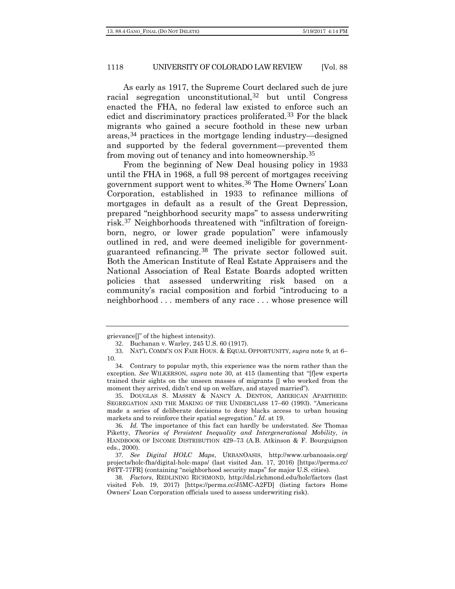As early as 1917, the Supreme Court declared such de jure racial segregation unconstitutional,[32](#page-9-0) but until Congress enacted the FHA, no federal law existed to enforce such an edict and discriminatory practices proliferated.[33](#page-9-1) For the black migrants who gained a secure foothold in these new urban areas,[34](#page-9-2) practices in the mortgage lending industry—designed and supported by the federal government—prevented them from moving out of tenancy and into homeownership.[35](#page-9-3)

From the beginning of New Deal housing policy in 1933 until the FHA in 1968, a full 98 percent of mortgages receiving government support went to whites.[36](#page-9-4) The Home Owners' Loan Corporation, established in 1933 to refinance millions of mortgages in default as a result of the Great Depression, prepared "neighborhood security maps" to assess underwriting risk.[37](#page-9-5) Neighborhoods threatened with "infiltration of foreignborn, negro, or lower grade population" were infamously outlined in red, and were deemed ineligible for governmentguaranteed refinancing.[38](#page-9-6) The private sector followed suit. Both the American Institute of Real Estate Appraisers and the National Association of Real Estate Boards adopted written policies that assessed underwriting risk based on a community's racial composition and forbid "introducing to a neighborhood . . . members of any race . . . whose presence will

<span id="page-9-3"></span>35. DOUGLAS S. MASSEY & NANCY A. DENTON, AMERICAN APARTHEID: SEGREGATION AND THE MAKING OF THE UNDERCLASS 17–60 (1993). "Americans made a series of deliberate decisions to deny blacks access to urban housing markets and to reinforce their spatial segregation." *Id.* at 19.

<span id="page-9-0"></span>grievance[]" of the highest intensity).

<sup>32</sup>. Buchanan v. Warley, 245 U.S. 60 (1917).

<span id="page-9-1"></span><sup>33</sup>. NAT'L COMM'N ON FAIR HOUS. & EQUAL OPPORTUNITY, *supra* note 9, at 6– 10.

<span id="page-9-2"></span><sup>34</sup>. Contrary to popular myth, this experience was the norm rather than the exception. *See* WILKERSON, *supra* note 30, at 415 (lamenting that "[f]ew experts trained their sights on the unseen masses of migrants [] who worked from the moment they arrived, didn't end up on welfare, and stayed married").

<span id="page-9-4"></span><sup>36</sup>*. Id.* The importance of this fact can hardly be understated. *See* Thomas Piketty, *Theories of Persistent Inequality and Intergenerational Mobility*, *in* HANDBOOK OF INCOME DISTRIBUTION 429–73 (A.B. Atkinson & F. Bourguignon eds., 2000).

<span id="page-9-5"></span><sup>37</sup>*. See Digital HOLC Maps*, URBANOASIS, http://www.urbanoasis.org/ projects/holc-fha/digital-holc-maps/ (last visited Jan. 17, 2016) [https://perma.cc/ F6TT-77FR] (containing "neighborhood security maps" for major U.S. cities).

<span id="page-9-6"></span><sup>38</sup>*. Factors*, REDLINING RICHMOND, http://dsl.richmond.edu/holc/factors (last visited Feb. 19, 2017) [https://perma.cc/J5MC-A2FD] (listing factors Home Owners' Loan Corporation officials used to assess underwriting risk).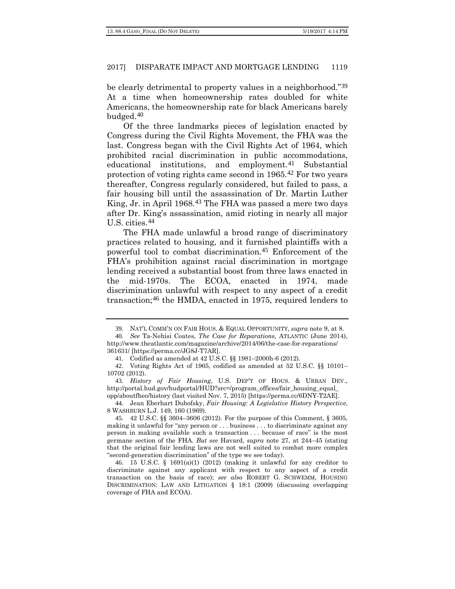be clearly detrimental to property values in a neighborhood."[39](#page-10-0) At a time when homeownership rates doubled for white Americans, the homeownership rate for black Americans barely budged.[40](#page-10-1)

Of the three landmarks pieces of legislation enacted by Congress during the Civil Rights Movement, the FHA was the last. Congress began with the Civil Rights Act of 1964, which prohibited racial discrimination in public accommodations, educational institutions, and employment.<sup>[41](#page-10-2)</sup> Substantial protection of voting rights came second in 1965.[42](#page-10-3) For two years thereafter, Congress regularly considered, but failed to pass, a fair housing bill until the assassination of Dr. Martin Luther King, Jr. in April 1968.[43](#page-10-4) The FHA was passed a mere two days after Dr. King's assassination, amid rioting in nearly all major U.S. cities.[44](#page-10-5)

The FHA made unlawful a broad range of discriminatory practices related to housing, and it furnished plaintiffs with a powerful tool to combat discrimination.[45](#page-10-6) Enforcement of the FHA's prohibition against racial discrimination in mortgage lending received a substantial boost from three laws enacted in the mid-1970s. The ECOA, enacted in 1974, made discrimination unlawful with respect to any aspect of a credit transaction;[46](#page-10-7) the HMDA, enacted in 1975, required lenders to

<span id="page-10-5"></span>44. Jean Eberhart Dubofsky, *Fair Housing: A Legislative History Perspective*, 8 WASHBURN L.J. 149, 160 (1969).

<span id="page-10-8"></span><sup>39</sup>. NAT'L COMM'N ON FAIR HOUS. & EQUAL OPPORTUNITY, *supra* note 9, at 8.

<span id="page-10-1"></span><span id="page-10-0"></span><sup>40</sup>*. See* Ta-Nehisi Coates, *The Case for Reparations,* ATLANTIC (June 2014), http://www.theatlantic.com/magazine/archive/2014/06/the-case-for-reparations/ 361631/ [https://perma.cc/JG8J-T7AR].

<sup>41</sup>. Codified as amended at 42 U.S.C. §§ 1981–2000h-6 (2012).

<span id="page-10-3"></span><span id="page-10-2"></span><sup>42</sup>. Voting Rights Act of 1965, codified as amended at 52 U.S.C. §§ 10101– 10702 (2012).

<span id="page-10-4"></span><sup>43</sup>*. History of Fair Housing*, U.S. DEP'T OF HOUS. & URBAN DEV., http://portal.hud.gov/hudportal/HUD?src=/program\_offices/fair\_housing\_equal\_ opp/aboutfheo/history (last visited Nov. 7, 2015) [https://perma.cc/6DNY-T2AE].

<span id="page-10-6"></span><sup>45</sup>*.* 42 U.S.C. §§ 3604–3606 (2012). For the purpose of this Comment, § 3605, making it unlawful for "any person or . . . business . . . to discriminate against any person in making available such a transaction . . . because of race" is the most germane section of the FHA. *But see* Havard, *supra* note 27, at 244–45 (stating that the original fair lending laws are not well suited to combat more complex "second-generation discrimination" of the type we see today).

<span id="page-10-7"></span><sup>46</sup>. 15 U.S.C. § 1691(a)(1) (2012) (making it unlawful for any creditor to discriminate against any applicant with respect to any aspect of a credit transaction on the basis of race); *see also* ROBERT G. SCHWEMM, HOUSING DISCRIMINATION: LAW AND LITIGATION § 18:1 (2009) (discussing overlapping coverage of FHA and ECOA).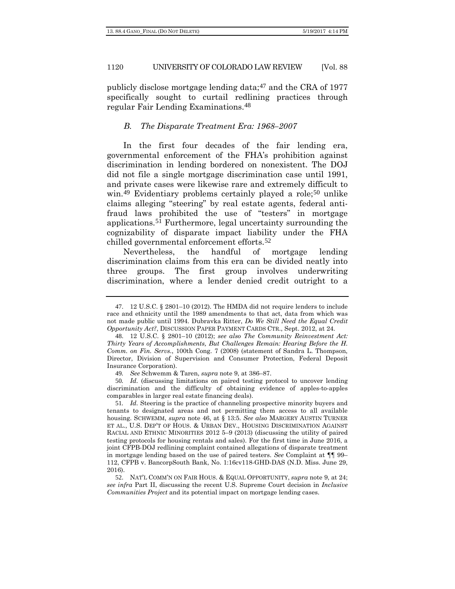publicly disclose mortgage lending data; $47$  and the CRA of 1977 specifically sought to curtail redlining practices through regular Fair Lending Examinations.[48](#page-11-1)

#### <span id="page-11-6"></span>*B. The Disparate Treatment Era: 1968–2007*

In the first four decades of the fair lending era, governmental enforcement of the FHA's prohibition against discrimination in lending bordered on nonexistent. The DOJ did not file a single mortgage discrimination case until 1991, and private cases were likewise rare and extremely difficult to win.<sup>[49](#page-11-2)</sup> Evidentiary problems certainly played a role;<sup>[50](#page-11-3)</sup> unlike claims alleging "steering" by real estate agents, federal antifraud laws prohibited the use of "testers" in mortgage applications.[51](#page-11-4) Furthermore, legal uncertainty surrounding the cognizability of disparate impact liability under the FHA chilled governmental enforcement efforts.[52](#page-11-5)

Nevertheless, the handful of mortgage lending discrimination claims from this era can be divided neatly into three groups. The first group involves underwriting discrimination, where a lender denied credit outright to a

<span id="page-11-3"></span><span id="page-11-2"></span>50*. Id.* (discussing limitations on paired testing protocol to uncover lending discrimination and the difficulty of obtaining evidence of apples-to-apples comparables in larger real estate financing deals).

<span id="page-11-0"></span><sup>47</sup>. 12 U.S.C. § 2801–10 (2012). The HMDA did not require lenders to include race and ethnicity until the 1989 amendments to that act, data from which was not made public until 1994. Dubravka Ritter, *Do We Still Need the Equal Credit Opportunity Act?*, DISCUSSION PAPER PAYMENT CARDS CTR., Sept. 2012, at 24.

<span id="page-11-1"></span><sup>48</sup>. 12 U.S.C. § 2801–10 (2012); *see also The Community Reinvestment Act: Thirty Years of Accomplishments, But Challenges Remain: Hearing Before the H. Comm. on Fin. Servs.*, 100th Cong. 7 (2008) (statement of Sandra L. Thompson, Director, Division of Supervision and Consumer Protection, Federal Deposit Insurance Corporation).

<sup>49</sup>*. See* Schwemm & Taren, *supra* note 9, at 386–87.

<span id="page-11-4"></span><sup>51</sup>*. Id.* Steering is the practice of channeling prospective minority buyers and tenants to designated areas and not permitting them access to all available housing. SCHWEMM, *supra* note [46,](#page-10-8) at § 13:5. *See also* MARGERY AUSTIN TURNER ET AL., U.S. DEP'T OF HOUS. & URBAN DEV., HOUSING DISCRIMINATION AGAINST RACIAL AND ETHNIC MINORITIES 2012 5–9 (2013) (discussing the utility of paired testing protocols for housing rentals and sales). For the first time in June 2016, a joint CFPB-DOJ redlining complaint contained allegations of disparate treatment in mortgage lending based on the use of paired testers. *See* Complaint at ¶¶ 99– 112, CFPB v. BancorpSouth Bank, No. 1:16cv118-GHD-DAS (N.D. Miss. June 29, 2016).

<span id="page-11-5"></span><sup>52</sup>. NAT'L COMM'N ON FAIR HOUS. & EQUAL OPPORTUNITY, *supra* note 9, at 24; *see infra* Part II, discussing the recent U.S. Supreme Court decision in *Inclusive Communities Project* and its potential impact on mortgage lending cases.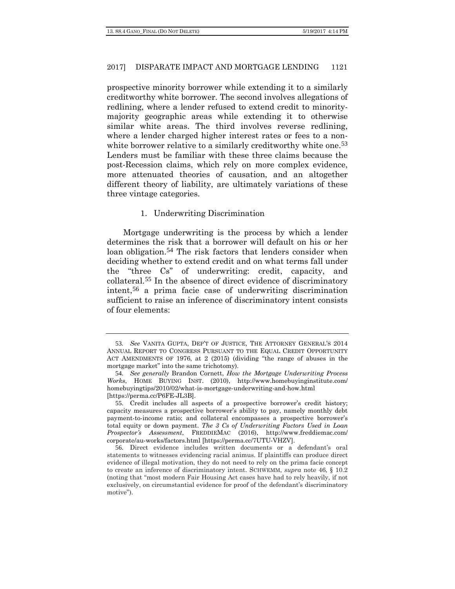prospective minority borrower while extending it to a similarly creditworthy white borrower. The second involves allegations of redlining, where a lender refused to extend credit to minoritymajority geographic areas while extending it to otherwise similar white areas. The third involves reverse redlining, where a lender charged higher interest rates or fees to a non-white borrower relative to a similarly creditworthy white one.<sup>[53](#page-12-0)</sup> Lenders must be familiar with these three claims because the post-Recession claims, which rely on more complex evidence, more attenuated theories of causation, and an altogether different theory of liability, are ultimately variations of these three vintage categories.

#### <span id="page-12-4"></span>1. Underwriting Discrimination

Mortgage underwriting is the process by which a lender determines the risk that a borrower will default on his or her loan obligation.<sup>[54](#page-12-1)</sup> The risk factors that lenders consider when deciding whether to extend credit and on what terms fall under the "three Cs" of underwriting: credit, capacity, and collateral.[55](#page-12-2) In the absence of direct evidence of discriminatory intent,[56](#page-12-3) a prima facie case of underwriting discrimination sufficient to raise an inference of discriminatory intent consists of four elements:

<span id="page-12-0"></span><sup>53</sup>*. See* VANITA GUPTA, DEP'T OF JUSTICE, THE ATTORNEY GENERAL'S 2014 ANNUAL REPORT TO CONGRESS PURSUANT TO THE EQUAL CREDIT OPPORTUNITY ACT AMENDMENTS OF 1976, at 2 (2015) (dividing "the range of abuses in the mortgage market" into the same trichotomy).

<span id="page-12-1"></span><sup>54</sup>*. See generally* Brandon Cornett, *How the Mortgage Underwriting Process Works*, HOME BUYING INST. (2010), http://www.homebuyinginstitute.com/ homebuyingtips/2010/02/what-is-mortgage-underwriting-and-how.html [https://perma.cc/P6FE-JL3B].

<span id="page-12-2"></span><sup>55</sup>. Credit includes all aspects of a prospective borrower's credit history; capacity measures a prospective borrower's ability to pay, namely monthly debt payment-to-income ratio; and collateral encompasses a prospective borrower's total equity or down payment. *The 3 Cs of Underwriting Factors Used in Loan Prospector's Assessment*, FREDDIEMAC (2016), http://www.freddiemac.com/ corporate/au-works/factors.html [https://perma.cc/7UTU-VHZV].

<span id="page-12-3"></span><sup>56</sup>. Direct evidence includes written documents or a defendant's oral statements to witnesses evidencing racial animus. If plaintiffs can produce direct evidence of illegal motivation, they do not need to rely on the prima facie concept to create an inference of discriminatory intent. SCHWEMM, *supra* note [46,](#page-10-8) § 10.2 (noting that "most modern Fair Housing Act cases have had to rely heavily, if not exclusively, on circumstantial evidence for proof of the defendant's discriminatory motive").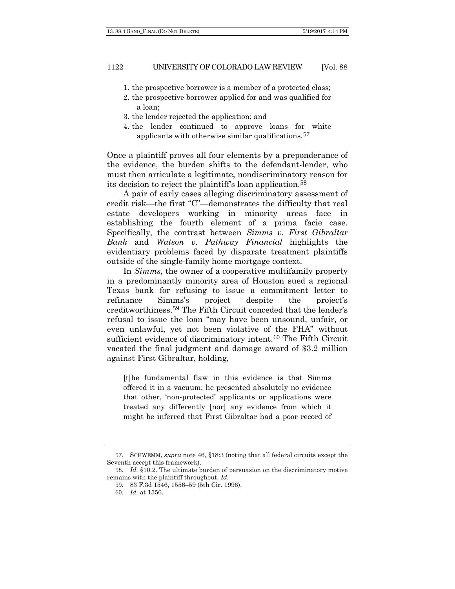- 1. the prospective borrower is a member of a protected class;
- 2. the prospective borrower applied for and was qualified for a loan;
- 3. the lender rejected the application; and
- 4. the lender continued to approve loans for white applicants with otherwise similar qualifications.[57](#page-13-0)

Once a plaintiff proves all four elements by a preponderance of the evidence, the burden shifts to the defendant-lender, who must then articulate a legitimate, nondiscriminatory reason for its decision to reject the plaintiff's loan application.[58](#page-13-1)

A pair of early cases alleging discriminatory assessment of credit risk—the first "C"—demonstrates the difficulty that real estate developers working in minority areas face in establishing the fourth element of a prima facie case. Specifically, the contrast between *Simms v. First Gibraltar Bank* and *Watson v. Pathway Financial* highlights the evidentiary problems faced by disparate treatment plaintiffs outside of the single-family home mortgage context.

In *Simms*, the owner of a cooperative multifamily property in a predominantly minority area of Houston sued a regional Texas bank for refusing to issue a commitment letter to refinance Simms's project despite the project's creditworthiness.[59](#page-13-2) The Fifth Circuit conceded that the lender's refusal to issue the loan "may have been unsound, unfair, or even unlawful, yet not been violative of the FHA" without sufficient evidence of discriminatory intent.<sup>[60](#page-13-3)</sup> The Fifth Circuit vacated the final judgment and damage award of \$3.2 million against First Gibraltar, holding,

[t]he fundamental flaw in this evidence is that Simms offered it in a vacuum; he presented absolutely no evidence that other, 'non-protected' applicants or applications were treated any differently [nor] any evidence from which it might be inferred that First Gibraltar had a poor record of

<span id="page-13-1"></span><span id="page-13-0"></span><sup>57</sup>. SCHWEMM, *supra* note [46,](#page-10-8) §18:3 (noting that all federal circuits except the Seventh accept this framework).

<span id="page-13-3"></span><span id="page-13-2"></span><sup>58</sup>*. Id.* §10.2. The ultimate burden of persuasion on the discriminatory motive remains with the plaintiff throughout. *Id.*

<sup>59</sup>. 83 F.3d 1546, 1556–59 (5th Cir. 1996).

<sup>60</sup>*. Id.* at 1556.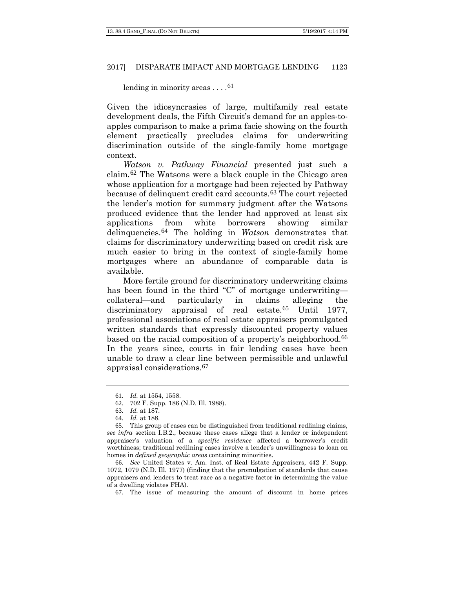#### lending in minority areas  $\dots$ .<sup>[61](#page-14-0)</sup>

Given the idiosyncrasies of large, multifamily real estate development deals, the Fifth Circuit's demand for an apples-toapples comparison to make a prima facie showing on the fourth element practically precludes claims for underwriting discrimination outside of the single-family home mortgage context.

*Watson v. Pathway Financial* presented just such a claim.[62](#page-14-1) The Watsons were a black couple in the Chicago area whose application for a mortgage had been rejected by Pathway because of delinquent credit card accounts.[63](#page-14-2) The court rejected the lender's motion for summary judgment after the Watsons produced evidence that the lender had approved at least six applications from white borrowers showing similar delinquencies.[64](#page-14-3) The holding in *Watson* demonstrates that claims for discriminatory underwriting based on credit risk are much easier to bring in the context of single-family home mortgages where an abundance of comparable data is available.

More fertile ground for discriminatory underwriting claims has been found in the third "C" of mortgage underwriting collateral—and particularly in claims alleging the discriminatory appraisal of real estate.<sup>[65](#page-14-4)</sup> Until 1977, professional associations of real estate appraisers promulgated written standards that expressly discounted property values based on the racial composition of a property's neighborhood.[66](#page-14-5) In the years since, courts in fair lending cases have been unable to draw a clear line between permissible and unlawful appraisal considerations.[67](#page-14-6)

<sup>61</sup>*. Id.* at 1554, 1558.

<sup>62</sup>. 702 F. Supp. 186 (N.D. Ill. 1988).

<sup>63</sup>*. Id.* at 187.

<sup>64</sup>*. Id.* at 188.

<span id="page-14-4"></span><span id="page-14-3"></span><span id="page-14-2"></span><span id="page-14-1"></span><span id="page-14-0"></span><sup>65</sup>. This group of cases can be distinguished from traditional redlining claims, *see infra* section I.B.2., because these cases allege that a lender or independent appraiser's valuation of a *specific residence* affected a borrower's credit worthiness; traditional redlining cases involve a lender's unwillingness to loan on homes in *defined geographic areas* containing minorities.

<span id="page-14-6"></span><span id="page-14-5"></span><sup>66</sup>*. See* United States v. Am. Inst. of Real Estate Appraisers, 442 F. Supp. 1072, 1079 (N.D. Ill. 1977) (finding that the promulgation of standards that cause appraisers and lenders to treat race as a negative factor in determining the value of a dwelling violates FHA).

<sup>67</sup>. The issue of measuring the amount of discount in home prices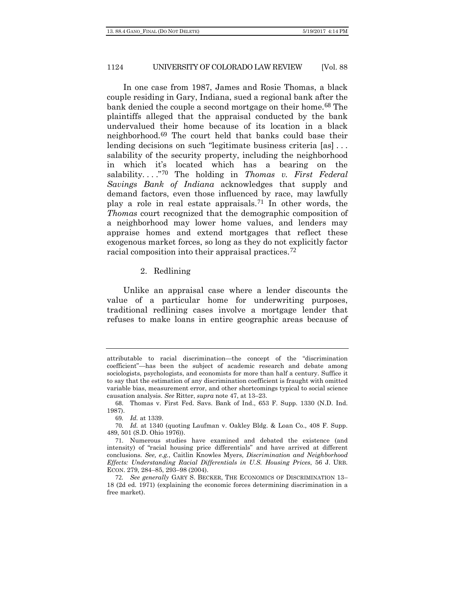In one case from 1987, James and Rosie Thomas, a black couple residing in Gary, Indiana, sued a regional bank after the bank denied the couple a second mortgage on their home.<sup>[68](#page-15-0)</sup> The plaintiffs alleged that the appraisal conducted by the bank undervalued their home because of its location in a black neighborhood.[69](#page-15-1) The court held that banks could base their lending decisions on such "legitimate business criteria [as] . . . salability of the security property, including the neighborhood in which it's located which has a bearing on the salability. . . ."[70](#page-15-2) The holding in *Thomas v. First Federal Savings Bank of Indiana* acknowledges that supply and demand factors, even those influenced by race, may lawfully play a role in real estate appraisals.[71](#page-15-3) In other words, the *Thomas* court recognized that the demographic composition of a neighborhood may lower home values, and lenders may appraise homes and extend mortgages that reflect these exogenous market forces, so long as they do not explicitly factor racial composition into their appraisal practices.[72](#page-15-4)

#### 2. Redlining

Unlike an appraisal case where a lender discounts the value of a particular home for underwriting purposes, traditional redlining cases involve a mortgage lender that refuses to make loans in entire geographic areas because of

attributable to racial discrimination—the concept of the "discrimination coefficient"—has been the subject of academic research and debate among sociologists, psychologists, and economists for more than half a century. Suffice it to say that the estimation of any discrimination coefficient is fraught with omitted variable bias, measurement error, and other shortcomings typical to social science causation analysis. *See* Ritter, *supra* not[e 47,](#page-11-6) at 13–23.

<span id="page-15-0"></span><sup>68</sup>. Thomas v. First Fed. Savs. Bank of Ind., 653 F. Supp. 1330 (N.D. Ind. 1987).

<sup>69</sup>*. Id.* at 1339.

<span id="page-15-2"></span><span id="page-15-1"></span><sup>70</sup>*. Id.* at 1340 (quoting Laufman v. Oakley Bldg. & Loan Co., 408 F. Supp. 489, 501 (S.D. Ohio 1976)).

<span id="page-15-3"></span><sup>71</sup>. Numerous studies have examined and debated the existence (and intensity) of "racial housing price differentials" and have arrived at different conclusions. *See, e.g.*, Caitlin Knowles Myers, *Discrimination and Neighborhood Effects: Understanding Racial Differentials in U.S. Housing Prices*, 56 J. URB. ECON. 279, 284–85, 293–98 (2004).

<span id="page-15-4"></span><sup>72</sup>*. See generally* GARY S. BECKER, THE ECONOMICS OF DISCRIMINATION 13– 18 (2d ed. 1971) (explaining the economic forces determining discrimination in a free market).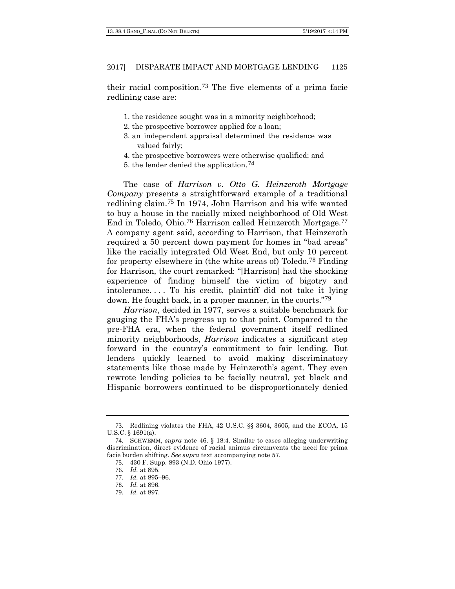their racial composition.[73](#page-16-0) The five elements of a prima facie redlining case are:

- 1. the residence sought was in a minority neighborhood;
- 2. the prospective borrower applied for a loan;
- 3. an independent appraisal determined the residence was valued fairly;
- 4. the prospective borrowers were otherwise qualified; and
- 5. the lender denied the application.[74](#page-16-1)

The case of *Harrison v. Otto G. Heinzeroth Mortgage Company* presents a straightforward example of a traditional redlining claim.[75](#page-16-2) In 1974, John Harrison and his wife wanted to buy a house in the racially mixed neighborhood of Old West End in Toledo, Ohio.[76](#page-16-3) Harrison called Heinzeroth Mortgage.[77](#page-16-4) A company agent said, according to Harrison, that Heinzeroth required a 50 percent down payment for homes in "bad areas" like the racially integrated Old West End, but only 10 percent for property elsewhere in (the white areas of) Toledo.[78](#page-16-5) Finding for Harrison, the court remarked: "[Harrison] had the shocking experience of finding himself the victim of bigotry and intolerance. . . . To his credit, plaintiff did not take it lying down. He fought back, in a proper manner, in the courts."[79](#page-16-6)

*Harrison*, decided in 1977, serves a suitable benchmark for gauging the FHA's progress up to that point. Compared to the pre-FHA era, when the federal government itself redlined minority neighborhoods, *Harrison* indicates a significant step forward in the country's commitment to fair lending. But lenders quickly learned to avoid making discriminatory statements like those made by Heinzeroth's agent. They even rewrote lending policies to be facially neutral, yet black and Hispanic borrowers continued to be disproportionately denied

<span id="page-16-0"></span><sup>73</sup>. Redlining violates the FHA, 42 U.S.C. §§ 3604, 3605, and the ECOA, 15 U.S.C. § 1691(a).

<span id="page-16-4"></span><span id="page-16-3"></span><span id="page-16-2"></span><span id="page-16-1"></span><sup>74</sup>. SCHWEMM, *supra* note [46,](#page-10-8) § 18:4. Similar to cases alleging underwriting discrimination, direct evidence of racial animus circumvents the need for prima facie burden shifting. *See supra* text accompanying note 57.

<sup>75</sup>. 430 F. Supp. 893 (N.D. Ohio 1977).

<sup>76</sup>*. Id.* at 895.

<sup>77</sup>*. Id.* at 895–96.

<sup>78</sup>*. Id.* at 896.

<span id="page-16-6"></span><span id="page-16-5"></span><sup>79</sup>*. Id.* at 897.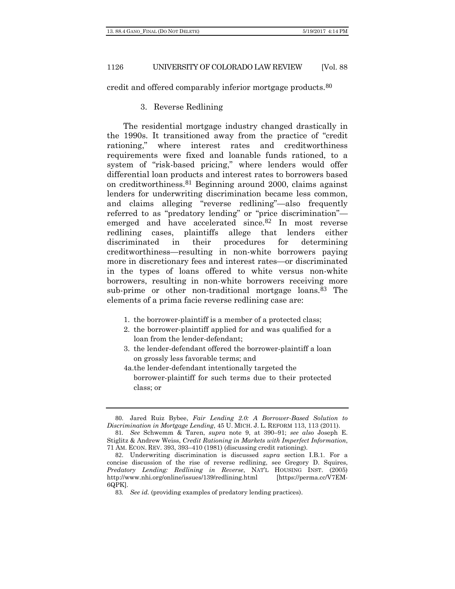credit and offered comparably inferior mortgage products.[80](#page-17-0)

# 3. Reverse Redlining

The residential mortgage industry changed drastically in the 1990s. It transitioned away from the practice of "credit rationing," where interest rates and creditworthiness requirements were fixed and loanable funds rationed, to a system of "risk-based pricing," where lenders would offer differential loan products and interest rates to borrowers based on creditworthiness.[81](#page-17-1) Beginning around 2000, claims against lenders for underwriting discrimination became less common, and claims alleging "reverse redlining"—also frequently referred to as "predatory lending" or "price discrimination" emerged and have accelerated since.[82](#page-17-2) In most reverse redlining cases, plaintiffs allege that lenders either discriminated in their procedures for determining creditworthiness—resulting in non-white borrowers paying more in discretionary fees and interest rates—or discriminated in the types of loans offered to white versus non-white borrowers, resulting in non-white borrowers receiving more sub-prime or other non-traditional mortgage loans.<sup>[83](#page-17-3)</sup> The elements of a prima facie reverse redlining case are:

- 1. the borrower-plaintiff is a member of a protected class;
- 2. the borrower-plaintiff applied for and was qualified for a loan from the lender-defendant;
- 3. the lender-defendant offered the borrower-plaintiff a loan on grossly less favorable terms; and
- 4a.the lender-defendant intentionally targeted the borrower-plaintiff for such terms due to their protected class; or

<span id="page-17-0"></span><sup>80</sup>. Jared Ruiz Bybee, *Fair Lending 2.0: A Borrower-Based Solution to Discrimination in Mortgage Lending*, 45 U. MICH. J. L. REFORM 113, 113 (2011).

<span id="page-17-1"></span><sup>81</sup>*. See* Schwemm & Taren, *supra* note 9, at 390–91; *see also* Joseph E. Stiglitz & Andrew Weiss, *Credit Rationing in Markets with Imperfect Information*, 71 AM. ECON. REV. 393, 393–410 (1981) (discussing credit rationing).

<span id="page-17-3"></span><span id="page-17-2"></span><sup>82</sup>. Underwriting discrimination is discussed *supra* section I.B.1. For a concise discussion of the rise of reverse redlining, see Gregory D. Squires, *Predatory Lending: Redlining in Reverse*, NAT'L HOUSING INST. (2005) http://www.nhi.org/online/issues/139/redlining.html [https://perma.cc/V7EM-6QPK].

<sup>83</sup>*. See id.* (providing examples of predatory lending practices).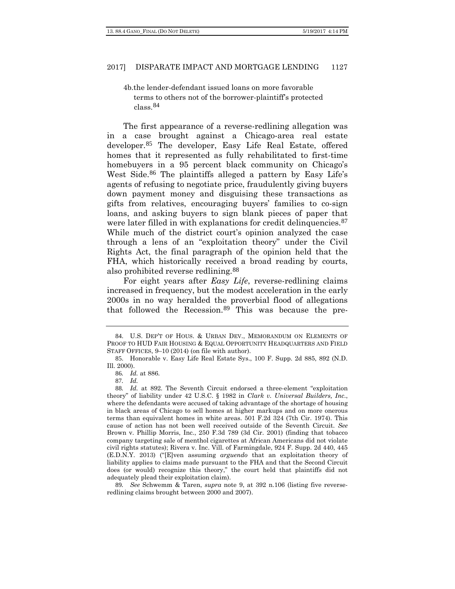4b.the lender-defendant issued loans on more favorable terms to others not of the borrower-plaintiff's protected class.[84](#page-18-0)

The first appearance of a reverse-redlining allegation was in a case brought against a Chicago-area real estate developer.[85](#page-18-1) The developer, Easy Life Real Estate, offered homes that it represented as fully rehabilitated to first-time homebuyers in a 95 percent black community on Chicago's West Side.<sup>[86](#page-18-2)</sup> The plaintiffs alleged a pattern by Easy Life's agents of refusing to negotiate price, fraudulently giving buyers down payment money and disguising these transactions as gifts from relatives, encouraging buyers' families to co-sign loans, and asking buyers to sign blank pieces of paper that were later filled in with explanations for credit delinquencies.<sup>[87](#page-18-3)</sup> While much of the district court's opinion analyzed the case through a lens of an "exploitation theory" under the Civil Rights Act, the final paragraph of the opinion held that the FHA, which historically received a broad reading by courts, also prohibited reverse redlining.[88](#page-18-4)

For eight years after *Easy Life*, reverse-redlining claims increased in frequency, but the modest acceleration in the early 2000s in no way heralded the proverbial flood of allegations that followed the Recession.[89](#page-18-5) This was because the pre-

<span id="page-18-0"></span><sup>84</sup>. U.S. DEP'T OF HOUS. & URBAN DEV., MEMORANDUM ON ELEMENTS OF PROOF TO HUD FAIR HOUSING & EQUAL OPPORTUNITY HEADQUARTERS AND FIELD STAFF OFFICES, 9–10 (2014) (on file with author).

<span id="page-18-2"></span><span id="page-18-1"></span><sup>85</sup>. Honorable v. Easy Life Real Estate Sys., 100 F. Supp. 2d 885, 892 (N.D. Ill. 2000).

<sup>86</sup>*. Id.* at 886.

<sup>87</sup>*. Id.*

<span id="page-18-4"></span><span id="page-18-3"></span><sup>88</sup>*. Id.* at 892. The Seventh Circuit endorsed a three-element "exploitation theory" of liability under 42 U.S.C. § 1982 in *Clark v. Universal Builders, Inc.*, where the defendants were accused of taking advantage of the shortage of housing in black areas of Chicago to sell homes at higher markups and on more onerous terms than equivalent homes in white areas. 501 F.2d 324 (7th Cir. 1974). This cause of action has not been well received outside of the Seventh Circuit. *See*  Brown v. Phillip Morris, Inc., 250 F.3d 789 (3d Cir. 2001) (finding that tobacco company targeting sale of menthol cigarettes at African Americans did not violate civil rights statutes); Rivera v. Inc. Vill. of Farmingdale, 924 F. Supp. 2d 440, 445 (E.D.N.Y. 2013) ("[E]ven assuming *arguendo* that an exploitation theory of liability applies to claims made pursuant to the FHA and that the Second Circuit does (or would) recognize this theory," the court held that plaintiffs did not adequately plead their exploitation claim).

<span id="page-18-5"></span><sup>89</sup>*. See* Schwemm & Taren, *supra* note 9, at 392 n.106 (listing five reverseredlining claims brought between 2000 and 2007).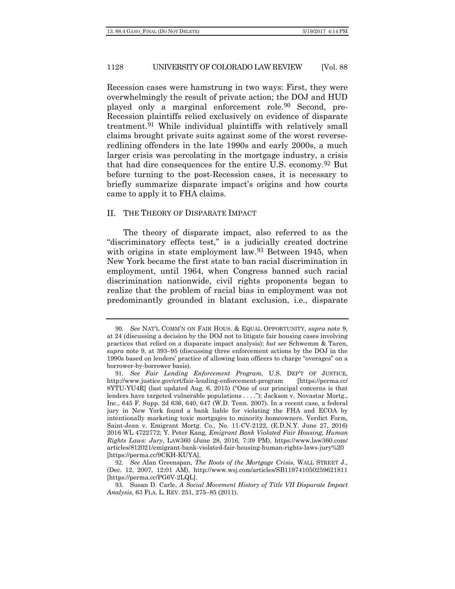Recession cases were hamstrung in two ways: First, they were overwhelmingly the result of private action; the DOJ and HUD played only a marginal enforcement role.[90](#page-19-0) Second, pre-Recession plaintiffs relied exclusively on evidence of disparate treatment.[91](#page-19-1) While individual plaintiffs with relatively small claims brought private suits against some of the worst reverseredlining offenders in the late 1990s and early 2000s, a much larger crisis was percolating in the mortgage industry, a crisis that had dire consequences for the entire U.S. economy.[92](#page-19-2) But before turning to the post-Recession cases, it is necessary to briefly summarize disparate impact's origins and how courts came to apply it to FHA claims.

#### II. THE THEORY OF DISPARATE IMPACT

<span id="page-19-4"></span>The theory of disparate impact, also referred to as the "discriminatory effects test," is a judicially created doctrine with origins in state employment law.<sup>[93](#page-19-3)</sup> Between 1945, when New York became the first state to ban racial discrimination in employment, until 1964, when Congress banned such racial discrimination nationwide, civil rights proponents began to realize that the problem of racial bias in employment was not predominantly grounded in blatant exclusion, i.e., disparate

<span id="page-19-0"></span><sup>90</sup>*. See* NAT'L COMM'N ON FAIR HOUS. & EQUAL OPPORTUNITY, *supra* note 9, at 24 (discussing a decision by the DOJ not to litigate fair housing cases involving practices that relied on a disparate impact analysis); *but see* Schwemm & Taren, *supra* note 9, at 393–95 (discussing three enforcement actions by the DOJ in the 1990s based on lenders' practice of allowing loan officers to charge "overages" on a borrower-by-borrower basis).

<span id="page-19-1"></span><sup>91</sup>. *See Fair Lending Enforcement Program,* U.S. DEP'T OF JUSTICE, http://www.justice.gov/crt/fair-lending-enforcement-program [https://perma.cc/ 8YTU-YU4R] (last updated Aug. 6, 2015) ("One of our principal concerns is that lenders have targeted vulnerable populations . . . ."); Jackson v. Novastar Mortg., Inc., 645 F. Supp. 2d 636, 640, 647 (W.D. Tenn. 2007). In a recent case, a federal jury in New York found a bank liable for violating the FHA and ECOA by intentionally marketing toxic mortgages to minority homeowners. Verdict Form, Saint-Jean v. Emigrant Mortg. Co., No. 11-CV-2122, (E.D.N.Y. June 27, 2016) 2016 WL 4722772; Y. Peter Kang, *Emigrant Bank Violated Fair Housing, Human Rights Laws: Jury*, LAW360 (June 28, 2016, 7:39 PM), https://www.law360.com/ articles/812021/emigrant-bank-violated-fair-housing-human-rights-laws-jury%20 [https://perma.cc/9CKH-KUYA].

<span id="page-19-2"></span><sup>92</sup>*. See* Alan Greenspan, *The Roots of the Mortgage Crisis*, WALL STREET J., (Dec. 12, 2007, 12:01 AM), http://www.wsj.com/articles/SB119741050259621811 [https://perma.cc/PG6V-2LQL].

<span id="page-19-3"></span><sup>93</sup>. Susan D. Carle, *A Social Movement History of Title VII Disparate Impact Analysis*, 63 FLA. L. REV. 251, 275–85 (2011).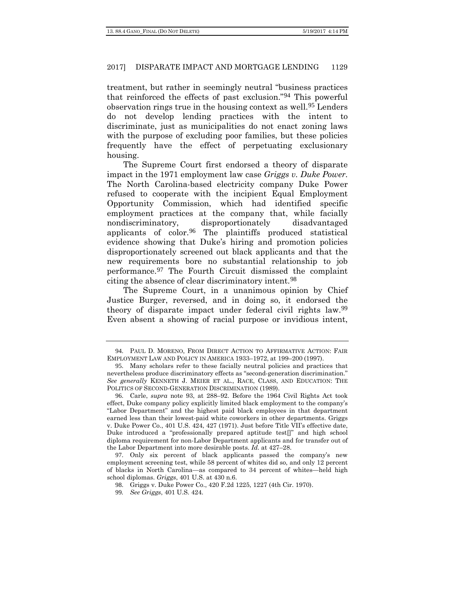treatment, but rather in seemingly neutral "business practices that reinforced the effects of past exclusion."[94](#page-20-0) This powerful observation rings true in the housing context as well.[95](#page-20-1) Lenders do not develop lending practices with the intent to discriminate, just as municipalities do not enact zoning laws with the purpose of excluding poor families, but these policies frequently have the effect of perpetuating exclusionary housing.

The Supreme Court first endorsed a theory of disparate impact in the 1971 employment law case *Griggs v. Duke Power*. The North Carolina-based electricity company Duke Power refused to cooperate with the incipient Equal Employment Opportunity Commission, which had identified specific employment practices at the company that, while facially nondiscriminatory, disproportionately disadvantaged applicants of color.[96](#page-20-2) The plaintiffs produced statistical evidence showing that Duke's hiring and promotion policies disproportionately screened out black applicants and that the new requirements bore no substantial relationship to job performance.[97](#page-20-3) The Fourth Circuit dismissed the complaint citing the absence of clear discriminatory intent.[98](#page-20-4)

The Supreme Court, in a unanimous opinion by Chief Justice Burger, reversed, and in doing so, it endorsed the theory of disparate impact under federal civil rights law.[99](#page-20-5) Even absent a showing of racial purpose or invidious intent,

<span id="page-20-0"></span><sup>94</sup>. PAUL D. MORENO, FROM DIRECT ACTION TO AFFIRMATIVE ACTION: FAIR EMPLOYMENT LAW AND POLICY IN AMERICA 1933–1972, at 199–200 (1997).

<span id="page-20-1"></span><sup>95</sup>. Many scholars refer to these facially neutral policies and practices that nevertheless produce discriminatory effects as "second-generation discrimination." *See generally* KENNETH J. MEIER ET AL., RACE, CLASS, AND EDUCATION: THE POLITICS OF SECOND-GENERATION DISCRIMINATION (1989).

<span id="page-20-2"></span><sup>96</sup>. Carle, *supra* note [93,](#page-19-4) at 288–92. Before the 1964 Civil Rights Act took effect, Duke company policy explicitly limited black employment to the company's "Labor Department" and the highest paid black employees in that department earned less than their lowest-paid white coworkers in other departments. Griggs v. Duke Power Co., 401 U.S. 424, 427 (1971). Just before Title VII's effective date, Duke introduced a "professionally prepared aptitude test[]" and high school diploma requirement for non-Labor Department applicants and for transfer out of the Labor Department into more desirable posts. *Id.* at 427–28.

<span id="page-20-5"></span><span id="page-20-4"></span><span id="page-20-3"></span><sup>97</sup>. Only six percent of black applicants passed the company's new employment screening test, while 58 percent of whites did so, and only 12 percent of blacks in North Carolina—as compared to 34 percent of whites—held high school diplomas. *Griggs*, 401 U.S. at 430 n.6.

<sup>98</sup>. Griggs v. Duke Power Co., 420 F.2d 1225, 1227 (4th Cir. 1970).

<sup>99</sup>*. See Griggs*, 401 U.S. 424.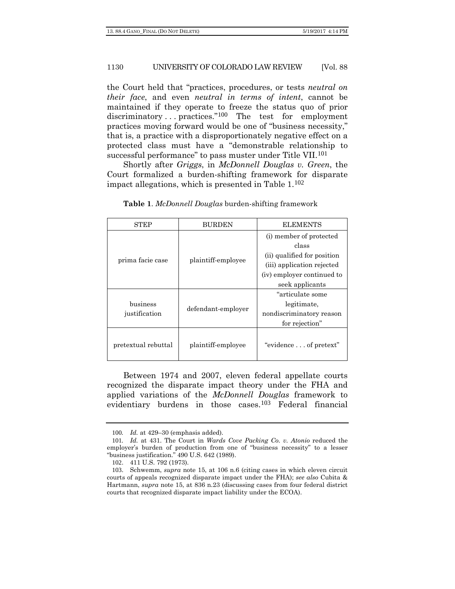the Court held that "practices, procedures, or tests *neutral on their face*, and even *neutral in terms of intent*, cannot be maintained if they operate to freeze the status quo of prior discriminatory ... practices."<sup>[100](#page-21-0)</sup> The test for employment practices moving forward would be one of "business necessity," that is, a practice with a disproportionately negative effect on a protected class must have a "demonstrable relationship to successful performance" to pass muster under Title VII.[101](#page-21-1)

Shortly after *Griggs*, in *McDonnell Douglas v. Green*, the Court formalized a burden-shifting framework for disparate impact allegations, which is presented in Table 1.[102](#page-21-2)

| STEP                | BURDEN             | <b>ELEMENTS</b>             |  |  |  |  |  |
|---------------------|--------------------|-----------------------------|--|--|--|--|--|
|                     | plaintiff-employee | (i) member of protected     |  |  |  |  |  |
|                     |                    | class                       |  |  |  |  |  |
| prima facie case    |                    | (ii) qualified for position |  |  |  |  |  |
|                     |                    | (iii) application rejected  |  |  |  |  |  |
|                     |                    | (iv) employer continued to  |  |  |  |  |  |
|                     |                    | seek applicants             |  |  |  |  |  |
|                     |                    | "articulate some            |  |  |  |  |  |
| business            | defendant-employer | legitimate,                 |  |  |  |  |  |
| justification       |                    | nondiscriminatory reason    |  |  |  |  |  |
|                     |                    | for rejection"              |  |  |  |  |  |
| pretextual rebuttal | plaintiff-employee | "evidence of pretext"       |  |  |  |  |  |

**Table 1**. *McDonnell Douglas* burden-shifting framework

Between 1974 and 2007, eleven federal appellate courts recognized the disparate impact theory under the FHA and applied variations of the *McDonnell Douglas* framework to evidentiary burdens in those cases.[103](#page-21-3) Federal financial

<sup>100</sup>*. Id.* at 429–30 (emphasis added).

<span id="page-21-1"></span><span id="page-21-0"></span><sup>101</sup>*. Id.* at 431. The Court in *Wards Cove Packing Co. v. Atonio* reduced the employer's burden of production from one of "business necessity" to a lesser "business justification." 490 U.S. 642 (1989).

<sup>102</sup>. 411 U.S. 792 (1973).

<span id="page-21-3"></span><span id="page-21-2"></span><sup>103</sup>. Schwemm, *supra* note 15, at 106 n.6 (citing cases in which eleven circuit courts of appeals recognized disparate impact under the FHA); *see also* Cubita & Hartmann, *supra* note 15, at 836 n.23 (discussing cases from four federal district courts that recognized disparate impact liability under the ECOA).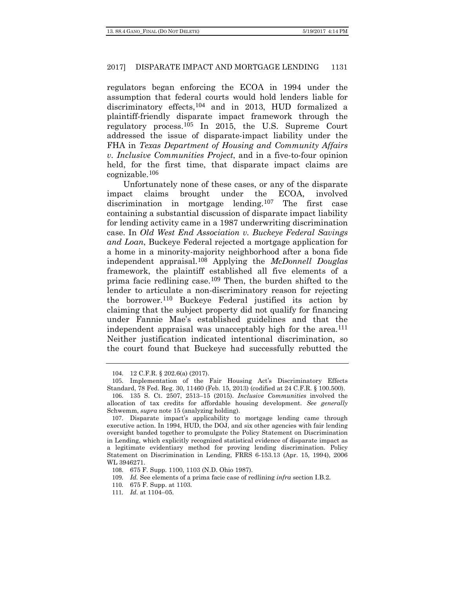regulators began enforcing the ECOA in 1994 under the assumption that federal courts would hold lenders liable for discriminatory effects,[104](#page-22-0) and in 2013, HUD formalized a plaintiff-friendly disparate impact framework through the regulatory process.[105](#page-22-1) In 2015, the U.S. Supreme Court addressed the issue of disparate-impact liability under the FHA in *Texas Department of Housing and Community Affairs v. Inclusive Communities Project*, and in a five-to-four opinion held, for the first time, that disparate impact claims are cognizable.[106](#page-22-2)

Unfortunately none of these cases, or any of the disparate impact claims brought under the ECOA, involved discrimination in mortgage lending.[107](#page-22-3) The first case containing a substantial discussion of disparate impact liability for lending activity came in a 1987 underwriting discrimination case. In *Old West End Association v. Buckeye Federal Savings and Loan*, Buckeye Federal rejected a mortgage application for a home in a minority-majority neighborhood after a bona fide independent appraisal.[108](#page-22-4) Applying the *McDonnell Douglas* framework, the plaintiff established all five elements of a prima facie redlining case.[109](#page-22-5) Then, the burden shifted to the lender to articulate a non-discriminatory reason for rejecting the borrower.[110](#page-22-6) Buckeye Federal justified its action by claiming that the subject property did not qualify for financing under Fannie Mae's established guidelines and that the independent appraisal was unacceptably high for the area.<sup>[111](#page-22-7)</sup> Neither justification indicated intentional discrimination, so the court found that Buckeye had successfully rebutted the

<sup>104</sup>. 12 C.F.R. § 202.6(a) (2017).

<span id="page-22-1"></span><span id="page-22-0"></span><sup>105</sup>. Implementation of the Fair Housing Act's Discriminatory Effects Standard, 78 Fed. Reg. 30, 11460 (Feb. 15, 2013) (codified at 24 C.F.R. § 100.500).

<span id="page-22-2"></span><sup>106</sup>. 135 S. Ct. 2507, 2513–15 (2015). *Inclusive Communities* involved the allocation of tax credits for affordable housing development. *See generally*  Schwemm, *supra* note 15 (analyzing holding).

<span id="page-22-3"></span><sup>107</sup>. Disparate impact's applicability to mortgage lending came through executive action. In 1994, HUD, the DOJ, and six other agencies with fair lending oversight banded together to promulgate the Policy Statement on Discrimination in Lending, which explicitly recognized statistical evidence of disparate impact as a legitimate evidentiary method for proving lending discrimination. Policy Statement on Discrimination in Lending, FRRS 6-153.13 (Apr. 15, 1994), 2006 WL 3946271.

<span id="page-22-4"></span><sup>108</sup>. 675 F. Supp. 1100, 1103 (N.D. Ohio 1987).

<span id="page-22-5"></span><sup>109</sup>*. Id.* See elements of a prima facie case of redlining *infra* section I.B.2.

<span id="page-22-6"></span><sup>110</sup>*.* 675 F. Supp. at 1103.

<span id="page-22-7"></span><sup>111</sup>*. Id.* at 1104–05.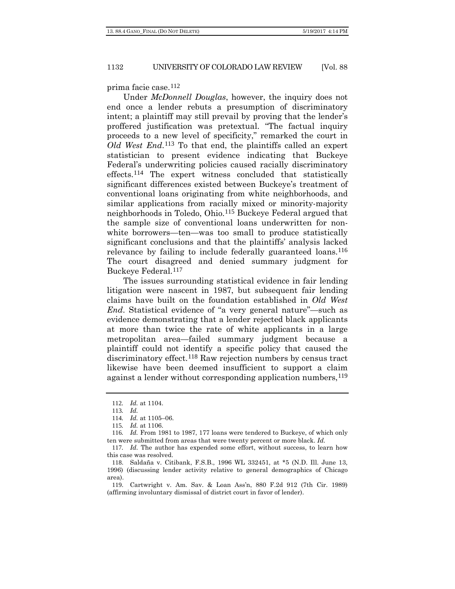#### prima facie case.[112](#page-23-0)

Under *McDonnell Douglas*, however, the inquiry does not end once a lender rebuts a presumption of discriminatory intent; a plaintiff may still prevail by proving that the lender's proffered justification was pretextual. "The factual inquiry proceeds to a new level of specificity," remarked the court in *Old West End*.[113](#page-23-1) To that end, the plaintiffs called an expert statistician to present evidence indicating that Buckeye Federal's underwriting policies caused racially discriminatory effects.[114](#page-23-2) The expert witness concluded that statistically significant differences existed between Buckeye's treatment of conventional loans originating from white neighborhoods, and similar applications from racially mixed or minority-majority neighborhoods in Toledo, Ohio.[115](#page-23-3) Buckeye Federal argued that the sample size of conventional loans underwritten for nonwhite borrowers—ten—was too small to produce statistically significant conclusions and that the plaintiffs' analysis lacked relevance by failing to include federally guaranteed loans.<sup>[116](#page-23-4)</sup> The court disagreed and denied summary judgment for Buckeye Federal.[117](#page-23-5)

The issues surrounding statistical evidence in fair lending litigation were nascent in 1987, but subsequent fair lending claims have built on the foundation established in *Old West End.* Statistical evidence of "a very general nature"—such as evidence demonstrating that a lender rejected black applicants at more than twice the rate of white applicants in a large metropolitan area—failed summary judgment because a plaintiff could not identify a specific policy that caused the discriminatory effect.[118](#page-23-6) Raw rejection numbers by census tract likewise have been deemed insufficient to support a claim against a lender without corresponding application numbers,  $^{119}$  $^{119}$  $^{119}$ 

<sup>112</sup>*. Id.* at 1104.

<sup>113</sup>*. Id.*

<sup>114</sup>*. Id.* at 1105–06.

<sup>115</sup>*. Id.* at 1106.

<span id="page-23-4"></span><span id="page-23-3"></span><span id="page-23-2"></span><span id="page-23-1"></span><span id="page-23-0"></span><sup>116</sup>*. Id.* From 1981 to 1987, 177 loans were tendered to Buckeye, of which only ten were submitted from areas that were twenty percent or more black. *Id.*

<span id="page-23-5"></span><sup>117</sup>*. Id.* The author has expended some effort, without success, to learn how this case was resolved.

<span id="page-23-6"></span><sup>118</sup>. Saldaña v. Citibank, F.S.B., 1996 WL 332451, at \*5 (N.D. Ill. June 13, 1996) (discussing lender activity relative to general demographics of Chicago area).

<span id="page-23-7"></span><sup>119</sup>. Cartwright v. Am. Sav. & Loan Ass'n, 880 F.2d 912 (7th Cir. 1989) (affirming involuntary dismissal of district court in favor of lender).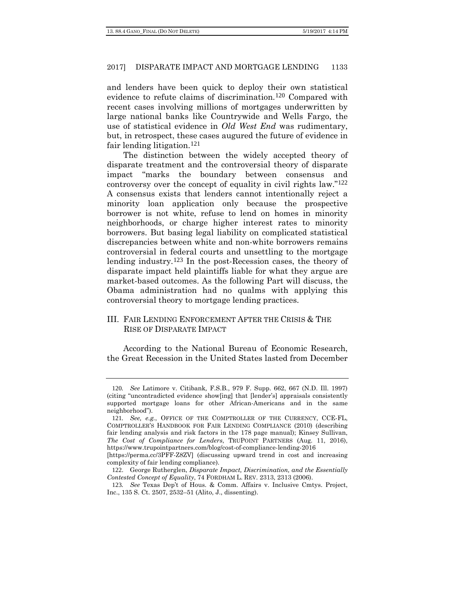and lenders have been quick to deploy their own statistical evidence to refute claims of discrimination.[120](#page-24-0) Compared with recent cases involving millions of mortgages underwritten by large national banks like Countrywide and Wells Fargo, the use of statistical evidence in *Old West End* was rudimentary, but, in retrospect, these cases augured the future of evidence in fair lending litigation.[121](#page-24-1)

The distinction between the widely accepted theory of disparate treatment and the controversial theory of disparate impact "marks the boundary between consensus and controversy over the concept of equality in civil rights law."[122](#page-24-2) A consensus exists that lenders cannot intentionally reject a minority loan application only because the prospective borrower is not white, refuse to lend on homes in minority neighborhoods, or charge higher interest rates to minority borrowers. But basing legal liability on complicated statistical discrepancies between white and non-white borrowers remains controversial in federal courts and unsettling to the mortgage lending industry.[123](#page-24-3) In the post-Recession cases, the theory of disparate impact held plaintiffs liable for what they argue are market-based outcomes. As the following Part will discuss, the Obama administration had no qualms with applying this controversial theory to mortgage lending practices.

# III. FAIR LENDING ENFORCEMENT AFTER THE CRISIS & THE RISE OF DISPARATE IMPACT

According to the National Bureau of Economic Research, the Great Recession in the United States lasted from December

<span id="page-24-0"></span><sup>120</sup>*. See* Latimore v. Citibank*,* F.S.B*.*, 979 F. Supp. 662, 667 (N.D. Ill. 1997) (citing "uncontradicted evidence show[ing] that [lender's] appraisals consistently supported mortgage loans for other African-Americans and in the same neighborhood").

<span id="page-24-1"></span><sup>121</sup>*. See, e.g.*, OFFICE OF THE COMPTROLLER OF THE CURRENCY, CCE-FL, COMPTROLLER'S HANDBOOK FOR FAIR LENDING COMPLIANCE (2010) (describing fair lending analysis and risk factors in the 178 page manual); Kinsey Sullivan, *The Cost of Compliance for Lenders*, TRUPOINT PARTNERS (Aug. 11, 2016), https://www.trupointpartners.com/blog/cost-of-compliance-lending-2016

<sup>[</sup>https://perma.cc/3PFF-Z8ZV] (discussing upward trend in cost and increasing complexity of fair lending compliance).

<span id="page-24-2"></span><sup>122</sup>. George Rutherglen, *Disparate Impact, Discrimination, and the Essentially Contested Concept of Equality*, 74 FORDHAM L. REV. 2313, 2313 (2006).

<span id="page-24-3"></span><sup>123</sup>*. See* Texas Dep't of Hous. & Comm. Affairs v. Inclusive Cmtys. Project, Inc., 135 S. Ct. 2507, 2532–51 (Alito, J., dissenting).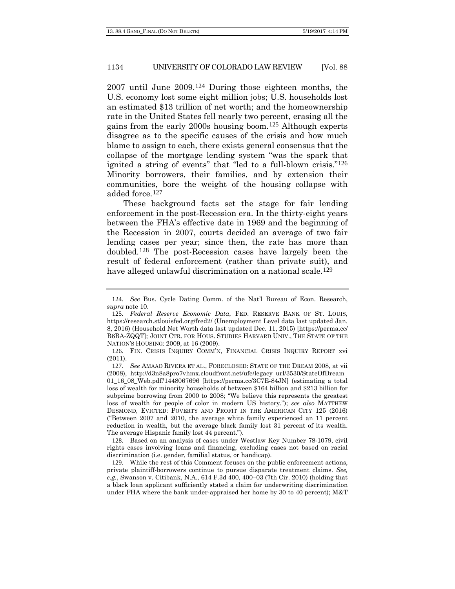2007 until June 2009.[124](#page-25-0) During those eighteen months, the U.S. economy lost some eight million jobs; U.S. households lost an estimated \$13 trillion of net worth; and the homeownership rate in the United States fell nearly two percent, erasing all the gains from the early 2000s housing boom.[125](#page-25-1) Although experts disagree as to the specific causes of the crisis and how much blame to assign to each, there exists general consensus that the collapse of the mortgage lending system "was the spark that ignited a string of events" that "led to a full-blown crisis."[126](#page-25-2) Minority borrowers, their families, and by extension their communities, bore the weight of the housing collapse with added force.[127](#page-25-3)

These background facts set the stage for fair lending enforcement in the post-Recession era. In the thirty-eight years between the FHA's effective date in 1969 and the beginning of the Recession in 2007, courts decided an average of two fair lending cases per year; since then, the rate has more than doubled.[128](#page-25-4) The post-Recession cases have largely been the result of federal enforcement (rather than private suit), and have alleged unlawful discrimination on a national scale.<sup>[129](#page-25-5)</sup>

<span id="page-25-0"></span><sup>124</sup>*. See* Bus. Cycle Dating Comm. of the Nat'l Bureau of Econ. Research, *supra* note 10.

<span id="page-25-1"></span><sup>125</sup>*. Federal Reserve Economic Data*, FED. RESERVE BANK OF ST. LOUIS, https://research.stlouisfed.org/fred2/ (Unemployment Level data last updated Jan. 8, 2016) (Household Net Worth data last updated Dec. 11, 2015) [https://perma.cc/ B6BA-ZQQT]; JOINT CTR. FOR HOUS. STUDIES HARVARD UNIV., THE STATE OF THE NATION'S HOUSING: 2009, at 16 (2009).

<span id="page-25-2"></span><sup>126</sup>. FIN. CRISIS INQUIRY COMM'N, FINANCIAL CRISIS INQUIRY REPORT xvi (2011).

<span id="page-25-3"></span><sup>127</sup>*. See* AMAAD RIVERA ET AL., FORECLOSED: STATE OF THE DREAM 2008, at vii (2008), http://d3n8a8pro7vhmx.cloudfront.net/ufe/legacy\_url/3530/StateOfDream\_ 01\_16\_08\_Web.pdf?1448067696 [https://perma.cc/3C7E-84JN] (estimating a total loss of wealth for minority households of between \$164 billion and \$213 billion for subprime borrowing from 2000 to 2008; "We believe this represents the greatest loss of wealth for people of color in modern US history."); *see also* MATTHEW DESMOND, EVICTED: POVERTY AND PROFIT IN THE AMERICAN CITY 125 (2016) ("Between 2007 and 2010, the average white family experienced an 11 percent reduction in wealth, but the average black family lost 31 percent of its wealth. The average Hispanic family lost 44 percent.").

<span id="page-25-4"></span><sup>128</sup>. Based on an analysis of cases under Westlaw Key Number 78-1079, civil rights cases involving loans and financing, excluding cases not based on racial discrimination (i.e. gender, familial status, or handicap).

<span id="page-25-5"></span><sup>129</sup>. While the rest of this Comment focuses on the public enforcement actions, private plaintiff-borrowers continue to pursue disparate treatment claims. *See, e.g.*, Swanson v. Citibank, N.A., 614 F.3d 400, 400–03 (7th Cir. 2010) (holding that a black loan applicant sufficiently stated a claim for underwriting discrimination under FHA where the bank under-appraised her home by 30 to 40 percent); M&T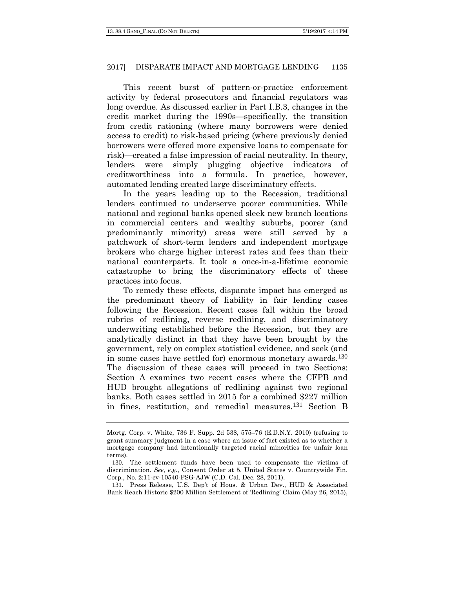This recent burst of pattern-or-practice enforcement activity by federal prosecutors and financial regulators was long overdue. As discussed earlier in Part I.B.3, changes in the credit market during the 1990s—specifically, the transition from credit rationing (where many borrowers were denied access to credit) to risk-based pricing (where previously denied borrowers were offered more expensive loans to compensate for risk)—created a false impression of racial neutrality. In theory, lenders were simply plugging objective indicators of creditworthiness into a formula. In practice, however, automated lending created large discriminatory effects.

In the years leading up to the Recession, traditional lenders continued to underserve poorer communities. While national and regional banks opened sleek new branch locations in commercial centers and wealthy suburbs, poorer (and predominantly minority) areas were still served by a patchwork of short-term lenders and independent mortgage brokers who charge higher interest rates and fees than their national counterparts. It took a once-in-a-lifetime economic catastrophe to bring the discriminatory effects of these practices into focus.

To remedy these effects, disparate impact has emerged as the predominant theory of liability in fair lending cases following the Recession. Recent cases fall within the broad rubrics of redlining, reverse redlining, and discriminatory underwriting established before the Recession, but they are analytically distinct in that they have been brought by the government, rely on complex statistical evidence, and seek (and in some cases have settled for) enormous monetary awards.<sup>[130](#page-26-0)</sup> The discussion of these cases will proceed in two Sections: Section A examines two recent cases where the CFPB and HUD brought allegations of redlining against two regional banks. Both cases settled in 2015 for a combined \$227 million in fines, restitution, and remedial measures.[131](#page-26-1) Section B

Mortg. Corp. v. White, 736 F. Supp. 2d 538, 575–76 (E.D.N.Y. 2010) (refusing to grant summary judgment in a case where an issue of fact existed as to whether a mortgage company had intentionally targeted racial minorities for unfair loan terms).

<span id="page-26-0"></span><sup>130</sup>. The settlement funds have been used to compensate the victims of discrimination. *See, e.g.*, Consent Order at 5, United States v. Countrywide Fin. Corp., No. 2:11-cv-10540-PSG-AJW (C.D. Cal. Dec. 28, 2011).

<span id="page-26-1"></span><sup>131</sup>. Press Release, U.S. Dep't of Hous. & Urban Dev., HUD & Associated Bank Reach Historic \$200 Million Settlement of 'Redlining' Claim (May 26, 2015),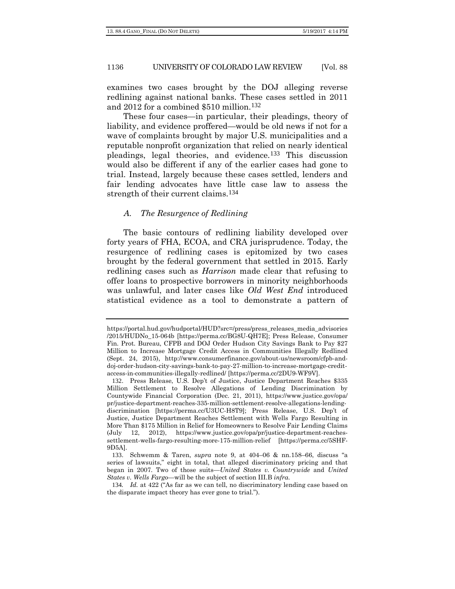examines two cases brought by the DOJ alleging reverse redlining against national banks. These cases settled in 2011 and 2012 for a combined \$510 million.[132](#page-27-0)

These four cases—in particular, their pleadings, theory of liability, and evidence proffered—would be old news if not for a wave of complaints brought by major U.S. municipalities and a reputable nonprofit organization that relied on nearly identical pleadings, legal theories, and evidence.[133](#page-27-1) This discussion would also be different if any of the earlier cases had gone to trial. Instead, largely because these cases settled, lenders and fair lending advocates have little case law to assess the strength of their current claims.[134](#page-27-2)

#### *A. The Resurgence of Redlining*

The basic contours of redlining liability developed over forty years of FHA, ECOA, and CRA jurisprudence. Today, the resurgence of redlining cases is epitomized by two cases brought by the federal government that settled in 2015. Early redlining cases such as *Harrison* made clear that refusing to offer loans to prospective borrowers in minority neighborhoods was unlawful, and later cases like *Old West End* introduced statistical evidence as a tool to demonstrate a pattern of

https://portal.hud.gov/hudportal/HUD?src=/press/press\_releases\_media\_advisories /2015/HUDNo\_15-064b [https://perma.cc/BG8U-QH7E]; Press Release, Consumer Fin. Prot. Bureau, CFPB and DOJ Order Hudson City Savings Bank to Pay \$27 Million to Increase Mortgage Credit Access in Communities Illegally Redlined (Sept. 24, 2015), http://www.consumerfinance.gov/about-us/newsroom/cfpb-anddoj-order-hudson-city-savings-bank-to-pay-27-million-to-increase-mortgage-creditaccess-in-communities-illegally-redlined/ [https://perma.cc/2DU9-WF9V].

<span id="page-27-0"></span><sup>132</sup>. Press Release, U.S. Dep't of Justice, Justice Department Reaches \$335 Million Settlement to Resolve Allegations of Lending Discrimination by Countywide Financial Corporation (Dec. 21, 2011), https://www.justice.gov/opa/ pr/justice-department-reaches-335-million-settlement-resolve-allegations-lendingdiscrimination [https://perma.cc/U3UC-H8T9]; Press Release, U.S. Dep't of Justice, Justice Department Reaches Settlement with Wells Fargo Resulting in More Than \$175 Million in Relief for Homeowners to Resolve Fair Lending Claims (July 12, 2012), https://www.justice.gov/opa/pr/justice-department-reachessettlement-wells-fargo-resulting-more-175-million-relief [https://perma.cc/5SHF-9D5A].

<span id="page-27-1"></span><sup>133</sup>. Schwemm & Taren, *supra* note 9, at 404–06 & nn.158–66, discuss "a series of lawsuits," eight in total, that alleged discriminatory pricing and that began in 2007. Two of those suits—*United States v. Countrywide* and *United States v. Wells Fargo*—will be the subject of section III.B *infra*.

<span id="page-27-2"></span><sup>134</sup>*. Id.* at 422 ("As far as we can tell, no discriminatory lending case based on the disparate impact theory has ever gone to trial.").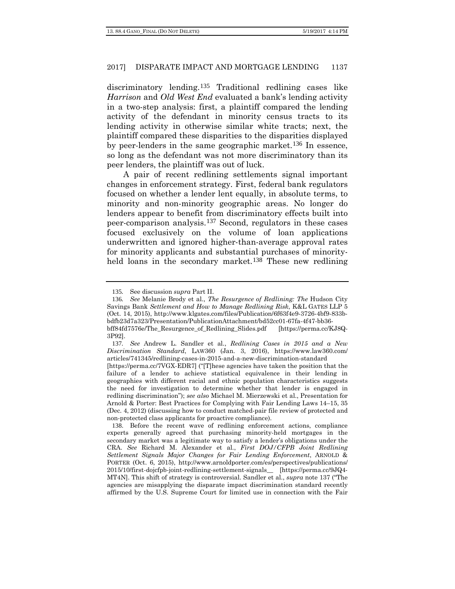discriminatory lending.[135](#page-28-1) Traditional redlining cases like *Harrison* and *Old West End* evaluated a bank's lending activity in a two-step analysis: first, a plaintiff compared the lending activity of the defendant in minority census tracts to its lending activity in otherwise similar white tracts; next, the plaintiff compared these disparities to the disparities displayed by peer-lenders in the same geographic market.[136](#page-28-2) In essence, so long as the defendant was not more discriminatory than its peer lenders, the plaintiff was out of luck.

<span id="page-28-0"></span>A pair of recent redlining settlements signal important changes in enforcement strategy. First, federal bank regulators focused on whether a lender lent equally, in absolute terms, to minority and non-minority geographic areas. No longer do lenders appear to benefit from discriminatory effects built into peer-comparison analysis.[137](#page-28-3) Second, regulators in these cases focused exclusively on the volume of loan applications underwritten and ignored higher-than-average approval rates for minority applicants and substantial purchases of minority-held loans in the secondary market.<sup>[138](#page-28-4)</sup> These new redlining

<span id="page-28-5"></span><sup>135</sup>*.* See discussion *supra* Part II.

<span id="page-28-2"></span><span id="page-28-1"></span><sup>136</sup>*. See* Melanie Brody et al., *The Resurgence of Redlining: The* Hudson City Savings Bank *Settlement and How to Manage Redlining Risk*, K&L GATES LLP 5 (Oct. 14, 2015), http://www.klgates.com/files/Publication/6f63f4e9-3726-4bf9-833bbdfb23d7a323/Presentation/PublicationAttachment/bd52cc01-67fa-4f47-bb36 bff84fd7576e/The\_Resurgence\_of\_Redlining\_Slides.pdf [https://perma.cc/KJ8Q-3P92].

<span id="page-28-3"></span><sup>137</sup>*. See* Andrew L. Sandler et al., *Redlining Cases in 2015 and a New Discrimination Standard*, LAW360 (Jan. 3, 2016), https://www.law360.com/ articles/741345/redlining-cases-in-2015-and-a-new-discrimination-standard

<sup>[</sup>https://perma.cc/7VGX-EDR7] ("[T]hese agencies have taken the position that the failure of a lender to achieve statistical equivalence in their lending in geographies with different racial and ethnic population characteristics suggests the need for investigation to determine whether that lender is engaged in redlining discrimination"); *see also* Michael M. Mierzewski et al., Presentation for Arnold & Porter: Best Practices for Complying with Fair Lending Laws 14–15, 35 (Dec. 4, 2012) (discussing how to conduct matched-pair file review of protected and non-protected class applicants for proactive compliance).

<span id="page-28-4"></span><sup>138</sup>. Before the recent wave of redlining enforcement actions, compliance experts generally agreed that purchasing minority-held mortgages in the secondary market was a legitimate way to satisfy a lender's obligations under the CRA. *See* Richard M. Alexander et al., *First DOJ/CFPB Joint Redlining Settlement Signals Major Changes for Fair Lending Enforcement*, ARNOLD & PORTER (Oct. 6, 2015), http://www.arnoldporter.com/es/perspectives/publications/ 2015/10/first-dojcfpb-joint-redlining-settlement-signals\_\_ [https://perma.cc/9JQ4- MT4N]. This shift of strategy is controversial. Sandler et al., *supra* note [137](#page-28-0) ("The agencies are misapplying the disparate impact discrimination standard recently affirmed by the U.S. Supreme Court for limited use in connection with the Fair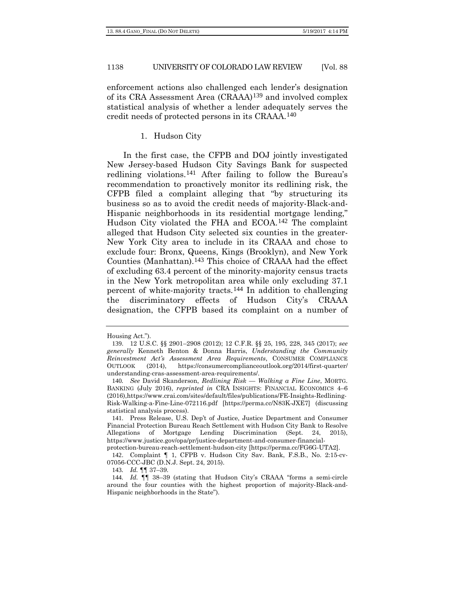enforcement actions also challenged each lender's designation of its CRA Assessment Area (CRAAA)[139](#page-29-0) and involved complex statistical analysis of whether a lender adequately serves the credit needs of protected persons in its CRAAA.[140](#page-29-1)

#### <span id="page-29-6"></span>1. Hudson City

In the first case, the CFPB and DOJ jointly investigated New Jersey-based Hudson City Savings Bank for suspected redlining violations.[141](#page-29-2) After failing to follow the Bureau's recommendation to proactively monitor its redlining risk, the CFPB filed a complaint alleging that "by structuring its business so as to avoid the credit needs of majority-Black-and-Hispanic neighborhoods in its residential mortgage lending," Hudson City violated the FHA and ECOA.[142](#page-29-3) The complaint alleged that Hudson City selected six counties in the greater-New York City area to include in its CRAAA and chose to exclude four: Bronx, Queens, Kings (Brooklyn), and New York Counties (Manhattan).[143](#page-29-4) This choice of CRAAA had the effect of excluding 63.4 percent of the minority-majority census tracts in the New York metropolitan area while only excluding 37.1 percent of white-majority tracts.[144](#page-29-5) In addition to challenging the discriminatory effects of Hudson City's CRAAA designation, the CFPB based its complaint on a number of

Housing Act.").

<span id="page-29-0"></span><sup>139</sup>. 12 U.S.C. §§ 2901–2908 (2012); 12 C.F.R. §§ 25, 195, 228, 345 (2017); *see generally* Kenneth Benton & Donna Harris, *Understanding the Community Reinvestment Act's Assessment Area Requirements*, CONSUMER COMPLIANCE OUTLOOK (2014), https://consumercomplianceoutlook.org/2014/first-quarter/ understanding-cras-assessment-area-requirements/.

<span id="page-29-1"></span><sup>140</sup>*. See* David Skanderson, *Redlining Risk — Walking a Fine Line*, MORTG. BANKING (July 2016), *reprinted in* CRA INSIGHTS: FINANCIAL ECONOMICS 4–6 (2016),https://www.crai.com/sites/default/files/publications/FE-Insights-Redlining-Risk-Walking-a-Fine-Line-072116.pdf [https://perma.cc/N83K-JXE7] (discussing statistical analysis process).

<span id="page-29-2"></span><sup>141</sup>. Press Release, U.S. Dep't of Justice, Justice Department and Consumer Financial Protection Bureau Reach Settlement with Hudson City Bank to Resolve Allegations of Mortgage Lending Discrimination (Sept. 24, 2015), https://www.justice.gov/opa/pr/justice-department-and-consumer-financial-

protection-bureau-reach-settlement-hudson-city [https://perma.cc/FG6G-UTA2].

<span id="page-29-3"></span><sup>142</sup>. Complaint ¶ 1, CFPB v. Hudson City Sav. Bank, F.S.B., No. 2:15-cv-07056-CCC-JBC (D.N.J. Sept. 24, 2015).

<sup>143</sup>*. Id.* ¶¶ 37–39.

<span id="page-29-5"></span><span id="page-29-4"></span><sup>144</sup>*. Id.* ¶¶ 38–39 (stating that Hudson City's CRAAA "forms a semi-circle around the four counties with the highest proportion of majority-Black-and-Hispanic neighborhoods in the State").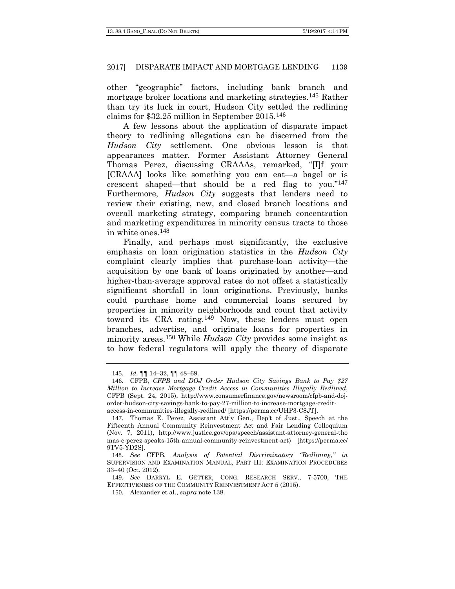other "geographic" factors, including bank branch and mortgage broker locations and marketing strategies.<sup>[145](#page-30-0)</sup> Rather than try its luck in court, Hudson City settled the redlining claims for \$32.25 million in September 2015.[146](#page-30-1)

A few lessons about the application of disparate impact theory to redlining allegations can be discerned from the *Hudson City* settlement. One obvious lesson is that appearances matter. Former Assistant Attorney General Thomas Perez, discussing CRAAAs, remarked, "[I]f your [CRAAA] looks like something you can eat—a bagel or is crescent shaped—that should be a red flag to you."[147](#page-30-2) Furthermore, *Hudson City* suggests that lenders need to review their existing, new, and closed branch locations and overall marketing strategy, comparing branch concentration and marketing expenditures in minority census tracts to those in white ones.[148](#page-30-3)

Finally, and perhaps most significantly, the exclusive emphasis on loan origination statistics in the *Hudson City*  complaint clearly implies that purchase-loan activity—the acquisition by one bank of loans originated by another—and higher-than-average approval rates do not offset a statistically significant shortfall in loan originations. Previously, banks could purchase home and commercial loans secured by properties in minority neighborhoods and count that activity toward its CRA rating.[149](#page-30-4) Now, these lenders must open branches, advertise, and originate loans for properties in minority areas.[150](#page-30-5) While *Hudson City* provides some insight as to how federal regulators will apply the theory of disparate

<sup>145</sup>*. Id.* ¶¶ 14–32, ¶¶ 48–69.

<span id="page-30-1"></span><span id="page-30-0"></span><sup>146</sup>. CFPB, *CFPB and DOJ Order Hudson City Savings Bank to Pay \$27 Million to Increase Mortgage Credit Access in Communities Illegally Redlined*, CFPB (Sept. 24, 2015), http://www.consumerfinance.gov/newsroom/cfpb-and-dojorder-hudson-city-savings-bank-to-pay-27-million-to-increase-mortgage-creditaccess-in-communities-illegally-redlined/ [https://perma.cc/UHP3-C8JT].

<span id="page-30-2"></span><sup>147</sup>. Thomas E. Perez, Assistant Att'y Gen., Dep't of Just., Speech at the Fifteenth Annual Community Reinvestment Act and Fair Lending Colloquium (Nov. 7, 2011), http://www.justice.gov/opa/speech/assistant-attorney-general-tho mas-e-perez-speaks-15th-annual-community-reinvestment-act) [https://perma.cc/ 9TV5-YD2S].

<span id="page-30-3"></span><sup>148</sup>*. See* CFPB, *Analysis of Potential Discriminatory "Redlining*,*" in*  SUPERVISION AND EXAMINATION MANUAL, PART III: EXAMINATION PROCEDURES 33–40 (Oct. 2012).

<span id="page-30-5"></span><span id="page-30-4"></span><sup>149</sup>*. See* DARRYL E. GETTER, CONG. RESEARCH SERV., 7-5700, THE EFFECTIVENESS OF THE COMMUNITY REINVESTMENT ACT 5 (2015).

<sup>150</sup>. Alexander et al., *supra* not[e 138.](#page-28-5)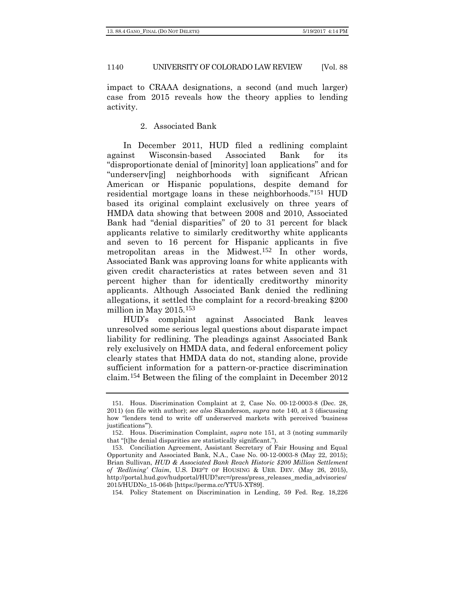impact to CRAAA designations, a second (and much larger) case from 2015 reveals how the theory applies to lending activity.

#### <span id="page-31-0"></span>2. Associated Bank

In December 2011, HUD filed a redlining complaint against Wisconsin-based Associated Bank for its "disproportionate denial of [minority] loan applications" and for "underserv[ing] neighborhoods with significant African American or Hispanic populations, despite demand for residential mortgage loans in these neighborhoods."[151](#page-31-1) HUD based its original complaint exclusively on three years of HMDA data showing that between 2008 and 2010, Associated Bank had "denial disparities" of 20 to 31 percent for black applicants relative to similarly creditworthy white applicants and seven to 16 percent for Hispanic applicants in five metropolitan areas in the Midwest.[152](#page-31-2) In other words, Associated Bank was approving loans for white applicants with given credit characteristics at rates between seven and 31 percent higher than for identically creditworthy minority applicants. Although Associated Bank denied the redlining allegations, it settled the complaint for a record-breaking \$200 million in May 2015.[153](#page-31-3)

HUD's complaint against Associated Bank leaves unresolved some serious legal questions about disparate impact liability for redlining. The pleadings against Associated Bank rely exclusively on HMDA data, and federal enforcement policy clearly states that HMDA data do not, standing alone, provide sufficient information for a pattern-or-practice discrimination claim.[154](#page-31-4) Between the filing of the complaint in December 2012

<span id="page-31-1"></span><sup>151</sup>. Hous. Discrimination Complaint at 2, Case No. 00-12-0003-8 (Dec. 28, 2011) (on file with author); *see also* Skanderson, *supra* note [140,](#page-29-6) at 3 (discussing how "lenders tend to write off underserved markets with perceived 'business justifications'").

<span id="page-31-2"></span><sup>152</sup>. Hous. Discrimination Complaint, *supra* note [151,](#page-31-0) at 3 (noting summarily that "[t]he denial disparities are statistically significant.").

<span id="page-31-3"></span><sup>153</sup>. Conciliation Agreement, Assistant Secretary of Fair Housing and Equal Opportunity and Associated Bank, N.A., Case No. 00-12-0003-8 (May 22, 2015); Brian Sullivan, *HUD & Associated Bank Reach Historic \$200 Million Settlement of 'Redlining' Claim*, U.S. DEP'T OF HOUSING & URB. DEV. (May 26, 2015), http://portal.hud.gov/hudportal/HUD?src=/press/press\_releases\_media\_advisories/ 2015/HUDNo\_15-064b [https://perma.cc/YTU5-XT89].

<span id="page-31-4"></span><sup>154</sup>. Policy Statement on Discrimination in Lending, 59 Fed. Reg. 18,226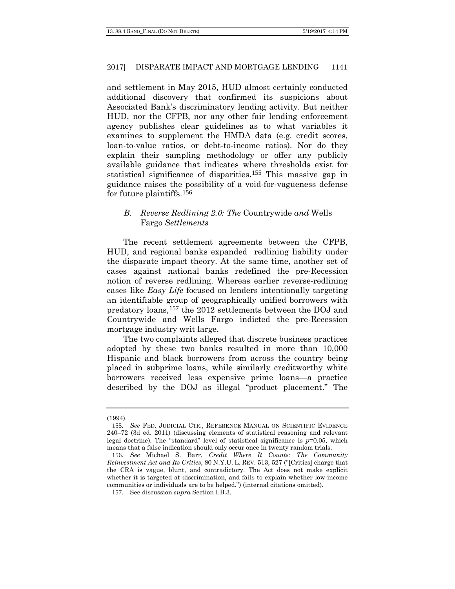and settlement in May 2015, HUD almost certainly conducted additional discovery that confirmed its suspicions about Associated Bank's discriminatory lending activity. But neither HUD, nor the CFPB, nor any other fair lending enforcement agency publishes clear guidelines as to what variables it examines to supplement the HMDA data (e.g. credit scores, loan-to-value ratios, or debt-to-income ratios). Nor do they explain their sampling methodology or offer any publicly available guidance that indicates where thresholds exist for statistical significance of disparities.[155](#page-32-0) This massive gap in guidance raises the possibility of a void-for-vagueness defense for future plaintiffs.[156](#page-32-1)

# *B. Reverse Redlining 2.0: The* Countrywide *and* Wells Fargo *Settlements*

The recent settlement agreements between the CFPB, HUD, and regional banks expanded redlining liability under the disparate impact theory. At the same time, another set of cases against national banks redefined the pre-Recession notion of reverse redlining. Whereas earlier reverse-redlining cases like *Easy Life* focused on lenders intentionally targeting an identifiable group of geographically unified borrowers with predatory loans,[157](#page-32-2) the 2012 settlements between the DOJ and Countrywide and Wells Fargo indicted the pre-Recession mortgage industry writ large.

The two complaints alleged that discrete business practices adopted by these two banks resulted in more than 10,000 Hispanic and black borrowers from across the country being placed in subprime loans, while similarly creditworthy white borrowers received less expensive prime loans—a practice described by the DOJ as illegal "product placement." The

<sup>(1994).</sup>

<span id="page-32-0"></span><sup>155</sup>*. See* FED. JUDICIAL CTR., REFERENCE MANUAL ON SCIENTIFIC EVIDENCE 240–72 (3d ed. 2011) (discussing elements of statistical reasoning and relevant legal doctrine). The "standard" level of statistical significance is *p*=0.05, which means that a false indication should only occur once in twenty random trials.

<span id="page-32-1"></span><sup>156</sup>*. See* Michael S. Barr, *Credit Where It Counts: The Community Reinvestment Act and Its Critics*, 80 N.Y.U. L. REV. 513, 527 ("[Critics] charge that the CRA is vague, blunt, and contradictory. The Act does not make explicit whether it is targeted at discrimination, and fails to explain whether low-income communities or individuals are to be helped.") (internal citations omitted).

<span id="page-32-2"></span><sup>157</sup>*.* See discussion *supra* Section I.B.3.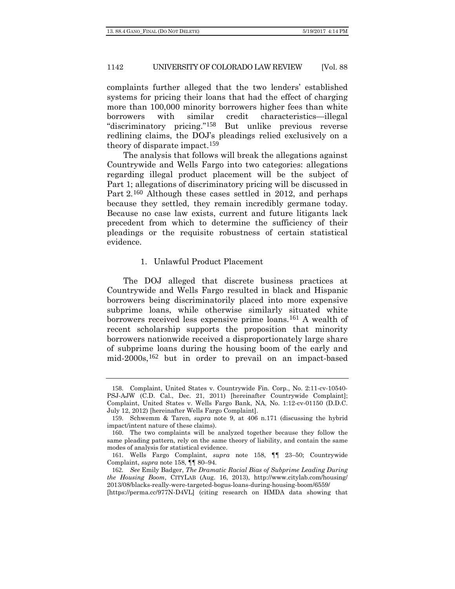complaints further alleged that the two lenders' established systems for pricing their loans that had the effect of charging more than 100,000 minority borrowers higher fees than white borrowers with similar credit characteristics—illegal "discriminatory pricing."[158](#page-33-1) But unlike previous reverse redlining claims, the DOJ's pleadings relied exclusively on a theory of disparate impact.[159](#page-33-2)

<span id="page-33-0"></span>The analysis that follows will break the allegations against Countrywide and Wells Fargo into two categories: allegations regarding illegal product placement will be the subject of Part 1; allegations of discriminatory pricing will be discussed in Part 2.[160](#page-33-3) Although these cases settled in 2012, and perhaps because they settled, they remain incredibly germane today. Because no case law exists, current and future litigants lack precedent from which to determine the sufficiency of their pleadings or the requisite robustness of certain statistical evidence.

#### 1. Unlawful Product Placement

The DOJ alleged that discrete business practices at Countrywide and Wells Fargo resulted in black and Hispanic borrowers being discriminatorily placed into more expensive subprime loans, while otherwise similarly situated white borrowers received less expensive prime loans.[161](#page-33-4) A wealth of recent scholarship supports the proposition that minority borrowers nationwide received a disproportionately large share of subprime loans during the housing boom of the early and mid-2000s,[162](#page-33-5) but in order to prevail on an impact-based

<span id="page-33-1"></span><sup>158</sup>. Complaint, United States v. Countrywide Fin. Corp., No. 2:11-cv-10540- PSJ-AJW (C.D. Cal., Dec. 21, 2011) [hereinafter Countrywide Complaint]; Complaint, United States v. Wells Fargo Bank, NA, No. 1:12-cv-01150 (D.D.C. July 12, 2012) [hereinafter Wells Fargo Complaint].

<span id="page-33-2"></span><sup>159</sup>. Schwemm & Taren, *supra* note 9, at 406 n.171 (discussing the hybrid impact/intent nature of these claims).

<span id="page-33-3"></span><sup>160</sup>. The two complaints will be analyzed together because they follow the same pleading pattern, rely on the same theory of liability, and contain the same modes of analysis for statistical evidence.

<span id="page-33-4"></span><sup>161</sup>. Wells Fargo Complaint, *supra* note [158,](#page-33-0) ¶¶ 23–50; Countrywide Complaint, *supra* not[e 158,](#page-33-0) ¶¶ 80–94.

<span id="page-33-5"></span><sup>162</sup>*. See* Emily Badger, *The Dramatic Racial Bias of Subprime Leading During the Housing Boom*, CITYLAB (Aug. 16, 2013), http://www.citylab.com/housing/ 2013/08/blacks-really-were-targeted-bogus-loans-during-housing-boom/6559/

<sup>[</sup>https://perma.cc/977N-D4VL] (citing research on HMDA data showing that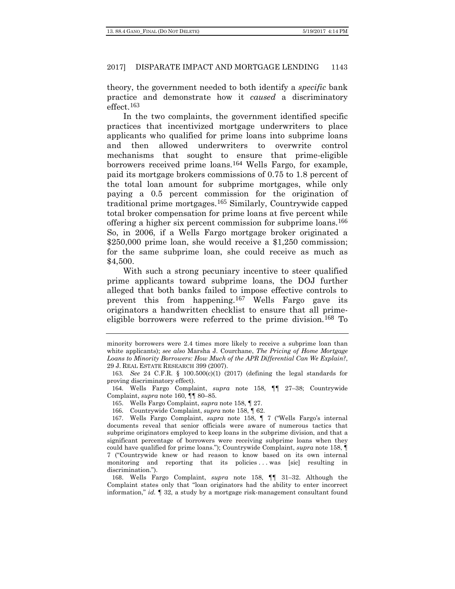theory, the government needed to both identify a *specific* bank practice and demonstrate how it *caused* a discriminatory effect.[163](#page-34-0)

In the two complaints, the government identified specific practices that incentivized mortgage underwriters to place applicants who qualified for prime loans into subprime loans and then allowed underwriters to overwrite control mechanisms that sought to ensure that prime-eligible borrowers received prime loans.<sup>[164](#page-34-1)</sup> Wells Fargo, for example, paid its mortgage brokers commissions of 0.75 to 1.8 percent of the total loan amount for subprime mortgages, while only paying a 0.5 percent commission for the origination of traditional prime mortgages.[165](#page-34-2) Similarly, Countrywide capped total broker compensation for prime loans at five percent while offering a higher six percent commission for subprime loans.[166](#page-34-3) So, in 2006, if a Wells Fargo mortgage broker originated a \$250,000 prime loan, she would receive a \$1,250 commission; for the same subprime loan, she could receive as much as \$4,500.

With such a strong pecuniary incentive to steer qualified prime applicants toward subprime loans, the DOJ further alleged that both banks failed to impose effective controls to prevent this from happening.[167](#page-34-4) Wells Fargo gave its originators a handwritten checklist to ensure that all primeeligible borrowers were referred to the prime division.[168](#page-34-5) To

165. Wells Fargo Complaint, *supra* note [158,](#page-33-0) ¶ 27.

minority borrowers were 2.4 times more likely to receive a subprime loan than white applicants); *see also* Marsha J. Courchane, *The Pricing of Home Mortgage Loans to Minority Borrowers: How Much of the APR Differential Can We Explain?*, 29 J. REAL ESTATE RESEARCH 399 (2007).

<span id="page-34-0"></span><sup>163</sup>*. See* 24 C.F.R. § 100.500(c)(1) (2017) (defining the legal standards for proving discriminatory effect).

<span id="page-34-2"></span><span id="page-34-1"></span><sup>164</sup>. Wells Fargo Complaint, *supra* note [158,](#page-33-0) ¶¶ 27–38; Countrywide Complaint, *supra* note 160, ¶¶ 80–85.

<sup>166</sup>. Countrywide Complaint, *supra* not[e 158,](#page-33-0) ¶ 62.

<span id="page-34-4"></span><span id="page-34-3"></span><sup>167</sup>. Wells Fargo Complaint, *supra* note [158,](#page-33-0) ¶ 7 ("Wells Fargo's internal documents reveal that senior officials were aware of numerous tactics that subprime originators employed to keep loans in the subprime division, and that a significant percentage of borrowers were receiving subprime loans when they could have qualified for prime loans."); Countrywide Complaint, *supra* note [158,](#page-33-0) ¶ 7 ("Countrywide knew or had reason to know based on its own internal monitoring and reporting that its policies . . . was [sic] resulting in discrimination.").

<span id="page-34-5"></span><sup>168</sup>. Wells Fargo Complaint, *supra* note [158,](#page-33-0) ¶¶ 31–32. Although the Complaint states only that "loan originators had the ability to enter incorrect information," *id.* ¶ 32, a study by a mortgage risk-management consultant found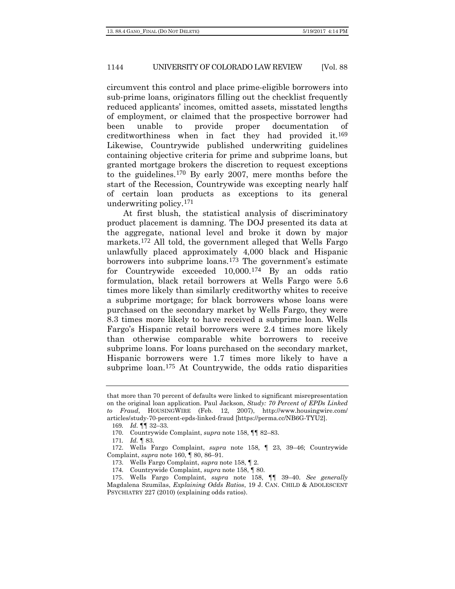circumvent this control and place prime-eligible borrowers into sub-prime loans, originators filling out the checklist frequently reduced applicants' incomes, omitted assets, misstated lengths of employment, or claimed that the prospective borrower had been unable to provide proper documentation of creditworthiness when in fact they had provided it.[169](#page-35-0) Likewise, Countrywide published underwriting guidelines containing objective criteria for prime and subprime loans, but granted mortgage brokers the discretion to request exceptions to the guidelines.[170](#page-35-1) By early 2007, mere months before the start of the Recession, Countrywide was excepting nearly half of certain loan products as exceptions to its general underwriting policy.[171](#page-35-2)

At first blush, the statistical analysis of discriminatory product placement is damning. The DOJ presented its data at the aggregate, national level and broke it down by major markets.[172](#page-35-3) All told, the government alleged that Wells Fargo unlawfully placed approximately 4,000 black and Hispanic borrowers into subprime loans.[173](#page-35-4) The government's estimate for Countrywide exceeded 10,000.[174](#page-35-5) By an odds ratio formulation, black retail borrowers at Wells Fargo were 5.6 times more likely than similarly creditworthy whites to receive a subprime mortgage; for black borrowers whose loans were purchased on the secondary market by Wells Fargo, they were 8.3 times more likely to have received a subprime loan. Wells Fargo's Hispanic retail borrowers were 2.4 times more likely than otherwise comparable white borrowers to receive subprime loans. For loans purchased on the secondary market, Hispanic borrowers were 1.7 times more likely to have a subprime loan.<sup>[175](#page-35-6)</sup> At Countrywide, the odds ratio disparities

that more than 70 percent of defaults were linked to significant misrepresentation on the original loan application. Paul Jackson, *Study: 70 Percent of EPDs Linked to Fraud*, HOUSINGWIRE (Feb. 12, 2007), http://www.housingwire.com/ articles/study-70-percent-epds-linked-fraud [https://perma.cc/NB6G-TYU2].

<sup>169</sup>*. Id.* ¶¶ 32–33.

<sup>170</sup>. Countrywide Complaint, *supra* not[e 158,](#page-33-0) ¶¶ 82–83.

<sup>171</sup>*. Id.* ¶ 83.

<span id="page-35-3"></span><span id="page-35-2"></span><span id="page-35-1"></span><span id="page-35-0"></span><sup>172</sup>. Wells Fargo Complaint, *supra* note [158,](#page-33-0) ¶ 23, 39–46; Countrywide Complaint, *supra* note 160, ¶ 80, 86–91.

<sup>173</sup>. Wells Fargo Complaint, *supra* note [158,](#page-33-0) ¶ 2.

<sup>174</sup>. Countrywide Complaint, *supra* not[e 158,](#page-33-0) ¶ 80.

<span id="page-35-6"></span><span id="page-35-5"></span><span id="page-35-4"></span><sup>175</sup>. Wells Fargo Complaint, *supra* note [158,](#page-33-0) ¶¶ 39–40. *See generally*  Magdalena Szumilas, *Explaining Odds Ratios*, 19 J. CAN. CHILD & ADOLESCENT PSYCHIATRY 227 (2010) (explaining odds ratios).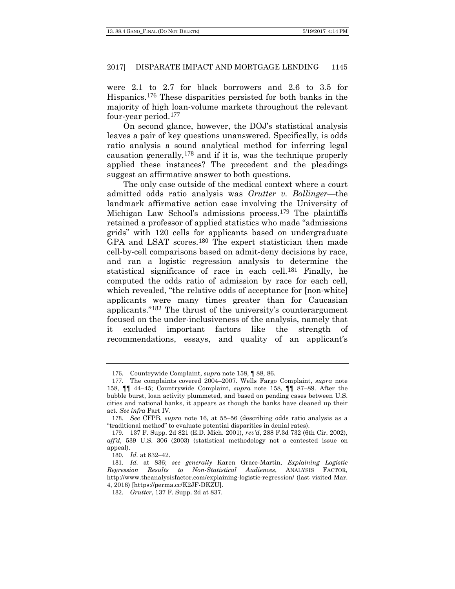were 2.1 to 2.7 for black borrowers and 2.6 to 3.5 for Hispanics.[176](#page-36-0) These disparities persisted for both banks in the majority of high loan-volume markets throughout the relevant four-year period.[177](#page-36-1)

On second glance, however, the DOJ's statistical analysis leaves a pair of key questions unanswered. Specifically, is odds ratio analysis a sound analytical method for inferring legal causation generally,[178](#page-36-2) and if it is, was the technique properly applied these instances? The precedent and the pleadings suggest an affirmative answer to both questions.

The only case outside of the medical context where a court admitted odds ratio analysis was *Grutter v. Bollinger*—the landmark affirmative action case involving the University of Michigan Law School's admissions process.[179](#page-36-3) The plaintiffs retained a professor of applied statistics who made "admissions grids" with 120 cells for applicants based on undergraduate GPA and LSAT scores.<sup>[180](#page-36-4)</sup> The expert statistician then made cell-by-cell comparisons based on admit-deny decisions by race, and ran a logistic regression analysis to determine the statistical significance of race in each cell.[181](#page-36-5) Finally, he computed the odds ratio of admission by race for each cell, which revealed, "the relative odds of acceptance for [non-white] applicants were many times greater than for Caucasian applicants."[182](#page-36-6) The thrust of the university's counterargument focused on the under-inclusiveness of the analysis, namely that it excluded important factors like the strength of recommendations, essays, and quality of an applicant's

<sup>176</sup>. Countrywide Complaint, *supra* not[e 158,](#page-33-0) ¶ 88, 86.

<span id="page-36-1"></span><span id="page-36-0"></span><sup>177</sup>. The complaints covered 2004–2007. Wells Fargo Complaint, *supra* note [158,](#page-33-0) ¶¶ 44–45; Countrywide Complaint, *supra* note [158,](#page-33-0) ¶¶ 87–89. After the bubble burst, loan activity plummeted, and based on pending cases between U.S. cities and national banks, it appears as though the banks have cleaned up their act. *See infra* Part IV.

<span id="page-36-2"></span><sup>178</sup>*. See* CFPB, *supra* note 16, at 55–56 (describing odds ratio analysis as a "traditional method" to evaluate potential disparities in denial rates).

<span id="page-36-3"></span><sup>179</sup>. 137 F. Supp. 2d 821 (E.D. Mich. 2001), *rev'd*, 288 F.3d 732 (6th Cir. 2002), *aff'd*, 539 U.S. 306 (2003) (statistical methodology not a contested issue on appeal).

<sup>180</sup>*. Id.* at 832–42.

<span id="page-36-6"></span><span id="page-36-5"></span><span id="page-36-4"></span><sup>181</sup>*. Id.* at 836; *see generally* Karen Grace-Martin, *Explaining Logistic Regression Results to Non-Statistical Audiences*, ANALYSIS FACTOR, http://www.theanalysisfactor.com/explaining-logistic-regression/ (last visited Mar. 4, 2016) [https://perma.cc/K2JF-DKZU].

<sup>182</sup>*. Grutter*, 137 F. Supp. 2d at 837.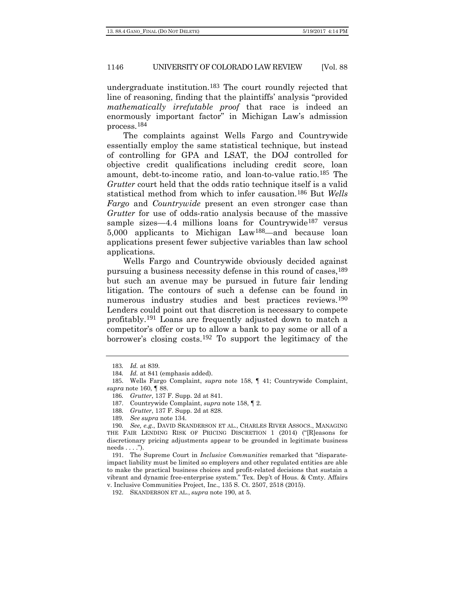undergraduate institution.[183](#page-37-1) The court roundly rejected that line of reasoning, finding that the plaintiffs' analysis "provided *mathematically irrefutable proof* that race is indeed an enormously important factor" in Michigan Law's admission process.[184](#page-37-2)

The complaints against Wells Fargo and Countrywide essentially employ the same statistical technique, but instead of controlling for GPA and LSAT, the DOJ controlled for objective credit qualifications including credit score, loan amount, debt-to-income ratio, and loan-to-value ratio.[185](#page-37-3) The *Grutter* court held that the odds ratio technique itself is a valid statistical method from which to infer causation.[186](#page-37-4) But *Wells Fargo* and *Countrywide* present an even stronger case than *Grutter* for use of odds-ratio analysis because of the massive sample sizes—4.4 millions loans for Countrywide<sup>[187](#page-37-5)</sup> versus 5,000 applicants to Michigan Law[188](#page-37-6)—and because loan applications present fewer subjective variables than law school applications.

<span id="page-37-0"></span>Wells Fargo and Countrywide obviously decided against pursuing a business necessity defense in this round of cases,[189](#page-37-7) but such an avenue may be pursued in future fair lending litigation. The contours of such a defense can be found in numerous industry studies and best practices reviews.<sup>[190](#page-37-8)</sup> Lenders could point out that discretion is necessary to compete profitably.[191](#page-37-9) Loans are frequently adjusted down to match a competitor's offer or up to allow a bank to pay some or all of a borrower's closing costs.[192](#page-37-10) To support the legitimacy of the

<sup>183</sup>*. Id.* at 839.

<sup>184</sup>*. Id.* at 841 (emphasis added).

<span id="page-37-5"></span><span id="page-37-4"></span><span id="page-37-3"></span><span id="page-37-2"></span><span id="page-37-1"></span><sup>185</sup>. Wells Fargo Complaint, *supra* note [158,](#page-33-0) ¶ 41; Countrywide Complaint, *supra* note 160, ¶ 88.

<sup>186</sup>*. Grutter*, 137 F. Supp. 2d at 841.

<sup>187</sup>. Countrywide Complaint, *supra* not[e 158,](#page-33-0) ¶ 2.

<sup>188</sup>*. Grutter*, 137 F. Supp. 2d at 828.

<sup>189</sup>*. See supra* note 134.

<span id="page-37-8"></span><span id="page-37-7"></span><span id="page-37-6"></span><sup>190</sup>*. See, e.g.*, DAVID SKANDERSON ET AL., CHARLES RIVER ASSOCS., MANAGING THE FAIR LENDING RISK OF PRICING DISCRETION 1 (2014) ("[R]easons for discretionary pricing adjustments appear to be grounded in legitimate business needs . . . .").

<span id="page-37-9"></span><sup>191</sup>. The Supreme Court in *Inclusive Communities* remarked that "disparateimpact liability must be limited so employers and other regulated entities are able to make the practical business choices and profit-related decisions that sustain a vibrant and dynamic free-enterprise system." Tex. Dep't of Hous. & Cmty. Affairs v. Inclusive Communities Project, Inc., 135 S. Ct. 2507, 2518 (2015).

<span id="page-37-10"></span><sup>192</sup>. SKANDERSON ET AL., *supra* note [190,](#page-37-0) at 5.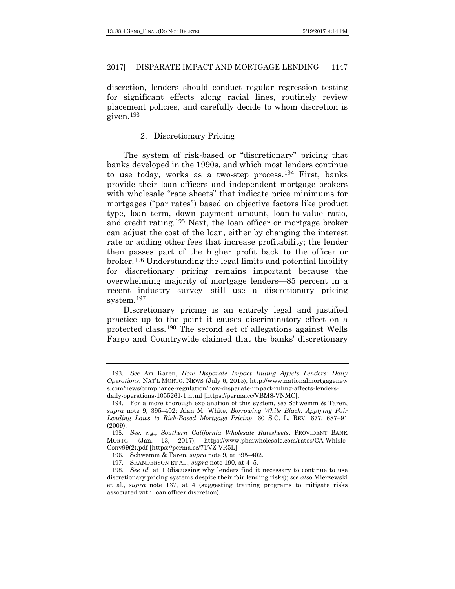discretion, lenders should conduct regular regression testing for significant effects along racial lines, routinely review placement policies, and carefully decide to whom discretion is given.[193](#page-38-0)

### 2. Discretionary Pricing

The system of risk-based or "discretionary" pricing that banks developed in the 1990s, and which most lenders continue to use today, works as a two-step process.[194](#page-38-1) First, banks provide their loan officers and independent mortgage brokers with wholesale "rate sheets" that indicate price minimums for mortgages ("par rates") based on objective factors like product type, loan term, down payment amount, loan-to-value ratio, and credit rating.[195](#page-38-2) Next, the loan officer or mortgage broker can adjust the cost of the loan, either by changing the interest rate or adding other fees that increase profitability; the lender then passes part of the higher profit back to the officer or broker.[196](#page-38-3) Understanding the legal limits and potential liability for discretionary pricing remains important because the overwhelming majority of mortgage lenders—85 percent in a recent industry survey—still use a discretionary pricing system.<sup>[197](#page-38-4)</sup>

Discretionary pricing is an entirely legal and justified practice up to the point it causes discriminatory effect on a protected class.[198](#page-38-5) The second set of allegations against Wells Fargo and Countrywide claimed that the banks' discretionary

<span id="page-38-0"></span><sup>193</sup>*. See* Ari Karen, *How Disparate Impact Ruling Affects Lenders' Daily Operations*, NAT'L MORTG. NEWS (July 6, 2015), http://www.nationalmortgagenew s.com/news/compliance-regulation/how-disparate-impact-ruling-affects-lendersdaily-operations-1055261-1.html [https://perma.cc/VBM8-VNMC].

<span id="page-38-1"></span><sup>194</sup>. For a more thorough explanation of this system, *see* Schwemm & Taren, *supra* note 9, 395–402; Alan M. White, *Borrowing While Black: Applying Fair Lending Laws to Risk-Based Mortgage Pricing*, 60 S.C. L. REV. 677, 687–91 (2009).

<span id="page-38-2"></span><sup>195</sup>*. See, e.g.*, *Southern California Wholesale Ratesheets*, PROVIDENT BANK MORTG. (Jan. 13, 2017), https://www.pbmwholesale.com/rates/CA-Whlsle-Conv99(2).pdf [https://perma.cc/7TVZ-VR5L].

<sup>196</sup>. Schwemm & Taren, *supra* note 9, at 395–402.

<sup>197</sup>. SKANDERSON ET AL., *supra* note [190,](#page-37-0) at 4–5.

<span id="page-38-5"></span><span id="page-38-4"></span><span id="page-38-3"></span><sup>198</sup>*. See id.* at 1 (discussing why lenders find it necessary to continue to use discretionary pricing systems despite their fair lending risks); *see also* Mierzewski et al., *supra* note [137,](#page-28-0) at 4 (suggesting training programs to mitigate risks associated with loan officer discretion).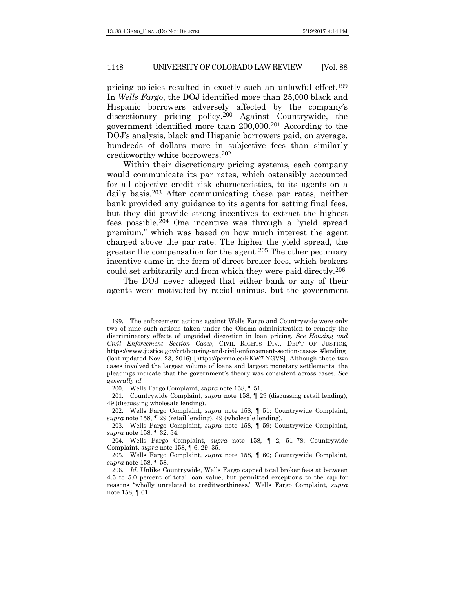pricing policies resulted in exactly such an unlawful effect.[199](#page-39-0) In *Wells Fargo*, the DOJ identified more than 25,000 black and Hispanic borrowers adversely affected by the company's discretionary pricing policy.[200](#page-39-1) Against Countrywide, the government identified more than 200,000.[201](#page-39-2) According to the DOJ's analysis, black and Hispanic borrowers paid, on average, hundreds of dollars more in subjective fees than similarly creditworthy white borrowers.[202](#page-39-3)

Within their discretionary pricing systems, each company would communicate its par rates, which ostensibly accounted for all objective credit risk characteristics, to its agents on a daily basis.<sup>[203](#page-39-4)</sup> After communicating these par rates, neither bank provided any guidance to its agents for setting final fees, but they did provide strong incentives to extract the highest fees possible.[204](#page-39-5) One incentive was through a "yield spread premium," which was based on how much interest the agent charged above the par rate. The higher the yield spread, the greater the compensation for the agent.<sup>[205](#page-39-6)</sup> The other pecuniary incentive came in the form of direct broker fees, which brokers could set arbitrarily and from which they were paid directly.[206](#page-39-7)

The DOJ never alleged that either bank or any of their agents were motivated by racial animus, but the government

<span id="page-39-0"></span><sup>199</sup>. The enforcement actions against Wells Fargo and Countrywide were only two of nine such actions taken under the Obama administration to remedy the discriminatory effects of unguided discretion in loan pricing. *See Housing and Civil Enforcement Section Cases*, CIVIL RIGHTS DIV., DEP'T OF JUSTICE, https://www.justice.gov/crt/housing-and-civil-enforcement-section-cases-1#lending (last updated Nov. 23, 2016) [https://perma.cc/RKW7-YGVS]. Although these two cases involved the largest volume of loans and largest monetary settlements, the pleadings indicate that the government's theory was consistent across cases. *See generally id.*

<sup>200</sup>. Wells Fargo Complaint, *supra* note [158,](#page-33-0) ¶ 51.

<span id="page-39-2"></span><span id="page-39-1"></span><sup>201</sup>. Countrywide Complaint, *supra* note [158,](#page-33-0) ¶ 29 (discussing retail lending), 49 (discussing wholesale lending).

<span id="page-39-3"></span><sup>202</sup>. Wells Fargo Complaint, *supra* note [158,](#page-33-0) ¶ 51; Countrywide Complaint, *supra* note [158,](#page-33-0) ¶ 29 (retail lending), 49 (wholesale lending).

<span id="page-39-4"></span><sup>203</sup>. Wells Fargo Complaint, *supra* note [158,](#page-33-0) ¶ 59; Countrywide Complaint, *supra* note [158,](#page-33-0) ¶ 32, 54.

<span id="page-39-5"></span><sup>204</sup>. Wells Fargo Complaint, *supra* note [158,](#page-33-0) ¶ 2, 51–78; Countrywide Complaint, *supra* not[e 158,](#page-33-0) ¶ 6, 29–35.

<span id="page-39-6"></span><sup>205</sup>. Wells Fargo Complaint, *supra* note [158,](#page-33-0) ¶ 60; Countrywide Complaint, *supra* not[e 158,](#page-33-0) ¶ 58.

<span id="page-39-7"></span><sup>206</sup>*. Id.* Unlike Countrywide, Wells Fargo capped total broker fees at between 4.5 to 5.0 percent of total loan value, but permitted exceptions to the cap for reasons "wholly unrelated to creditworthiness." Wells Fargo Complaint, *supra* not[e 158,](#page-33-0) ¶ 61.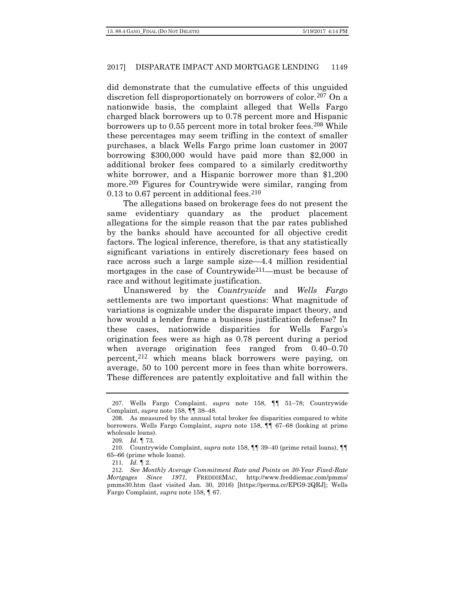did demonstrate that the cumulative effects of this unguided discretion fell disproportionately on borrowers of color.<sup>[207](#page-40-0)</sup> On a nationwide basis, the complaint alleged that Wells Fargo charged black borrowers up to 0.78 percent more and Hispanic borrowers up to 0.55 percent more in total broker fees.<sup>[208](#page-40-1)</sup> While these percentages may seem trifling in the context of smaller purchases, a black Wells Fargo prime loan customer in 2007 borrowing \$300,000 would have paid more than \$2,000 in additional broker fees compared to a similarly creditworthy white borrower, and a Hispanic borrower more than \$1,200 more.[209](#page-40-2) Figures for Countrywide were similar, ranging from  $0.13$  to  $0.67$  percent in additional fees.<sup>[210](#page-40-3)</sup>

The allegations based on brokerage fees do not present the same evidentiary quandary as the product placement allegations for the simple reason that the par rates published by the banks should have accounted for all objective credit factors. The logical inference, therefore, is that any statistically significant variations in entirely discretionary fees based on race across such a large sample size—4.4 million residential mortgages in the case of Countrywide<sup>[211](#page-40-4)</sup>—must be because of race and without legitimate justification.

Unanswered by the *Countrywide* and *Wells Fargo*  settlements are two important questions: What magnitude of variations is cognizable under the disparate impact theory, and how would a lender frame a business justification defense? In these cases, nationwide disparities for Wells Fargo's origination fees were as high as 0.78 percent during a period when average origination fees ranged from 0.40–0.70 percent,[212](#page-40-5) which means black borrowers were paying, on average, 50 to 100 percent more in fees than white borrowers. These differences are patently exploitative and fall within the

<span id="page-40-0"></span><sup>207</sup>. Wells Fargo Complaint, *supra* note [158,](#page-33-0) ¶¶ 51–78; Countrywide Complaint, *supra* not[e 158,](#page-33-0) ¶¶ 38–48.

<span id="page-40-1"></span><sup>208</sup>. As measured by the annual total broker fee disparities compared to white borrowers. Wells Fargo Complaint, *supra* note [158,](#page-33-0) ¶¶ 67–68 (looking at prime wholesale loans).

<sup>209</sup>*. Id*. ¶ 73.

<span id="page-40-3"></span><span id="page-40-2"></span><sup>210</sup>. Countrywide Complaint, *supra* note [158,](#page-33-0) ¶¶ 39–40 (prime retail loans), ¶¶ 65–66 (prime whole loans).

<sup>211</sup>*. Id.* ¶ 2.

<span id="page-40-5"></span><span id="page-40-4"></span><sup>212</sup>*. See Monthly Average Commitment Rate and Points on 30-Year Fixed-Rate Mortgages Since 1971*, FREDDIEMAC, http://www.freddiemac.com/pmms/ pmms30.htm (last visited Jan. 30, 2016) [https://perma.cc/EPG9-2QRJ]; Wells Fargo Complaint, *supra* not[e 158,](#page-33-0) ¶ 67.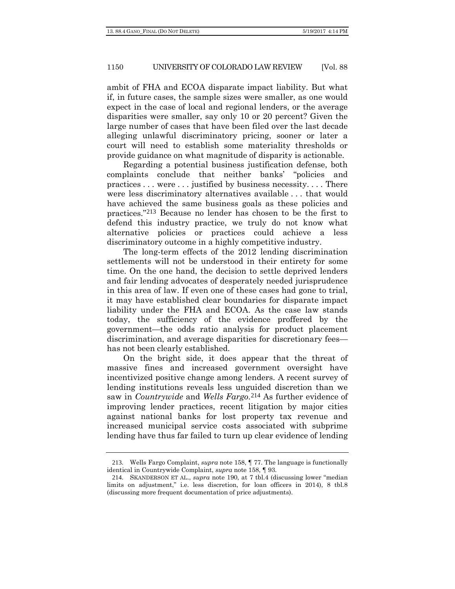ambit of FHA and ECOA disparate impact liability. But what if, in future cases, the sample sizes were smaller, as one would expect in the case of local and regional lenders, or the average disparities were smaller, say only 10 or 20 percent? Given the large number of cases that have been filed over the last decade alleging unlawful discriminatory pricing, sooner or later a court will need to establish some materiality thresholds or provide guidance on what magnitude of disparity is actionable.

Regarding a potential business justification defense, both complaints conclude that neither banks' "policies and practices . . . were . . . justified by business necessity. . . . There were less discriminatory alternatives available . . . that would have achieved the same business goals as these policies and practices."[213](#page-41-0) Because no lender has chosen to be the first to defend this industry practice, we truly do not know what alternative policies or practices could achieve a less discriminatory outcome in a highly competitive industry.

The long-term effects of the 2012 lending discrimination settlements will not be understood in their entirety for some time. On the one hand, the decision to settle deprived lenders and fair lending advocates of desperately needed jurisprudence in this area of law. If even one of these cases had gone to trial, it may have established clear boundaries for disparate impact liability under the FHA and ECOA. As the case law stands today, the sufficiency of the evidence proffered by the government—the odds ratio analysis for product placement discrimination, and average disparities for discretionary fees has not been clearly established.

On the bright side, it does appear that the threat of massive fines and increased government oversight have incentivized positive change among lenders. A recent survey of lending institutions reveals less unguided discretion than we saw in *Countrywide* and *Wells Fargo*.[214](#page-41-1) As further evidence of improving lender practices, recent litigation by major cities against national banks for lost property tax revenue and increased municipal service costs associated with subprime lending have thus far failed to turn up clear evidence of lending

<span id="page-41-0"></span><sup>213</sup>. Wells Fargo Complaint, *supra* note [158,](#page-33-0) ¶ 77. The language is functionally identical in Countrywide Complaint, *supra* note [158,](#page-33-0) ¶ 93.

<span id="page-41-1"></span><sup>214</sup>. SKANDERSON ET AL., *supra* note [190,](#page-37-0) at 7 tbl.4 (discussing lower "median limits on adjustment," i.e. less discretion, for loan officers in 2014), 8 tbl.8 (discussing more frequent documentation of price adjustments).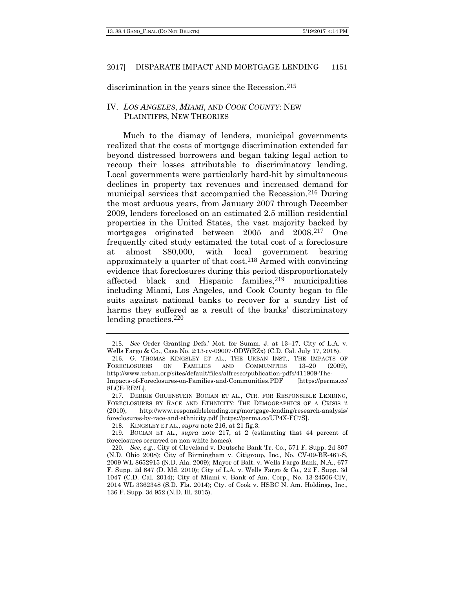discrimination in the years since the Recession.<sup>[215](#page-42-2)</sup>

# IV. *LOS ANGELES*, *MIAMI*, AND *COOK COUNTY*: NEW PLAINTIFFS, NEW THEORIES

<span id="page-42-1"></span><span id="page-42-0"></span>Much to the dismay of lenders, municipal governments realized that the costs of mortgage discrimination extended far beyond distressed borrowers and began taking legal action to recoup their losses attributable to discriminatory lending. Local governments were particularly hard-hit by simultaneous declines in property tax revenues and increased demand for municipal services that accompanied the Recession.[216](#page-42-3) During the most arduous years, from January 2007 through December 2009, lenders foreclosed on an estimated 2.5 million residential properties in the United States, the vast majority backed by mortgages originated between 2005 and 2008.[217](#page-42-4) One frequently cited study estimated the total cost of a foreclosure at almost \$80,000, with local government bearing approximately a quarter of that cost.[218](#page-42-5) Armed with convincing evidence that foreclosures during this period disproportionately affected black and Hispanic families,<sup>[219](#page-42-6)</sup> municipalities including Miami, Los Angeles, and Cook County began to file suits against national banks to recover for a sundry list of harms they suffered as a result of the banks' discriminatory lending practices.[220](#page-42-7)

<span id="page-42-2"></span><sup>215</sup>*. See* Order Granting Defs.' Mot. for Summ. J. at 13–17, City of L.A. v. Wells Fargo & Co., Case No. 2:13-cv-09007-ODW(RZx) (C.D. Cal. July 17, 2015).

<span id="page-42-3"></span><sup>216.</sup> G. THOMAS KINGSLEY ET AL., THE URBAN INST., THE IMPACTS OF ORECLOSURES ON FAMILIES AND COMMUNITIES 13-20 (2009). FORECLOSURES ON FAMILIES AND COMMUNITIES 13–20 (2009), http://www.urban.org/sites/default/files/alfresco/publication-pdfs/411909-The-Impacts-of-Foreclosures-on-Families-and-Communities.PDF [https://perma.cc/ 8LCE-RE2L].

<span id="page-42-4"></span><sup>217</sup>. DEBBIE GRUENSTEIN BOCIAN ET AL., CTR. FOR RESPONSIBLE LENDING, FORECLOSURES BY RACE AND ETHNICITY: THE DEMOGRAPHICS OF A CRISIS 2 (2010), http://www.responsiblelending.org/mortgage-lending/research-analysis/ foreclosures-by-race-and-ethnicity.pdf [https://perma.cc/UP4X-FC7S].

<sup>218</sup>. KINGSLEY ET AL., *supra* note [216,](#page-42-0) at 21 fig.3.

<span id="page-42-6"></span><span id="page-42-5"></span><sup>219</sup>. BOCIAN ET AL., *supra* note [217,](#page-42-1) at 2 (estimating that 44 percent of foreclosures occurred on non-white homes).

<span id="page-42-7"></span><sup>220</sup>*. See, e.g.*, City of Cleveland v. Deutsche Bank Tr. Co., 571 F. Supp. 2d 807 (N.D. Ohio 2008); City of Birmingham v. Citigroup, Inc., No. CV-09-BE-467-S, 2009 WL 8652915 (N.D. Ala. 2009); Mayor of Balt. v. Wells Fargo Bank, N.A., 677 F. Supp. 2d 847 (D. Md. 2010); City of L.A. v. Wells Fargo & Co., 22 F. Supp. 3d 1047 (C.D. Cal. 2014); City of Miami v. Bank of Am. Corp., No. 13-24506-CIV, 2014 WL 3362348 (S.D. Fla. 2014); Cty. of Cook v. HSBC N. Am. Holdings, Inc., 136 F. Supp. 3d 952 (N.D. Ill. 2015).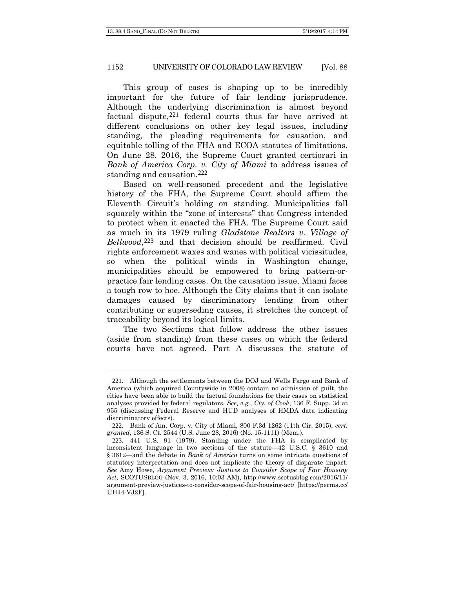This group of cases is shaping up to be incredibly important for the future of fair lending jurisprudence. Although the underlying discrimination is almost beyond factual dispute, $221$  federal courts thus far have arrived at different conclusions on other key legal issues, including standing, the pleading requirements for causation, and equitable tolling of the FHA and ECOA statutes of limitations. On June 28, 2016, the Supreme Court granted certiorari in *Bank of America Corp. v. City of Miami* to address issues of standing and causation.[222](#page-43-1)

Based on well-reasoned precedent and the legislative history of the FHA, the Supreme Court should affirm the Eleventh Circuit's holding on standing. Municipalities fall squarely within the "zone of interests" that Congress intended to protect when it enacted the FHA. The Supreme Court said as much in its 1979 ruling *Gladstone Realtors v. Village of Bellwood*,<sup>[223](#page-43-2)</sup> and that decision should be reaffirmed. Civil rights enforcement waxes and wanes with political vicissitudes, so when the political winds in Washington change, municipalities should be empowered to bring pattern-orpractice fair lending cases. On the causation issue, Miami faces a tough row to hoe. Although the City claims that it can isolate damages caused by discriminatory lending from other contributing or superseding causes, it stretches the concept of traceability beyond its logical limits.

The two Sections that follow address the other issues (aside from standing) from these cases on which the federal courts have not agreed. Part A discusses the statute of

<span id="page-43-0"></span><sup>221</sup>. Although the settlements between the DOJ and Wells Fargo and Bank of America (which acquired Countywide in 2008) contain no admission of guilt, the cities have been able to build the factual foundations for their cases on statistical analyses provided by federal regulators. *See, e.g.*, *Cty. of Cook*, 136 F. Supp. 3d at 955 (discussing Federal Reserve and HUD analyses of HMDA data indicating discriminatory effects).

<span id="page-43-1"></span><sup>222</sup>. Bank of Am. Corp. v. City of Miami, 800 F.3d 1262 (11th Cir. 2015), *cert. granted*, 136 S. Ct. 2544 (U.S. June 28, 2016) (No. 15-1111) (Mem.).

<span id="page-43-2"></span><sup>223</sup>. 441 U.S. 91 (1979). Standing under the FHA is complicated by inconsistent language in two sections of the statute—42 U.S.C. § 3610 and § 3612—and the debate in *Bank of America* turns on some intricate questions of statutory interpretation and does not implicate the theory of disparate impact. *See* Amy Howe, *Argument Preview: Justices to Consider Scope of Fair Housing Act*, SCOTUSBLOG (Nov. 3, 2016, 10:03 AM), http://www.scotusblog.com/2016/11/ argument-preview-justices-to-consider-scope-of-fair-housing-act/ [https://perma.cc/ UH44-VJ2F].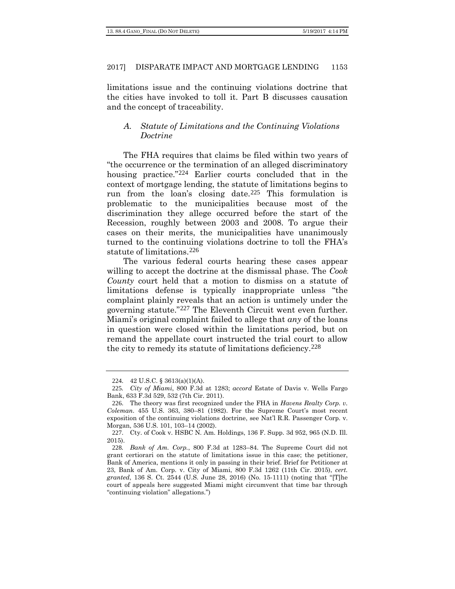limitations issue and the continuing violations doctrine that the cities have invoked to toll it. Part B discusses causation and the concept of traceability.

# *A. Statute of Limitations and the Continuing Violations Doctrine*

The FHA requires that claims be filed within two years of "the occurrence or the termination of an alleged discriminatory housing practice."<sup>[224](#page-44-0)</sup> Earlier courts concluded that in the context of mortgage lending, the statute of limitations begins to run from the loan's closing date.[225](#page-44-1) This formulation is problematic to the municipalities because most of the discrimination they allege occurred before the start of the Recession, roughly between 2003 and 2008. To argue their cases on their merits, the municipalities have unanimously turned to the continuing violations doctrine to toll the FHA's statute of limitations.[226](#page-44-2)

The various federal courts hearing these cases appear willing to accept the doctrine at the dismissal phase. The *Cook County* court held that a motion to dismiss on a statute of limitations defense is typically inappropriate unless "the complaint plainly reveals that an action is untimely under the governing statute."[227](#page-44-3) The Eleventh Circuit went even further. Miami's original complaint failed to allege that *any* of the loans in question were closed within the limitations period, but on remand the appellate court instructed the trial court to allow the city to remedy its statute of limitations deficiency.[228](#page-44-4)

<sup>224</sup>. 42 U.S.C. § 3613(a)(1)(A).

<span id="page-44-1"></span><span id="page-44-0"></span><sup>225</sup>*. City of Miami*, 800 F.3d at 1283; *accord* Estate of Davis v. Wells Fargo Bank, 633 F.3d 529, 532 (7th Cir. 2011).

<span id="page-44-2"></span><sup>226</sup>. The theory was first recognized under the FHA in *Havens Realty Corp. v. Coleman*. 455 U.S. 363, 380–81 (1982). For the Supreme Court's most recent exposition of the continuing violations doctrine, see Nat'l R.R. Passenger Corp. v. Morgan, 536 U.S. 101, 103–14 (2002).

<span id="page-44-3"></span><sup>227</sup>. Cty. of Cook v. HSBC N. Am. Holdings, 136 F. Supp. 3d 952, 965 (N.D. Ill. 2015).

<span id="page-44-4"></span><sup>228</sup>*. Bank of Am. Corp.*, 800 F.3d at 1283–84. The Supreme Court did not grant certiorari on the statute of limitations issue in this case; the petitioner, Bank of America, mentions it only in passing in their brief. Brief for Petitioner at 23, Bank of Am. Corp. v. City of Miami, 800 F.3d 1262 (11th Cir. 2015), *cert. granted*, 136 S. Ct. 2544 (U.S. June 28, 2016) (No. 15-1111) (noting that "[T]he court of appeals here suggested Miami might circumvent that time bar through "continuing violation" allegations.")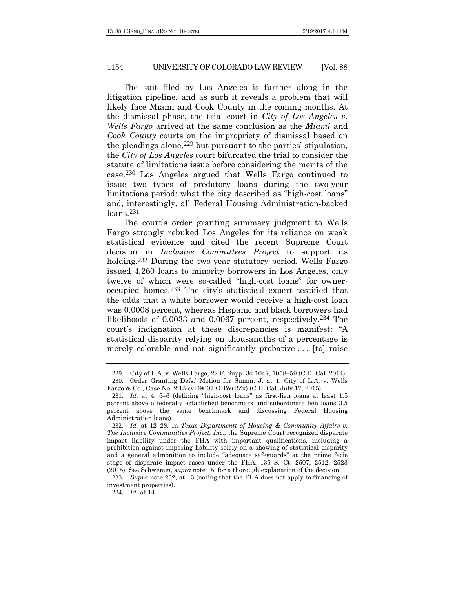The suit filed by Los Angeles is further along in the litigation pipeline, and as such it reveals a problem that will likely face Miami and Cook County in the coming months. At the dismissal phase, the trial court in *City of Los Angeles v. Wells Fargo* arrived at the same conclusion as the *Miami* and *Cook County* courts on the impropriety of dismissal based on the pleadings alone,  $229$  but pursuant to the parties' stipulation, the *City of Los Angeles* court bifurcated the trial to consider the statute of limitations issue before considering the merits of the case.[230](#page-45-1) Los Angeles argued that Wells Fargo continued to issue two types of predatory loans during the two-year limitations period: what the city described as "high-cost loans" and, interestingly, all Federal Housing Administration-backed loans.[231](#page-45-2)

The court's order granting summary judgment to Wells Fargo strongly rebuked Los Angeles for its reliance on weak statistical evidence and cited the recent Supreme Court decision in *Inclusive Committees Project* to support its holding.<sup>[232](#page-45-3)</sup> During the two-year statutory period, Wells Fargo issued 4,260 loans to minority borrowers in Los Angeles, only twelve of which were so-called "high-cost loans" for owneroccupied homes.[233](#page-45-4) The city's statistical expert testified that the odds that a white borrower would receive a high-cost loan was 0.0008 percent, whereas Hispanic and black borrowers had likelihoods of 0.0033 and 0.0067 percent, respectively.[234](#page-45-5) The court's indignation at these discrepancies is manifest: "A statistical disparity relying on thousandths of a percentage is merely colorable and not significantly probative . . . [to] raise

<sup>229</sup>. City of L.A. v. Wells Fargo, 22 F. Supp. 3d 1047, 1058–59 (C.D. Cal. 2014). 230. Order Granting Defs.' Motion for Summ. J. at 1, City of L.A. v. Wells

<span id="page-45-1"></span><span id="page-45-0"></span>Fargo & Co., Case No. 2:13-cv-09007-ODW(RZx) (C.D. Cal. July 17, 2015).

<span id="page-45-2"></span><sup>231</sup>*. Id.* at 4, 5–6 (defining "high-cost loans" as first-lien loans at least 1.5 percent above a federally established benchmark and subordinate lien loans 3.5 percent above the same benchmark and discussing Federal Housing Administration loans).

<span id="page-45-3"></span><sup>232</sup>*. Id.* at 12–28. In *Texas Departmentt of Housing & Community Affairs v. The Inclusive Communities Project, Inc.*, the Supreme Court recognized disparate impact liability under the FHA with important qualifications, including a prohibition against imposing liability solely on a showing of statistical disparity and a general admonition to include "adequate safeguards" at the prime facie stage of disparate impact cases under the FHA. 135 S. Ct. 2507, 2512, 2523 (2015). See Schwemm, *supra* note 15, for a thorough explanation of the decision.

<span id="page-45-5"></span><span id="page-45-4"></span><sup>233</sup>*. Supra* note 232, at 13 (noting that the FHA does not apply to financing of investment properties).

<sup>234</sup>*. Id.* at 14.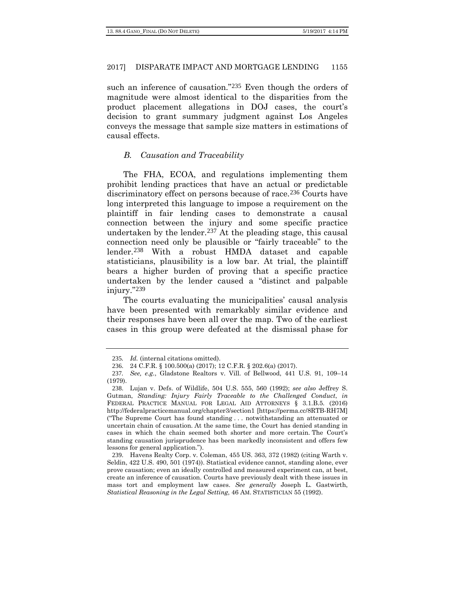such an inference of causation."<sup>[235](#page-46-0)</sup> Even though the orders of magnitude were almost identical to the disparities from the product placement allegations in DOJ cases, the court's decision to grant summary judgment against Los Angeles conveys the message that sample size matters in estimations of causal effects.

### *B. Causation and Traceability*

The FHA, ECOA, and regulations implementing them prohibit lending practices that have an actual or predictable discriminatory effect on persons because of race.<sup>[236](#page-46-1)</sup> Courts have long interpreted this language to impose a requirement on the plaintiff in fair lending cases to demonstrate a causal connection between the injury and some specific practice undertaken by the lender.<sup>[237](#page-46-2)</sup> At the pleading stage, this causal connection need only be plausible or "fairly traceable" to the lender.[238](#page-46-3) With a robust HMDA dataset and capable statisticians, plausibility is a low bar. At trial, the plaintiff bears a higher burden of proving that a specific practice undertaken by the lender caused a "distinct and palpable injury."[239](#page-46-4)

The courts evaluating the municipalities' causal analysis have been presented with remarkably similar evidence and their responses have been all over the map. Two of the earliest cases in this group were defeated at the dismissal phase for

<sup>235</sup>*. Id.* (internal citations omitted).

<sup>236</sup>. 24 C.F.R. § 100.500(a) (2017); 12 C.F.R. § 202.6(a) (2017).

<span id="page-46-2"></span><span id="page-46-1"></span><span id="page-46-0"></span><sup>237</sup>*. See, e.g.*, Gladstone Realtors v. Vill. of Bellwood, 441 U.S. 91, 109–14 (1979).

<span id="page-46-3"></span><sup>238</sup>. Lujan v. Defs. of Wildlife, 504 U.S. 555, 560 (1992); *see also* Jeffrey S. Gutman, *Standing: Injury Fairly Traceable to the Challenged Conduct*, *in* FEDERAL PRACTICE MANUAL FOR LEGAL AID ATTORNEYS § 3.1.B.5. (2016) http://federalpracticemanual.org/chapter3/section1 [https://perma.cc/8RTB-RH7M] ("The Supreme Court has found standing . . . notwithstanding an attenuated or uncertain chain of causation. At the same time, the Court has denied standing in cases in which the chain seemed both shorter and more certain. The Court's standing causation jurisprudence has been markedly inconsistent and offers few lessons for general application.").

<span id="page-46-4"></span><sup>239</sup>. Havens Realty Corp. v. Coleman, 455 US. 363, 372 (1982) (citing Warth v. Seldin, 422 U.S. 490, 501 (1974)). Statistical evidence cannot, standing alone, ever prove causation; even an ideally controlled and measured experiment can, at best, create an inference of causation. Courts have previously dealt with these issues in mass tort and employment law cases. *See generally* Joseph L. Gastwirth, *Statistical Reasoning in the Legal Setting*, 46 AM. STATISTICIAN 55 (1992).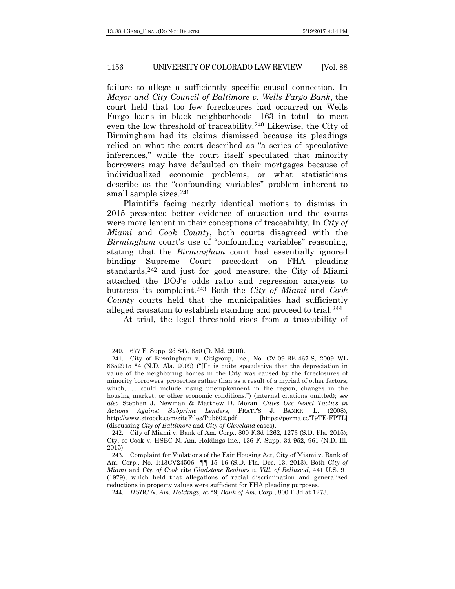failure to allege a sufficiently specific causal connection. In *Mayor and City Council of Baltimore v. Wells Fargo Bank*, the court held that too few foreclosures had occurred on Wells Fargo loans in black neighborhoods—163 in total—to meet even the low threshold of traceability.<sup>[240](#page-47-0)</sup> Likewise, the City of Birmingham had its claims dismissed because its pleadings relied on what the court described as "a series of speculative inferences," while the court itself speculated that minority borrowers may have defaulted on their mortgages because of individualized economic problems, or what statisticians describe as the "confounding variables" problem inherent to small sample sizes.<sup>[241](#page-47-1)</sup>

Plaintiffs facing nearly identical motions to dismiss in 2015 presented better evidence of causation and the courts were more lenient in their conceptions of traceability. In *City of Miami* and *Cook County*, both courts disagreed with the *Birmingham* court's use of "confounding variables" reasoning, stating that the *Birmingham* court had essentially ignored binding Supreme Court precedent on FHA pleading standards,<sup>[242](#page-47-2)</sup> and just for good measure, the City of Miami attached the DOJ's odds ratio and regression analysis to buttress its complaint.[243](#page-47-3) Both the *City of Miami* and *Cook County* courts held that the municipalities had sufficiently alleged causation to establish standing and proceed to trial.[244](#page-47-4)

At trial, the legal threshold rises from a traceability of

<sup>240</sup>. 677 F. Supp. 2d 847, 850 (D. Md. 2010).

<span id="page-47-1"></span><span id="page-47-0"></span><sup>241</sup>. City of Birmingham v. Citigroup, Inc., No. CV-09-BE-467-S, 2009 WL 8652915 \*4 (N.D. Ala. 2009) ("[I]t is quite speculative that the depreciation in value of the neighboring homes in the City was caused by the foreclosures of minority borrowers' properties rather than as a result of a myriad of other factors, which, ... could include rising unemployment in the region, changes in the housing market, or other economic conditions.") (internal citations omitted); *see also* Stephen J. Newman & Matthew D. Moran, *Cities Use Novel Tactics in Actions Against Subprime Lenders*, PRATT'S J. BANKR. L. (2008), http://www.stroock.com/siteFiles/Pub602.pdf [https://perma.cc/T9TE-FPTL] (discussing *City of Baltimore* and *City of Cleveland* cases).

<span id="page-47-2"></span><sup>242</sup>. City of Miami v. Bank of Am. Corp., 800 F.3d 1262, 1273 (S.D. Fla. 2015); Cty. of Cook v. HSBC N. Am. Holdings Inc., 136 F. Supp. 3d 952, 961 (N.D. Ill. 2015).

<span id="page-47-3"></span><sup>243</sup>. Complaint for Violations of the Fair Housing Act, City of Miami v. Bank of Am. Corp., No. 1:13CV24506 ¶¶ 15–16 (S.D. Fla. Dec. 13, 2013). Both *City of Miami* and *Cty. of Cook* cite *Gladstone Realtors v. Vill. of Bellwood*, 441 U.S. 91 (1979), which held that allegations of racial discrimination and generalized reductions in property values were sufficient for FHA pleading purposes.

<span id="page-47-4"></span><sup>244</sup>*. HSBC N. Am. Holdings,* at \*9; *Bank of Am. Corp.*, 800 F.3d at 1273.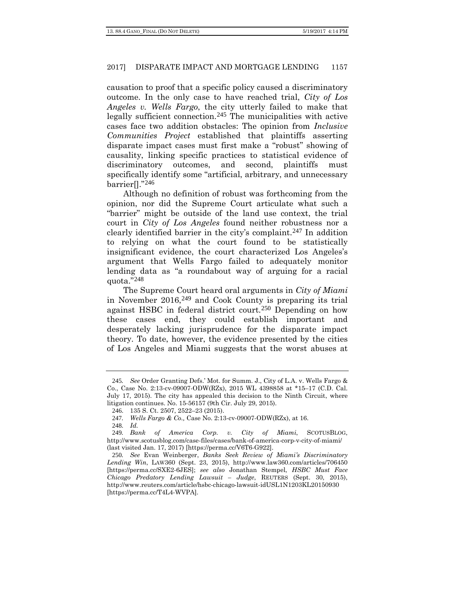causation to proof that a specific policy caused a discriminatory outcome. In the only case to have reached trial, *City of Los Angeles v. Wells Fargo*, the city utterly failed to make that legally sufficient connection.[245](#page-48-0) The municipalities with active cases face two addition obstacles: The opinion from *Inclusive Communities Project* established that plaintiffs asserting disparate impact cases must first make a "robust" showing of causality, linking specific practices to statistical evidence of discriminatory outcomes, and second, plaintiffs must specifically identify some "artificial, arbitrary, and unnecessary barrier[]."[246](#page-48-1)

Although no definition of robust was forthcoming from the opinion, nor did the Supreme Court articulate what such a "barrier" might be outside of the land use context, the trial court in *City of Los Angeles* found neither robustness nor a clearly identified barrier in the city's complaint.[247](#page-48-2) In addition to relying on what the court found to be statistically insignificant evidence, the court characterized Los Angeles's argument that Wells Fargo failed to adequately monitor lending data as "a roundabout way of arguing for a racial quota. $"^{248}$  $"^{248}$  $"^{248}$ 

The Supreme Court heard oral arguments in *City of Miami*  in November 2016,[249](#page-48-4) and Cook County is preparing its trial against HSBC in federal district court.[250](#page-48-5) Depending on how these cases end, they could establish important and desperately lacking jurisprudence for the disparate impact theory. To date, however, the evidence presented by the cities of Los Angeles and Miami suggests that the worst abuses at

<span id="page-48-0"></span><sup>245</sup>*. See* Order Granting Defs.' Mot. for Summ. J., City of L.A. v. Wells Fargo & Co., Case No. 2:13-cv-09007-ODW(RZx), 2015 WL 4398858 at \*15–17 (C.D. Cal. July 17, 2015). The city has appealed this decision to the Ninth Circuit, where litigation continues. No. 15-56157 (9th Cir. July 29, 2015).

<sup>246</sup>. 135 S. Ct. 2507, 2522–23 (2015).

<sup>247</sup>*. Wells Fargo & Co.,* Case No. 2:13-cv-09007-ODW(RZx), at 16.

<sup>248</sup>*. Id.*

<span id="page-48-4"></span><span id="page-48-3"></span><span id="page-48-2"></span><span id="page-48-1"></span><sup>249</sup>*. Bank of America Corp. v. City of Miami*, SCOTUSBLOG, http://www.scotusblog.com/case-files/cases/bank-of-america-corp-v-city-of-miami/ (last visited Jan. 17, 2017) [https://perma.cc/V6T6-G922].

<span id="page-48-5"></span><sup>250</sup>*. See* Evan Weinberger, *Banks Seek Review of Miami's Discriminatory Lending Win*, LAW360 (Sept. 23, 2015), http://www.law360.com/articles/706450 [https://perma.cc/SXE2-6JES]; *see also* Jonathan Stempel, *HSBC Must Face Chicago Predatory Lending Lawsuit – Judge*, REUTERS (Sept. 30, 2015), http://www.reuters.com/article/hsbc-chicago-lawsuit-idUSL1N1203KL20150930 [https://perma.cc/T4L4-WVPA].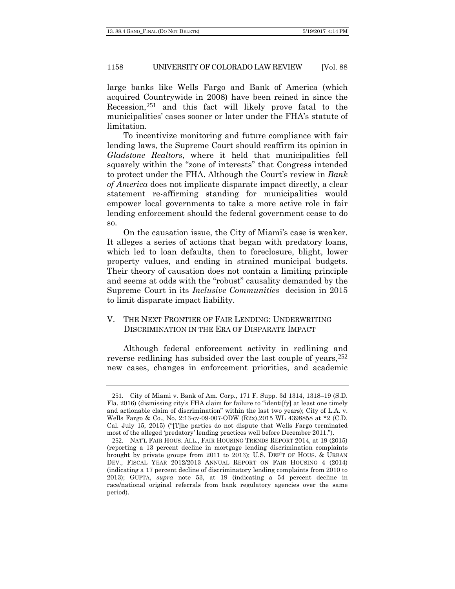large banks like Wells Fargo and Bank of America (which acquired Countrywide in 2008) have been reined in since the Recession,[251](#page-49-0) and this fact will likely prove fatal to the municipalities' cases sooner or later under the FHA's statute of limitation.

To incentivize monitoring and future compliance with fair lending laws, the Supreme Court should reaffirm its opinion in *Gladstone Realtors*, where it held that municipalities fell squarely within the "zone of interests" that Congress intended to protect under the FHA. Although the Court's review in *Bank of America* does not implicate disparate impact directly, a clear statement re-affirming standing for municipalities would empower local governments to take a more active role in fair lending enforcement should the federal government cease to do so.

On the causation issue, the City of Miami's case is weaker. It alleges a series of actions that began with predatory loans, which led to loan defaults, then to foreclosure, blight, lower property values, and ending in strained municipal budgets. Their theory of causation does not contain a limiting principle and seems at odds with the "robust" causality demanded by the Supreme Court in its *Inclusive Communities* decision in 2015 to limit disparate impact liability.

# V. THE NEXT FRONTIER OF FAIR LENDING: UNDERWRITING DISCRIMINATION IN THE ERA OF DISPARATE IMPACT

Although federal enforcement activity in redlining and reverse redlining has subsided over the last couple of years,  $252$ new cases, changes in enforcement priorities, and academic

<span id="page-49-0"></span><sup>251</sup>. City of Miami v. Bank of Am. Corp., 171 F. Supp. 3d 1314, 1318–19 (S.D. Fla. 2016) (dismissing city's FHA claim for failure to "identi[fy] at least one timely and actionable claim of discrimination" within the last two years); City of L.A. v. Wells Fargo & Co., No. 2:13-cv-09-007-ODW (R2x),2015 WL 4398858 at \*2 (C.D. Cal. July 15, 2015) ("[T]he parties do not dispute that Wells Fargo terminated most of the alleged 'predatory' lending practices well before December 2011.").

<span id="page-49-1"></span><sup>252</sup>. NAT'L FAIR HOUS. ALL., FAIR HOUSING TRENDS REPORT 2014, at 19 (2015) (reporting a 13 percent decline in mortgage lending discrimination complaints brought by private groups from 2011 to 2013); U.S. DEP'T OF HOUS. & URBAN DEV., FISCAL YEAR 2012/2013 ANNUAL REPORT ON FAIR HOUSING 4 (2014) (indicating a 17 percent decline of discriminatory lending complaints from 2010 to 2013); GUPTA, *supra* note [53,](#page-12-4) at 19 (indicating a 54 percent decline in race/national original referrals from bank regulatory agencies over the same period).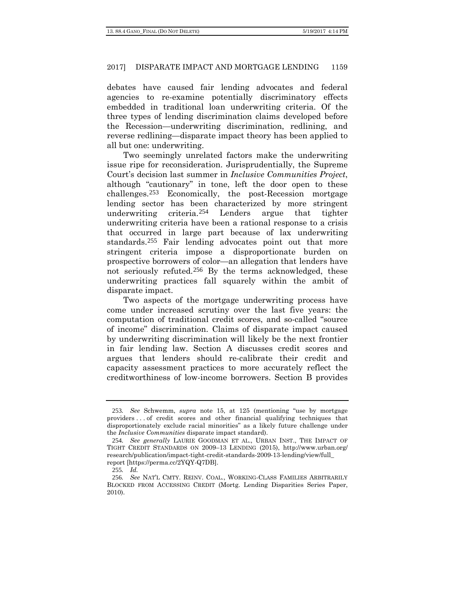debates have caused fair lending advocates and federal agencies to re-examine potentially discriminatory effects embedded in traditional loan underwriting criteria. Of the three types of lending discrimination claims developed before the Recession—underwriting discrimination, redlining, and reverse redlining—disparate impact theory has been applied to all but one: underwriting.

Two seemingly unrelated factors make the underwriting issue ripe for reconsideration. Jurisprudentially, the Supreme Court's decision last summer in *Inclusive Communities Project*, although "cautionary" in tone, left the door open to these challenges.[253](#page-50-0) Economically, the post-Recession mortgage lending sector has been characterized by more stringent underwriting criteria.[254](#page-50-1) Lenders argue that tighter underwriting criteria have been a rational response to a crisis that occurred in large part because of lax underwriting standards.[255](#page-50-2) Fair lending advocates point out that more stringent criteria impose a disproportionate burden on prospective borrowers of color—an allegation that lenders have not seriously refuted.[256](#page-50-3) By the terms acknowledged, these underwriting practices fall squarely within the ambit of disparate impact.

<span id="page-50-4"></span>Two aspects of the mortgage underwriting process have come under increased scrutiny over the last five years: the computation of traditional credit scores, and so-called "source of income" discrimination. Claims of disparate impact caused by underwriting discrimination will likely be the next frontier in fair lending law. Section A discusses credit scores and argues that lenders should re-calibrate their credit and capacity assessment practices to more accurately reflect the creditworthiness of low-income borrowers. Section B provides

<span id="page-50-0"></span><sup>253</sup>*. See* Schwemm, *supra* note 15, at 125 (mentioning "use by mortgage providers . . . of credit scores and other financial qualifying techniques that disproportionately exclude racial minorities" as a likely future challenge under the *Inclusive Communities* disparate impact standard).

<span id="page-50-1"></span><sup>254</sup>*. See generally* LAURIE GOODMAN ET AL., URBAN INST., THE IMPACT OF TIGHT CREDIT STANDARDS ON 2009–13 LENDING (2015), http://www.urban.org/ research/publication/impact-tight-credit-standards-2009-13-lending/view/full\_ report [https://perma.cc/2YQY-Q7DB].

<sup>255</sup>*. Id.*

<span id="page-50-3"></span><span id="page-50-2"></span><sup>256</sup>*. See* NAT'L CMTY. REINV. COAL., WORKING-CLASS FAMILIES ARBITRARILY BLOCKED FROM ACCESSING CREDIT (Mortg. Lending Disparities Series Paper, 2010).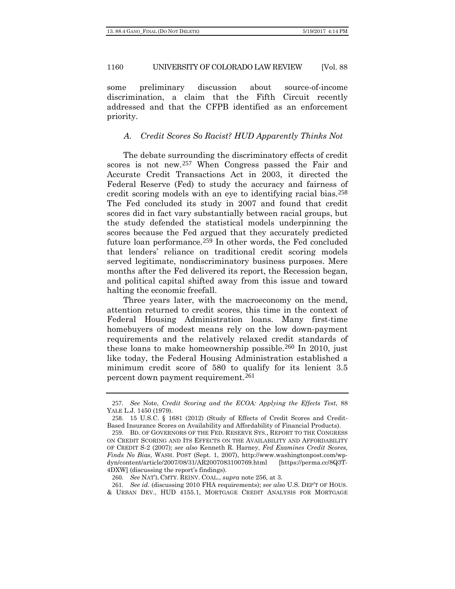some preliminary discussion about source-of-income discrimination, a claim that the Fifth Circuit recently addressed and that the CFPB identified as an enforcement priority.

# *A. Credit Scores So Racist? HUD Apparently Thinks Not*

The debate surrounding the discriminatory effects of credit scores is not new.[257](#page-51-0) When Congress passed the Fair and Accurate Credit Transactions Act in 2003, it directed the Federal Reserve (Fed) to study the accuracy and fairness of credit scoring models with an eye to identifying racial bias.[258](#page-51-1) The Fed concluded its study in 2007 and found that credit scores did in fact vary substantially between racial groups, but the study defended the statistical models underpinning the scores because the Fed argued that they accurately predicted future loan performance.[259](#page-51-2) In other words, the Fed concluded that lenders' reliance on traditional credit scoring models served legitimate, nondiscriminatory business purposes. Mere months after the Fed delivered its report, the Recession began, and political capital shifted away from this issue and toward halting the economic freefall.

Three years later, with the macroeconomy on the mend, attention returned to credit scores, this time in the context of Federal Housing Administration loans. Many first-time homebuyers of modest means rely on the low down-payment requirements and the relatively relaxed credit standards of these loans to make homeownership possible.<sup>[260](#page-51-3)</sup> In 2010, just like today, the Federal Housing Administration established a minimum credit score of 580 to qualify for its lenient 3.5 percent down payment requirement.[261](#page-51-4)

<span id="page-51-0"></span><sup>257</sup>*. See* Note, *Credit Scoring and the ECOA: Applying the Effects Test*, 88 YALE L.J. 1450 (1979).

<span id="page-51-1"></span><sup>258</sup>. 15 U.S.C. § 1681 (2012) (Study of Effects of Credit Scores and Credit-Based Insurance Scores on Availability and Affordability of Financial Products).

<span id="page-51-2"></span><sup>259</sup>. BD. OF GOVERNORS OF THE FED. RESERVE SYS., REPORT TO THE CONGRESS ON CREDIT SCORING AND ITS EFFECTS ON THE AVAILABILITY AND AFFORDABILITY OF CREDIT S-2 (2007); *see also* Kenneth R. Harney, *Fed Examines Credit Scores, Finds No Bias*, WASH. POST (Sept. 1, 2007), http://www.washingtonpost.com/wpdyn/content/article/2007/08/31/AR2007083100769.html [https://perma.cc/8Q3T-4DXW] (discussing the report's findings).

<sup>260</sup>*. See* NAT'L CMTY. REINV. COAL., *supra* note [256,](#page-50-4) at 3.

<sup>261</sup>*. See id.* (discussing 2010 FHA requirements); *see also* U.S. DEP'T OF HOUS.

<span id="page-51-4"></span><span id="page-51-3"></span><sup>&</sup>amp; URBAN DEV., HUD 4155.1, MORTGAGE CREDIT ANALYSIS FOR MORTGAGE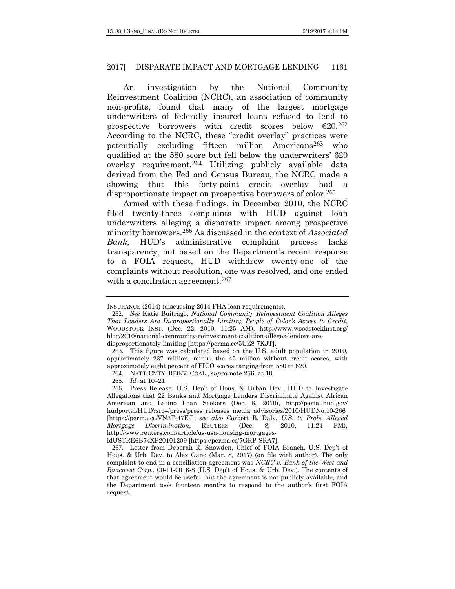An investigation by the National Community Reinvestment Coalition (NCRC), an association of community non-profits, found that many of the largest mortgage underwriters of federally insured loans refused to lend to prospective borrowers with credit scores below 620.[262](#page-52-0) According to the NCRC, these "credit overlay" practices were potentially excluding fifteen million Americans[263](#page-52-1) who qualified at the 580 score but fell below the underwriters' 620 overlay requirement.[264](#page-52-2) Utilizing publicly available data derived from the Fed and Census Bureau, the NCRC made a showing that this forty-point credit overlay had a disproportionate impact on prospective borrowers of color.<sup>[265](#page-52-3)</sup>

Armed with these findings, in December 2010, the NCRC filed twenty-three complaints with HUD against loan underwriters alleging a disparate impact among prospective minority borrowers.[266](#page-52-4) As discussed in the context of *Associated Bank*, HUD's administrative complaint process lacks transparency, but based on the Department's recent response to a FOIA request, HUD withdrew twenty-one of the complaints without resolution, one was resolved, and one ended with a conciliation agreement.<sup>[267](#page-52-5)</sup>

265*. Id.* at 10–21.

INSURANCE (2014) (discussing 2014 FHA loan requirements).

<span id="page-52-0"></span><sup>262</sup>*. See* Katie Buitrago, *National Community Reinvestment Coalition Alleges That Lenders Are Disproportionally Limiting People of Color's Access to Credit*, WOODSTOCK INST. (Dec. 22, 2010, 11:25 AM), http://www.woodstockinst.org/ blog/2010/national-community-reinvestment-coalition-alleges-lenders-aredisproportionately-limiting [https://perma.cc/5UZ8-7KJT].

<span id="page-52-1"></span><sup>263</sup>. This figure was calculated based on the U.S. adult population in 2010, approximately 237 million, minus the 45 million without credit scores, with approximately eight percent of FICO scores ranging from 580 to 620.

<sup>264</sup>. NAT'L CMTY. REINV. COAL., *supra* note [256,](#page-50-4) at 10.

<span id="page-52-4"></span><span id="page-52-3"></span><span id="page-52-2"></span><sup>266</sup>. Press Release, U.S. Dep't of Hous. & Urban Dev., HUD to Investigate Allegations that 22 Banks and Mortgage Lenders Discriminate Against African American and Latino Loan Seekers (Dec. 8, 2010), http://portal.hud.gov/ hudportal/HUD?src=/press/press\_releases\_media\_advisories/2010/HUDNo.10-266 [https://perma.cc/VN3T-47EJ]; *see also* Corbett B. Daly, *U.S. to Probe Alleged Mortgage Discrimination*, REUTERS (Dec. 8, 2010, 11:24 PM), http://www.reuters.com/article/us-usa-housing-mortgages-

idUSTRE6B74XP20101209 [https://perma.cc/7GRP-SRA7].

<span id="page-52-5"></span><sup>267</sup>. Letter from Deborah R. Snowden, Chief of FOIA Branch, U.S. Dep't of Hous. & Urb. Dev. to Alex Gano (Mar. 8, 2017) (on file with author). The only complaint to end in a conciliation agreement was *NCRC v. Bank of the West and Bancwest Corp.*, 00-11-0016-8 (U.S. Dep't of Hous. & Urb. Dev.). The contents of that agreement would be useful, but the agreement is not publicly available, and the Department took fourteen months to respond to the author's first FOIA request.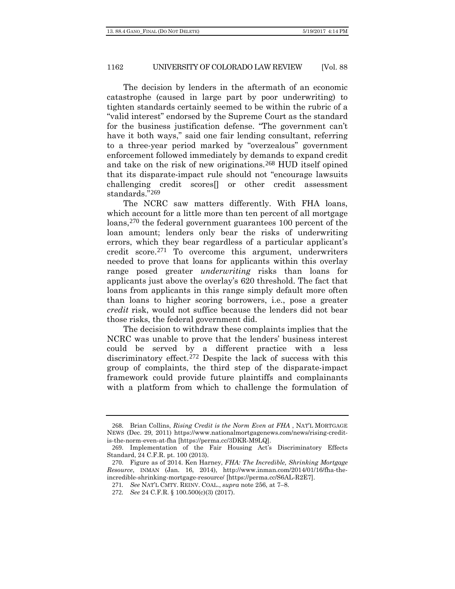The decision by lenders in the aftermath of an economic catastrophe (caused in large part by poor underwriting) to tighten standards certainly seemed to be within the rubric of a "valid interest" endorsed by the Supreme Court as the standard for the business justification defense. "The government can't have it both ways," said one fair lending consultant, referring to a three-year period marked by "overzealous" government enforcement followed immediately by demands to expand credit and take on the risk of new originations.[268](#page-53-0) HUD itself opined that its disparate-impact rule should not "encourage lawsuits challenging credit scores[] or other credit assessment standards."[269](#page-53-1)

The NCRC saw matters differently. With FHA loans, which account for a little more than ten percent of all mortgage loans,<sup>[270](#page-53-2)</sup> the federal government guarantees 100 percent of the loan amount; lenders only bear the risks of underwriting errors, which they bear regardless of a particular applicant's credit score.[271](#page-53-3) To overcome this argument, underwriters needed to prove that loans for applicants within this overlay range posed greater *underwriting* risks than loans for applicants just above the overlay's 620 threshold. The fact that loans from applicants in this range simply default more often than loans to higher scoring borrowers, i.e., pose a greater *credit* risk, would not suffice because the lenders did not bear those risks, the federal government did.

The decision to withdraw these complaints implies that the NCRC was unable to prove that the lenders' business interest could be served by a different practice with a less discriminatory effect.[272](#page-53-4) Despite the lack of success with this group of complaints, the third step of the disparate-impact framework could provide future plaintiffs and complainants with a platform from which to challenge the formulation of

<span id="page-53-0"></span><sup>268</sup>. Brian Collins, *Rising Credit is the Norm Even at FHA* , NAT'L MORTGAGE NEWS (Dec. 29, 2011) https://www.nationalmortgagenews.com/news/rising-creditis-the-norm-even-at-fha [https://perma.cc/3DKR-M9LQ].

<sup>269</sup>. Implementation of the Fair Housing Act's Discriminatory Effects Standard, 24 C.F.R. pt. 100 (2013).

<span id="page-53-4"></span><span id="page-53-3"></span><span id="page-53-2"></span><span id="page-53-1"></span><sup>270</sup>. Figure as of 2014. Ken Harney, *FHA: The Incredible, Shrinking Mortgage Resource*, INMAN (Jan. 16, 2014), http://www.inman.com/2014/01/16/fha-theincredible-shrinking-mortgage-resource/ [https://perma.cc/S6AL-R2E7].

<sup>271</sup>*. See* NAT'L CMTY. REINV. COAL., *supra* not[e 256,](#page-50-4) at 7–8.

<sup>272</sup>*. See* 24 C.F.R. § 100.500(c)(3) (2017).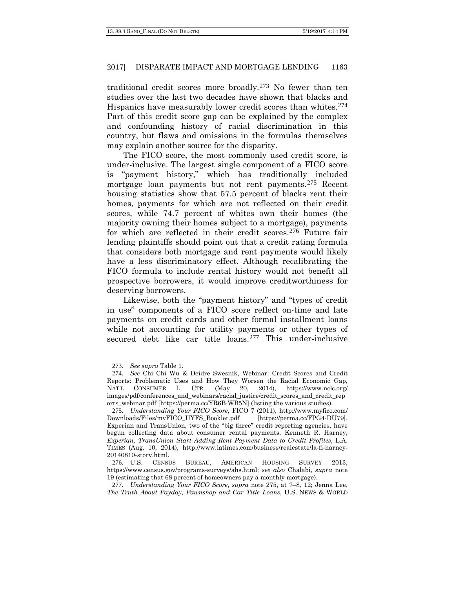traditional credit scores more broadly.[273](#page-54-1) No fewer than ten studies over the last two decades have shown that blacks and Hispanics have measurably lower credit scores than whites.[274](#page-54-2) Part of this credit score gap can be explained by the complex and confounding history of racial discrimination in this country, but flaws and omissions in the formulas themselves may explain another source for the disparity.

<span id="page-54-0"></span>The FICO score, the most commonly used credit score, is under-inclusive. The largest single component of a FICO score is "payment history," which has traditionally included mortgage loan payments but not rent payments.[275](#page-54-3) Recent housing statistics show that 57.5 percent of blacks rent their homes, payments for which are not reflected on their credit scores, while 74.7 percent of whites own their homes (the majority owning their homes subject to a mortgage), payments for which are reflected in their credit scores.[276](#page-54-4) Future fair lending plaintiffs should point out that a credit rating formula that considers both mortgage and rent payments would likely have a less discriminatory effect. Although recalibrating the FICO formula to include rental history would not benefit all prospective borrowers, it would improve creditworthiness for deserving borrowers.

Likewise, both the "payment history" and "types of credit in use" components of a FICO score reflect on-time and late payments on credit cards and other formal installment loans while not accounting for utility payments or other types of secured debt like car title loans.[277](#page-54-5) This under-inclusive

<sup>273</sup>*. See supra* Table 1.

<span id="page-54-2"></span><span id="page-54-1"></span><sup>274</sup>*. See* Chi Chi Wu & Deidre Swesnik, Webinar: Credit Scores and Credit Reports: Problematic Uses and How They Worsen the Racial Economic Gap, NAT'L CONSUMER L. CTR. (May 20, 2014), https://www.nclc.org/ images/pdf/conferences\_and\_webinars/racial\_justice/credit\_scores\_and\_credit\_rep orts\_webinar.pdf [https://perma.cc/YR6B-WB5N] (listing the various studies).

<span id="page-54-3"></span><sup>275</sup>*. Understanding Your FICO Score*, FICO 7 (2011), http://www.myfico.com/ Downloads/Files/myFICO\_UYFS\_Booklet.pdf [https://perma.cc/FPG4-DU79]. Experian and TransUnion, two of the "big three" credit reporting agencies, have begun collecting data about consumer rental payments. Kenneth R. Harney, *Experian, TransUnion Start Adding Rent Payment Data to Credit Profiles*, L.A. TIMES (Aug. 10, 2014), http://www.latimes.com/business/realestate/la-fi-harney-20140810-story.html.

<span id="page-54-4"></span><sup>276</sup>. U.S. CENSUS BUREAU, AMERICAN HOUSING SURVEY 2013, https://www.census.gov/programs-surveys/ahs.html; *see also* Chalabi, *supra* note 19 (estimating that 68 percent of homeowners pay a monthly mortgage).

<span id="page-54-5"></span><sup>277</sup>*. Understanding Your FICO Score*, *supra* note [275,](#page-54-0) at 7–8, 12; Jenna Lee, *The Truth About Payday, Pawnshop and Car Title Loans*, U.S. NEWS & WORLD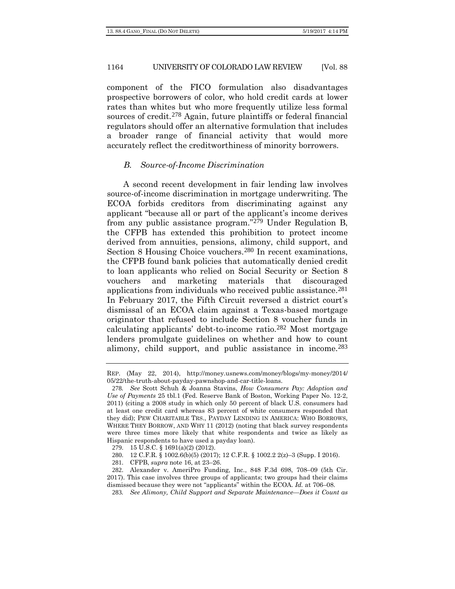component of the FICO formulation also disadvantages prospective borrowers of color, who hold credit cards at lower rates than whites but who more frequently utilize less formal sources of credit.<sup>[278](#page-55-0)</sup> Again, future plaintiffs or federal financial regulators should offer an alternative formulation that includes a broader range of financial activity that would more accurately reflect the creditworthiness of minority borrowers.

#### *B. Source-of-Income Discrimination*

A second recent development in fair lending law involves source-of-income discrimination in mortgage underwriting. The ECOA forbids creditors from discriminating against any applicant "because all or part of the applicant's income derives from any public assistance program."[279](#page-55-1) Under Regulation B, the CFPB has extended this prohibition to protect income derived from annuities, pensions, alimony, child support, and Section 8 Housing Choice vouchers.<sup>[280](#page-55-2)</sup> In recent examinations, the CFPB found bank policies that automatically denied credit to loan applicants who relied on Social Security or Section 8 vouchers and marketing materials that discouraged applications from individuals who received public assistance.[281](#page-55-3) In February 2017, the Fifth Circuit reversed a district court's dismissal of an ECOA claim against a Texas-based mortgage originator that refused to include Section 8 voucher funds in calculating applicants' debt-to-income ratio.[282](#page-55-4) Most mortgage lenders promulgate guidelines on whether and how to count alimony, child support, and public assistance in income.[283](#page-55-5)

REP. (May 22, 2014), http://money.usnews.com/money/blogs/my-money/2014/ 05/22/the-truth-about-payday-pawnshop-and-car-title-loans.

<span id="page-55-0"></span><sup>278</sup>*. See* Scott Schuh & Joanna Stavins, *How Consumers Pay: Adoption and Use of Payments* 25 tbl.1 (Fed. Reserve Bank of Boston, Working Paper No. 12-2, 2011) (citing a 2008 study in which only 50 percent of black U.S. consumers had at least one credit card whereas 83 percent of white consumers responded that they did); PEW CHARITABLE TRS., PAYDAY LENDING IN AMERICA: WHO BORROWS, WHERE THEY BORROW, AND WHY 11 (2012) (noting that black survey respondents were three times more likely that white respondents and twice as likely as Hispanic respondents to have used a payday loan).

<sup>279</sup>. 15 U.S.C. § 1691(a)(2) (2012).

<sup>280</sup>. 12 C.F.R. § 1002.6(b)(5) (2017); 12 C.F.R. § 1002.2 2(z)–3 (Supp. I 2016).

<sup>281</sup>. CFPB, *supra* note 16, at 23–26.

<span id="page-55-5"></span><span id="page-55-4"></span><span id="page-55-3"></span><span id="page-55-2"></span><span id="page-55-1"></span><sup>282</sup>. Alexander v. AmeriPro Funding, Inc., 848 F.3d 698, 708–09 (5th Cir. 2017). This case involves three groups of applicants; two groups had their claims dismissed because they were not "applicants" within the ECOA. *Id.* at 706–08.

<sup>283</sup>*. See Alimony, Child Support and Separate Maintenance—Does it Count as*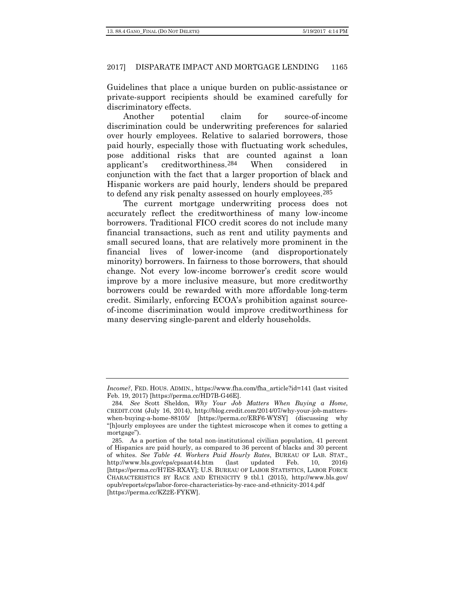Guidelines that place a unique burden on public-assistance or private-support recipients should be examined carefully for discriminatory effects.

Another potential claim for source-of-income discrimination could be underwriting preferences for salaried over hourly employees. Relative to salaried borrowers, those paid hourly, especially those with fluctuating work schedules, pose additional risks that are counted against a loan applicant's creditworthiness.[284](#page-56-0) When considered in conjunction with the fact that a larger proportion of black and Hispanic workers are paid hourly, lenders should be prepared to defend any risk penalty assessed on hourly employees.[285](#page-56-1)

The current mortgage underwriting process does not accurately reflect the creditworthiness of many low-income borrowers. Traditional FICO credit scores do not include many financial transactions, such as rent and utility payments and small secured loans, that are relatively more prominent in the financial lives of lower-income (and disproportionately minority) borrowers. In fairness to those borrowers, that should change. Not every low-income borrower's credit score would improve by a more inclusive measure, but more creditworthy borrowers could be rewarded with more affordable long-term credit. Similarly, enforcing ECOA's prohibition against sourceof-income discrimination would improve creditworthiness for many deserving single-parent and elderly households.

*Income?*, FED. HOUS. ADMIN., https://www.fha.com/fha\_article?id=141 (last visited Feb. 19, 2017) [https://perma.cc/HD7B-G46E].

<span id="page-56-0"></span><sup>284</sup>*. See* Scott Sheldon, *Why Your Job Matters When Buying a Home*, CREDIT.COM (July 16, 2014), http://blog.credit.com/2014/07/why-your-job-matterswhen-buying-a-home-88105/ [https://perma.cc/ERF6-WYSY] (discussing why "[h]ourly employees are under the tightest microscope when it comes to getting a mortgage").

<span id="page-56-1"></span><sup>285</sup>. As a portion of the total non-institutional civilian population, 41 percent of Hispanics are paid hourly, as compared to 36 percent of blacks and 30 percent of whites. *See Table 44. Workers Paid Hourly Rates*, BUREAU OF LAB. STAT., http://www.bls.gov/cps/cpsaat44.htm (last updated Feb. 10, 2016) [https://perma.cc/H7ES-RXAY]; U.S. BUREAU OF LABOR STATISTICS, LABOR FORCE CHARACTERISTICS BY RACE AND ETHNICITY 9 tbl.1 (2015), http://www.bls.gov/ opub/reports/cps/labor-force-characteristics-by-race-and-ethnicity-2014.pdf [https://perma.cc/KZ2E-FYKW].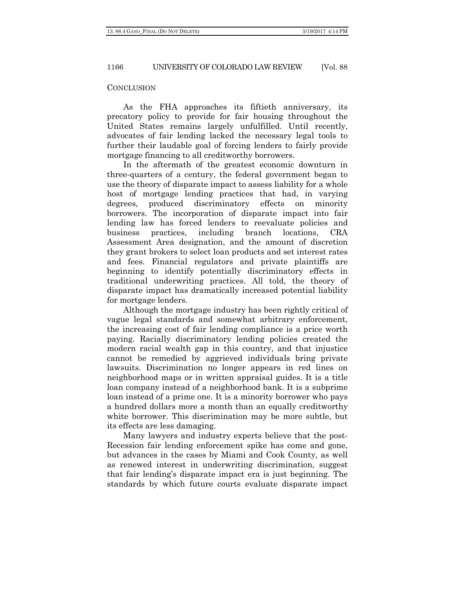#### **CONCLUSION**

As the FHA approaches its fiftieth anniversary, its precatory policy to provide for fair housing throughout the United States remains largely unfulfilled. Until recently, advocates of fair lending lacked the necessary legal tools to further their laudable goal of forcing lenders to fairly provide mortgage financing to all creditworthy borrowers.

In the aftermath of the greatest economic downturn in three-quarters of a century, the federal government began to use the theory of disparate impact to assess liability for a whole host of mortgage lending practices that had, in varying degrees, produced discriminatory effects on minority borrowers. The incorporation of disparate impact into fair lending law has forced lenders to reevaluate policies and business practices, including branch locations, CRA Assessment Area designation, and the amount of discretion they grant brokers to select loan products and set interest rates and fees. Financial regulators and private plaintiffs are beginning to identify potentially discriminatory effects in traditional underwriting practices. All told, the theory of disparate impact has dramatically increased potential liability for mortgage lenders.

Although the mortgage industry has been rightly critical of vague legal standards and somewhat arbitrary enforcement, the increasing cost of fair lending compliance is a price worth paying. Racially discriminatory lending policies created the modern racial wealth gap in this country, and that injustice cannot be remedied by aggrieved individuals bring private lawsuits. Discrimination no longer appears in red lines on neighborhood maps or in written appraisal guides. It is a title loan company instead of a neighborhood bank. It is a subprime loan instead of a prime one. It is a minority borrower who pays a hundred dollars more a month than an equally creditworthy white borrower. This discrimination may be more subtle, but its effects are less damaging.

Many lawyers and industry experts believe that the post-Recession fair lending enforcement spike has come and gone, but advances in the cases by Miami and Cook County, as well as renewed interest in underwriting discrimination, suggest that fair lending's disparate impact era is just beginning. The standards by which future courts evaluate disparate impact